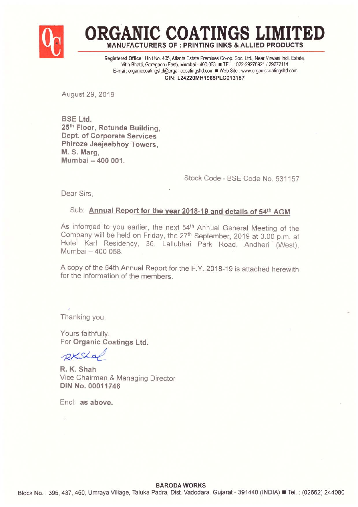

**ORGANIC COATINGS LIM** MANUFACTURERS OF : PRINTING INKS & ALLlEO PRODUCTS

Registered Office : Unit No. 405, Atlanta Estate Premises Co-op. Soc. Ltd., Near Virwani Indl. Estate, Vitth Bhatti, Goregaon (East), Mumbai - 400 063. TEL.: 022-29276921 / 29272114 E-mail: organiccoatingsltd@organiccoatingsltd.com @ Web Site : www.organiccoatingsltd.com CIN: L24220MH1965PLC013187

August 29, 2019

BSE Ltd. 25th Floor, Rotunda Building, Dept. of Corporate Services Phiroze Jeejeebhoy Towers, M. S. Marg, Mumbai - 400 001.

Stock Code - BSE Code No. 531157

Dear Sirs,

## Sub: Annual Report for the year 2018-19 and details of 54<sup>th</sup> AGM

As informed to you earlier, the next 54<sup>th</sup> Annual General Meeting of the Company will be held on Friday, the 27'h September, 2019 at 3.00 p.m. at Hotel Karl Residency, 36, Lallubhai Park Road, Andheri (West), Mumbai - 400 058.

A copy of the 54th Annual Report for the F.Y. 2018-19 is attached herewith for the information of the members.

Thanking you,

Yours faithfully, For Organic Coatings Ltd.

 $R_{KSA}$ 

R. K. Shah Vice Chairman & Managing Director DIN No. 00011746

Encl: as above.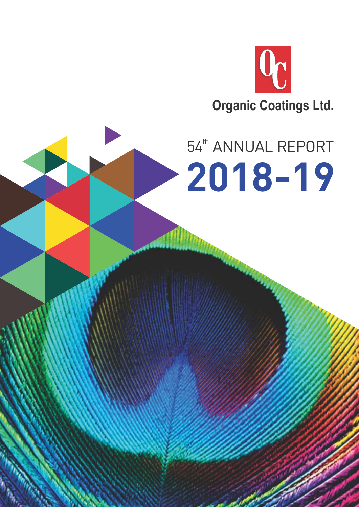

# 54<sup>th</sup> ANNUAL REPORT **2018-19**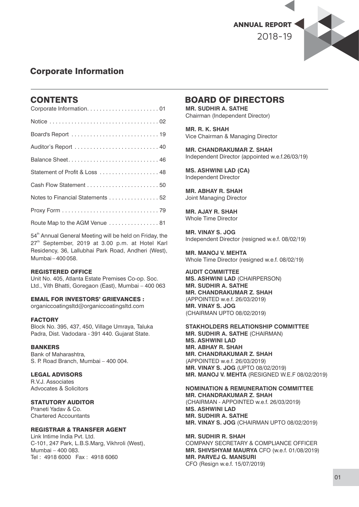

## Corporate Information

## **CONTENTS**

| Balance Sheet 46                 |
|----------------------------------|
|                                  |
|                                  |
| Notes to Financial Statements 52 |
|                                  |
| Route Map to the AGM Venue 81    |

54<sup>th</sup> Annual General Meeting will be held on Friday, the 27<sup>th</sup> September, 2019 at 3.00 p.m. at Hotel Karl Residency, 36, Lallubhai Park Road, Andheri (West), Mumbai – 400 058.

#### REGISTERED OFFICE

Unit No. 405, Atlanta Estate Premises Co-op. Soc. Ltd., Vith Bhatti, Goregaon (East), Mumbai – 400 063

#### EMAIL FOR INVESTORS' GRIEVANCES :

organiccoatingsltd@organiccoatingsltd.com

#### **FACTORY**

Block No. 395, 437, 450, Village Umraya, Taluka Padra, Dist. Vadodara - 391 440. Gujarat State.

#### **BANKERS**

Bank of Maharashtra, S. P. Road Branch, Mumbai – 400 004.

#### LEGAL ADVISORS

R.V.J. Associates Advocates & Solicitors

#### STATUTORY AUDITOR

Praneti Yadav & Co. Chartered Accountants

#### REGISTRAR & TRANSFER AGENT

Link Intime India Pvt. Ltd. C-101, 247 Park, L.B.S.Marg, Vikhroli (West), Mumbai – 400 083. Tel : 4918 6000 Fax : 4918 6060

## BOARD OF DIRECTORS

**MR. SUDHIR A. SATHE** Chairman (Independent Director)

**MR. R. K. SHAH** Vice Chairman & Managing Director

**MR. CHANDRAKUMAR Z. SHAH** Independent Director (appointed w.e.f.26/03/19)

**MS. ASHWINI LAD (CA)** Independent Director

**MR. ABHAY R. SHAH** Joint Managing Director

**MR. AJAY R. SHAH** Whole Time Director

**MR. VINAY S. JOG** Independent Director (resigned w.e.f. 08/02/19)

**MR. MANOJ V. MEHTA** Whole Time Director (resigned w.e.f. 08/02/19)

**AUDIT COMMITTEE MS. ASHWINI LAD** (CHAIRPERSON) **MR. SUDHIR A. SATHE MR. CHANDRAKUMAR Z. SHAH** (APPOINTED w.e.f. 26/03/2019) **MR. VINAY S. JOG** (CHAIRMAN UPTO 08/02/2019)

**STAKHOLDERS RELATIONSHIP COMMITTEE MR. SUDHIR A. SATHE** (CHAIRMAN) **MS. ASHWINI LAD MR. ABHAY R. SHAH MR. CHANDRAKUMAR Z. SHAH** (APPOINTED w.e.f. 26/03/2019) **MR. VINAY S. JOG** (UPTO 08/02/2019) **MR. MANOJ V. MEHTA** (RESIGNED W.E.F 08/02/2019)

**NOMINATION & REMUNERATION COMMITTEE MR. CHANDRAKUMAR Z. SHAH** (CHAIRMAN - APPOINTED w.e.f. 26/03/2019) **MS. ASHWINI LAD MR. SUDHIR A. SATHE MR. VINAY S. JOG** (CHAIRMAN UPTO 08/02/2019)

**MR. SUDHIR R. SHAH** COMPANY SECRETARY & COMPLIANCE OFFICER **MR. SHIVSHYAM MAURYA** CFO (w.e.f. 01/08/2019) **MR. PARVEJ G. MANSURI** CFO (Resign w.e.f. 15/07/2019)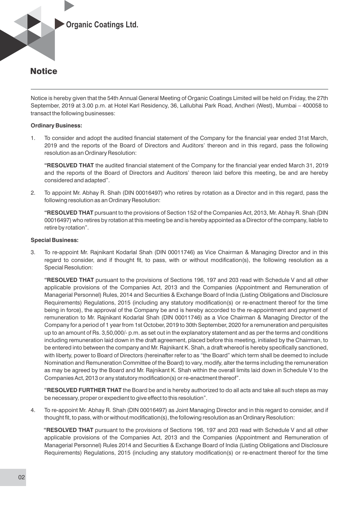

Notice is hereby given that the 54th Annual General Meeting of Organic Coatings Limited will be held on Friday, the 27th September, 2019 at 3.00 p.m. at Hotel Karl Residency, 36, Lallubhai Park Road, Andheri (West), Mumbai – 400058 to transact the following businesses:

#### **Ordinary Business:**

1. To consider and adopt the audited financial statement of the Company for the financial year ended 31st March, 2019 and the reports of the Board of Directors and Auditors' thereon and in this regard, pass the following resolution as an Ordinary Resolution:

**"RESOLVED THAT** the audited financial statement of the Company for the financial year ended March 31, 2019 and the reports of the Board of Directors and Auditors' thereon laid before this meeting, be and are hereby considered and adapted".

2. To appoint Mr. Abhay R. Shah (DIN 00016497) who retires by rotation as a Director and in this regard, pass the following resolution as an Ordinary Resolution:

**"RESOLVED THAT** pursuant to the provisions of Section 152 of the Companies Act, 2013, Mr. Abhay R. Shah (DIN 00016497) who retires by rotation at this meeting be and is hereby appointed as a Director of the company, liable to retire by rotation".

#### **Special Business:**

3. To re-appoint Mr. Rajnikant Kodarlal Shah (DIN 00011746) as Vice Chairman & Managing Director and in this regard to consider, and if thought fit, to pass, with or without modification(s), the following resolution as a Special Resolution:

**"RESOLVED THAT** pursuant to the provisions of Sections 196, 197 and 203 read with Schedule V and all other applicable provisions of the Companies Act, 2013 and the Companies (Appointment and Remuneration of Managerial Personnel) Rules, 2014 and Securities & Exchange Board of India (Listing Obligations and Disclosure Requirements) Regulations, 2015 (including any statutory modification(s) or re-enactment thereof for the time being in force), the approval of the Company be and is hereby accorded to the re-appointment and payment of remuneration to Mr. Rajnikant Kodarlal Shah (DIN 00011746) as a Vice Chairman & Managing Director of the Company for a period of 1 year from 1st October, 2019 to 30th September, 2020 for a remuneration and perquisites up to an amount of Rs. 3,50,000/- p.m. as set out in the explanatory statement and as per the terms and conditions including remuneration laid down in the draft agreement, placed before this meeting, initialed by the Chairman, to be entered into between the company and Mr. Rajnikant K. Shah, a draft whereof is hereby specifically sanctioned, with liberty, power to Board of Directors (hereinafter refer to as "the Board" which term shall be deemed to include Nomination and Remuneration Committee of the Board) to vary, modify, alter the terms including the remuneration as may be agreed by the Board and Mr. Rajnikant K. Shah within the overall limits laid down in Schedule V to the Companies Act, 2013 or any statutory modification(s) or re-enactment thereof".

**"RESOLVED FURTHER THAT** the Board be and is hereby authorized to do all acts and take all such steps as may be necessary, proper or expedient to give effect to this resolution".

4. To re-appoint Mr. Abhay R. Shah (DIN 00016497) as Joint Managing Director and in this regard to consider, and if thought fit, to pass, with or without modification(s), the following resolution as an Ordinary Resolution:

**"RESOLVED THAT** pursuant to the provisions of Sections 196, 197 and 203 read with Schedule V and all other applicable provisions of the Companies Act, 2013 and the Companies (Appointment and Remuneration of Managerial Personnel) Rules 2014 and Securities & Exchange Board of India (Listing Obligations and Disclosure Requirements) Regulations, 2015 (including any statutory modification(s) or re-enactment thereof for the time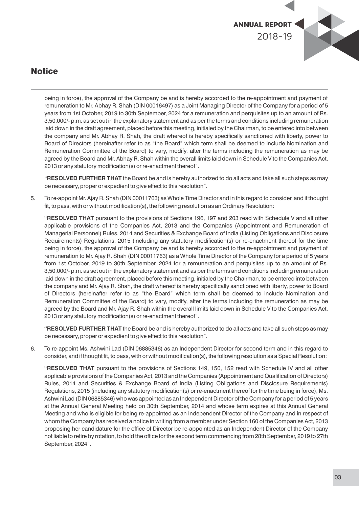

being in force), the approval of the Company be and is hereby accorded to the re-appointment and payment of remuneration to Mr. Abhay R. Shah (DIN 00016497) as a Joint Managing Director of the Company for a period of 5 years from 1st October, 2019 to 30th September, 2024 for a remuneration and perquisites up to an amount of Rs. 3,50,000/- p.m. as set out in the explanatory statement and as per the terms and conditions including remuneration laid down in the draft agreement, placed before this meeting, initialed by the Chairman, to be entered into between the company and Mr. Abhay R. Shah, the draft whereof is hereby specifically sanctioned with liberty, power to Board of Directors (hereinafter refer to as "the Board" which term shall be deemed to include Nomination and Remuneration Committee of the Board) to vary, modify, alter the terms including the remuneration as may be agreed by the Board and Mr. Abhay R. Shah within the overall limits laid down in Schedule V to the Companies Act, 2013 or any statutory modification(s) or re-enactment thereof".

**"RESOLVED FURTHER THAT** the Board be and is hereby authorized to do all acts and take all such steps as may be necessary, proper or expedient to give effect to this resolution".

5. To re-appoint Mr. Ajay R. Shah (DIN 00011763) as Whole Time Director and in this regard to consider, and if thought fit, to pass, with or without modification(s), the following resolution as an Ordinary Resolution:

**"RESOLVED THAT** pursuant to the provisions of Sections 196, 197 and 203 read with Schedule V and all other applicable provisions of the Companies Act, 2013 and the Companies (Appointment and Remuneration of Managerial Personnel) Rules, 2014 and Securities & Exchange Board of India (Listing Obligations and Disclosure Requirements) Requlations, 2015 (including any statutory modification(s) or re-enactment thereof for the time being in force), the approval of the Company be and is hereby accorded to the re-appointment and payment of remuneration to Mr. Ajay R. Shah (DIN 00011763) as a Whole Time Director of the Company for a period of 5 years from 1st October, 2019 to 30th September, 2024 for a remuneration and perquisites up to an amount of Rs. 3,50,000/- p.m. as set out in the explanatory statement and as per the terms and conditions including remuneration laid down in the draft agreement, placed before this meeting, initialed by the Chairman, to be entered into between the company and Mr. Ajay R. Shah, the draft whereof is hereby specifically sanctioned with liberty, power to Board of Directors (hereinafter refer to as "the Board" which term shall be deemed to include Nomination and Remuneration Committee of the Board) to vary, modify, alter the terms including the remuneration as may be agreed by the Board and Mr. Ajay R. Shah within the overall limits laid down in Schedule V to the Companies Act, 2013 or any statutory modification(s) or re-enactment thereof".

**"RESOLVED FURTHER THAT** the Board be and is hereby authorized to do all acts and take all such steps as may be necessary, proper or expedient to give effect to this resolution".

6. To re-appoint Ms. Ashwini Lad (DIN 06885346) as an Independent Director for second term and in this regard to consider, and if thought fit, to pass, with or without modification(s), the following resolution as a Special Resolution:

**"RESOLVED THAT** pursuant to the provisions of Sections 149, 150, 152 read with Schedule IV and all other applicable provisions of the Companies Act, 2013 and the Companies (Appointment and Qualification of Directors) Rules, 2014 and Securities & Exchange Board of India (Listing Obligations and Disclosure Requirements) Regulations, 2015 (including any statutory modification(s) or re-enactment thereof for the time being in force), Ms. Ashwini Lad (DIN 06885346) who was appointed as an Independent Director of the Company for a period of 5 years at the Annual General Meeting held on 30th September, 2014 and whose term expires at this Annual General Meeting and who is eligible for being re-appointed as an Independent Director of the Company and in respect of whom the Company has received a notice in writing from a member under Section 160 of the Companies Act, 2013 proposing her candidature for the office of Director be re-appointed as an Independent Director of the Company not liable to retire by rotation, to hold the office for the second term commencing from 28th September, 2019 to 27th September, 2024".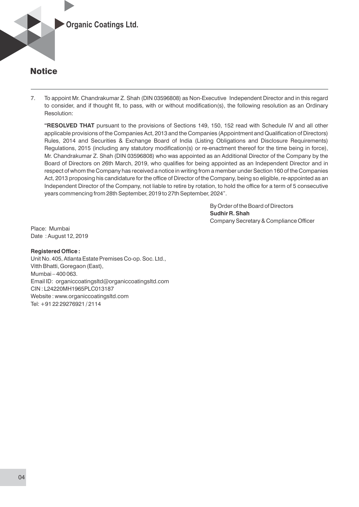

7. To appoint Mr. Chandrakumar Z. Shah (DIN 03596808) as Non-Executive Independent Director and in this regard to consider, and if thought fit, to pass, with or without modification(s), the following resolution as an Ordinary Resolution:

**"RESOLVED THAT** pursuant to the provisions of Sections 149, 150, 152 read with Schedule IV and all other applicable provisions of the Companies Act, 2013 and the Companies (Appointment and Qualification of Directors) Rules, 2014 and Securities & Exchange Board of India (Listing Obligations and Disclosure Requirements) Regulations, 2015 (including any statutory modification(s) or re-enactment thereof for the time being in force), Mr. Chandrakumar Z. Shah (DIN 03596808) who was appointed as an Additional Director of the Company by the Board of Directors on 26th March, 2019, who qualifies for being appointed as an Independent Director and in respect of whom the Company has received a notice in writing from a member under Section 160 of the Companies Act, 2013 proposing his candidature for the office of Director of the Company, being so eligible, re-appointed as an Independent Director of the Company, not liable to retire by rotation, to hold the office for a term of 5 consecutive years commencing from 28th September, 2019 to 27th September, 2024".

> By Order of the Board of Directors **Sudhir R. Shah** Company Secretary & Compliance Officer

Place: Mumbai Date : August 12, 2019

#### **Registered Office:**

Unit No. 405, Atlanta Estate Premises Co-op. Soc. Ltd., Vitth Bhatti, Goregaon (East), Mumbai – 400 063. Email ID: organiccoatingsltd@organiccoatingsltd.com CIN : L24220MH1965PLC013187 Website : www.organiccoatingsltd.com Tel: +91 22 29276921 / 2114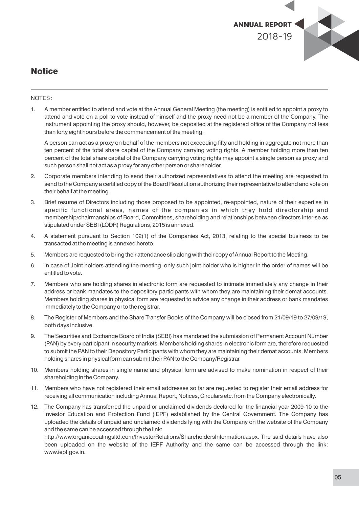

#### NOTES :

1. A member entitled to attend and vote at the Annual General Meeting (the meeting) is entitled to appoint a proxy to attend and vote on a poll to vote instead of himself and the proxy need not be a member of the Company. The instrument appointing the proxy should, however, be deposited at the registered office of the Company not less than forty eight hours before the commencement of the meeting.

A person can act as a proxy on behalf of the members not exceeding fifty and holding in aggregate not more than ten percent of the total share capital of the Company carrying voting rights. A member holding more than ten percent of the total share capital of the Company carrying voting rights may appoint a single person as proxy and such person shall not act as a proxy for any other person or shareholder.

- 2. Corporate members intending to send their authorized representatives to attend the meeting are requested to send to the Company a certified copy of the Board Resolution authorizing their representative to attend and vote on their behalf at the meeting.
- 3. Brief resume of Directors including those proposed to be appointed, re-appointed, nature of their expertise in specific functional areas, names of the companies in which they hold directorship and membership/chairmanships of Board, Committees, shareholding and relationships between directors inter-se as stipulated under SEBI (LODR) Regulations, 2015 is annexed.
- 4. A statement pursuant to Section 102(1) of the Companies Act, 2013, relating to the special business to be transacted at the meeting is annexed hereto.
- 5. Members are requested to bring their attendance slip along with their copy of Annual Report to the Meeting.
- 6. In case of Joint holders attending the meeting, only such joint holder who is higher in the order of names will be entitled to vote.
- 7. Members who are holding shares in electronic form are requested to intimate immediately any change in their address or bank mandates to the depository participants with whom they are maintaining their demat accounts. Members holding shares in physical form are requested to advice any change in their address or bank mandates immediately to the Company or to the registrar.
- 8. The Register of Members and the Share Transfer Books of the Company will be closed from 21/09/19 to 27/09/19, both days inclusive.
- 9. The Securities and Exchange Board of India (SEBI) has mandated the submission of Permanent Account Number (PAN) by every participant in security markets. Members holding shares in electronic form are, therefore requested to submit the PAN to their Depository Participants with whom they are maintaining their demat accounts. Members holding shares in physical form can submit their PAN to the Company/Registrar.
- 10. Members holding shares in single name and physical form are advised to make nomination in respect of their shareholding in the Company.
- 11. Members who have not registered their email addresses so far are requested to register their email address for receiving all communication including Annual Report, Notices, Circulars etc. from the Company electronically.
- 12. The Company has transferred the unpaid or unclaimed dividends declared for the financial year 2009-10 to the Investor Education and Protection Fund (IEPF) established by the Central Government. The Company has uploaded the details of unpaid and unclaimed dividends lying with the Company on the website of the Company and the same can be accessed through the link:

http://www.organiccoatingsltd.com/InvestorRelations/ShareholdersInformation.aspx. The said details have also been uploaded on the website of the IEPF Authority and the same can be accessed through the link: www.iepf.gov.in.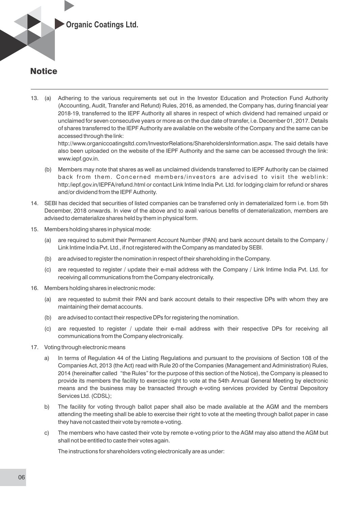

13. (a) Adhering to the various requirements set out in the Investor Education and Protection Fund Authority (Accounting, Audit, Transfer and Refund) Rules, 2016, as amended, the Company has, during financial year 2018-19, transferred to the IEPF Authority all shares in respect of which dividend had remained unpaid or unclaimed for seven consecutive years or more as on the due date of transfer, i.e. December 01, 2017. Details of shares transferred to the IEPF Authority are available on the website of the Company and the same can be accessed through the link:

http://www.organiccoatingsltd.com/InvestorRelations/ShareholdersInformation.aspx. The said details have also been uploaded on the website of the IEPF Authority and the same can be accessed through the link: www.iepf.gov.in.

- (b) Members may note that shares as well as unclaimed dividends transferred to IEPF Authority can be claimed back from them. Concerned members/investors are advised to visit the weblink: http:/iepf.gov.in/IEPFA/refund.html or contact Link Intime India Pvt. Ltd. for lodging claim for refund or shares and/or dividend from the IEPF Authority.
- 14. SEBI has decided that securities of listed companies can be transferred only in dematerialized form i.e. from 5th December, 2018 onwards. In view of the above and to avail various benefits of dematerialization, members are advised to dematerialize shares held by them in physical form.
- 15. Members holding shares in physical mode:
	- (a) are required to submit their Permanent Account Number (PAN) and bank account details to the Company / Link Intime India Pvt. Ltd., if not registered with the Company as mandated by SEBI.
	- (b) are advised to register the nomination in respect of their shareholding in the Company.
	- (c) are requested to register / update their e-mail address with the Company / Link Intime India Pvt. Ltd. for receiving all communications from the Company electronically.
- 16. Members holding shares in electronic mode:
	- (a) are requested to submit their PAN and bank account details to their respective DPs with whom they are maintaining their demat accounts.
	- (b) are advised to contact their respective DPs for registering the nomination.
	- (c) are requested to register / update their e-mail address with their respective DPs for receiving all communications from the Company electronically.
- 17. Voting through electronic means
	- a) In terms of Regulation 44 of the Listing Regulations and pursuant to the provisions of Section 108 of the Companies Act, 2013 (the Act) read with Rule 20 of the Companies (Management and Administration) Rules, 2014 (hereinafter called "the Rules" for the purpose of this section of the Notice), the Company is pleased to provide its members the facility to exercise right to vote at the 54th Annual General Meeting by electronic means and the business may be transacted through e-voting services provided by Central Depository Services Ltd. (CDSL);
	- b) The facility for voting through ballot paper shall also be made available at the AGM and the members attending the meeting shall be able to exercise their right to vote at the meeting through ballot paper in case they have not casted their vote by remote e-voting.
	- c) The members who have casted their vote by remote e-voting prior to the AGM may also attend the AGM but shall not be entitled to caste their votes again.

The instructions for shareholders voting electronically are as under: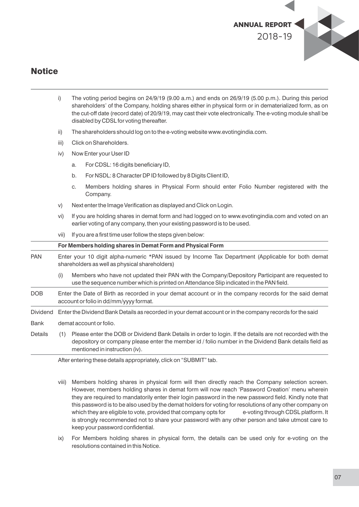

- i) The voting period begins on 24/9/19 (9.00 a.m.) and ends on 26/9/19 (5.00 p.m.). During this period shareholders' of the Company, holding shares either in physical form or in dematerialized form, as on the cut-off date (record date) of 20/9/19, may cast their vote electronically. The e-voting module shall be disabled by CDSL for voting thereafter.
- ii) The shareholders should log on to the e-voting website www.evotingindia.com.
- iii) Click on Shareholders.
- iv) Now Enter your User ID
	- a. For CDSL: 16 digits beneficiary ID,
	- b. For NSDL: 8 Character DP ID followed by 8 Digits Client ID,
	- c. Members holding shares in Physical Form should enter Folio Number registered with the Company.
- v) Next enter the Image Verification as displayed and Click on Login.
- vi) If you are holding shares in demat form and had logged on to www.evotingindia.com and voted on an earlier voting of any company, then your existing password is to be used.
- vii) If you are a first time user follow the steps given below:

**For Members holding shares in Demat Form and Physical Form** PAN Enter your 10 digit alpha-numeric \*PAN issued by Income Tax Department (Applicable for both demat shareholders as well as physical shareholders) (i) Members who have not updated their PAN with the Company/Depository Participant are requested to use the sequence number which is printed on Attendance Slip indicated in the PAN field. DOB Enter the Date of Birth as recorded in your demat account or in the company records for the said demat account or folio in dd/mm/yyyy format. Dividend Enter the Dividend Bank Details as recorded in your demat account or in the company records for the said Bank demat account or folio. Details (1) Please enter the DOB or Dividend Bank Details in order to login. If the details are not recorded with the depository or company please enter the member id / folio number in the Dividend Bank details field as mentioned in instruction (iv).

After entering these details appropriately, click on "SUBMIT" tab.

- viii) Members holding shares in physical form will then directly reach the Company selection screen. However, members holding shares in demat form will now reach 'Password Creation' menu wherein they are required to mandatorily enter their login password in the new password field. Kindly note that this password is to be also used by the demat holders for voting for resolutions of any other company on which they are eligible to vote, provided that company opts for e-voting through CDSL platform, It is strongly recommended not to share your password with any other person and take utmost care to keep your password confidential.
- ix) For Members holding shares in physical form, the details can be used only for e-voting on the resolutions contained in this Notice.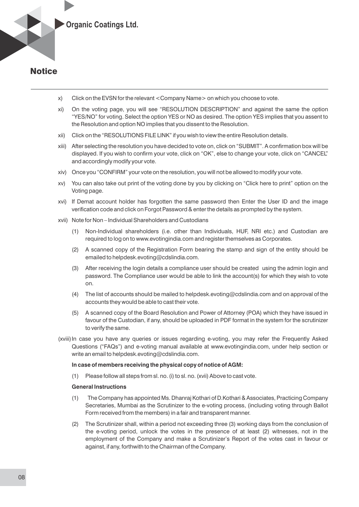

- x) Click on the EVSN for the relevant <Company Name> on which you choose to vote.
- xi) On the voting page, you will see "RESOLUTION DESCRIPTION" and against the same the option "YES/NO" for voting. Select the option YES or NO as desired. The option YES implies that you assent to the Resolution and option NO implies that you dissent to the Resolution.
- xii) Click on the "RESOLUTIONS FILE LINK" if you wish to view the entire Resolution details.
- xiii) After selecting the resolution you have decided to vote on, click on "SUBMIT". A conrmation box will be displayed. If you wish to confirm your vote, click on "OK", else to change your vote, click on "CANCEL" and accordingly modify your vote.
- xiv) Once you "CONFIRM" your vote on the resolution, you will not be allowed to modify your vote.
- xv) You can also take out print of the voting done by you by clicking on "Click here to print" option on the Voting page.
- xvi) If Demat account holder has forgotten the same password then Enter the User ID and the image verification code and click on Forgot Password & enter the details as prompted by the system.
- xvii) Note for Non Individual Shareholders and Custodians
	- (1) Non-Individual shareholders (i.e. other than Individuals, HUF, NRI etc.) and Custodian are required to log on to www.evotingindia.com and register themselves as Corporates.
	- (2) A scanned copy of the Registration Form bearing the stamp and sign of the entity should be emailed to helpdesk.evoting@cdslindia.com.
	- (3) After receiving the login details a compliance user should be created using the admin login and password. The Compliance user would be able to link the account(s) for which they wish to vote on.
	- (4) The list of accounts should be mailed to helpdesk.evoting@cdslindia.com and on approval of the accounts they would be able to cast their vote.
	- (5) A scanned copy of the Board Resolution and Power of Attorney (POA) which they have issued in favour of the Custodian, if any, should be uploaded in PDF format in the system for the scrutinizer to verify the same.
- (xviii) In case you have any queries or issues regarding e-voting, you may refer the Frequently Asked Questions ("FAQs") and e-voting manual available at www.evotingindia.com, under help section or write an email to helpdesk.evoting@cdslindia.com.

#### **In case of members receiving the physical copy of notice of AGM:**

(1) Please follow all steps from sl. no. (i) to sl. no. (xvii) Above to cast vote.

#### **General Instructions**

- (1) The Company has appointed Ms. Dhanraj Kothari of D.Kothari & Associates, Practicing Company Secretaries, Mumbai as the Scrutinizer to the e-voting process, (including voting through Ballot Form received from the members) in a fair and transparent manner.
- (2) The Scrutinizer shall, within a period not exceeding three (3) working days from the conclusion of the e-voting period, unlock the votes in the presence of at least (2) witnesses, not in the employment of the Company and make a Scrutinizer's Report of the votes cast in favour or against, if any, forthwith to the Chairman of the Company.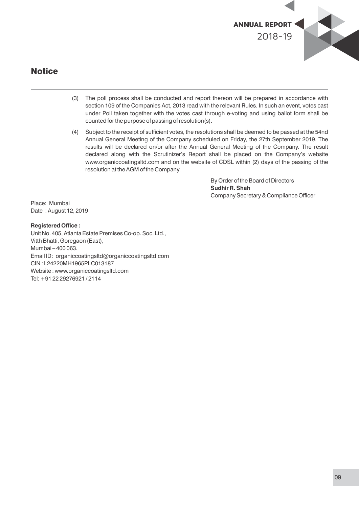

- (3) The poll process shall be conducted and report thereon will be prepared in accordance with section 109 of the Companies Act, 2013 read with the relevant Rules. In such an event, votes cast under Poll taken together with the votes cast through e-voting and using ballot form shall be counted for the purpose of passing of resolution(s).
- $(4)$  Subject to the receipt of sufficient votes, the resolutions shall be deemed to be passed at the 54nd Annual General Meeting of the Company scheduled on Friday, the 27th September 2019. The results will be declared on/or after the Annual General Meeting of the Company. The result declared along with the Scrutinizer's Report shall be placed on the Company's website www.organiccoatingsltd.com and on the website of CDSL within (2) days of the passing of the resolution at the AGM of the Company.

By Order of the Board of Directors **Sudhir R. Shah** Company Secretary & Compliance Officer

Place: Mumbai Date : August 12, 2019

## **Registered Office:**

Unit No. 405, Atlanta Estate Premises Co-op. Soc. Ltd., Vitth Bhatti, Goregaon (East), Mumbai – 400 063. Email ID: organiccoatingsltd@organiccoatingsltd.com CIN : L24220MH1965PLC013187 Website : www.organiccoatingsltd.com Tel: +91 22 29276921 / 2114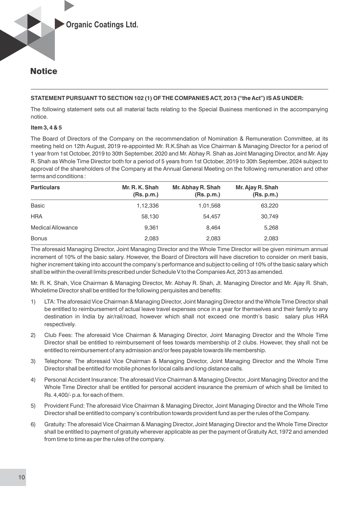### **STATEMENT PURSUANT TO SECTION 102 (1) OF THE COMPANIES ACT, 2013 ("the Act") IS AS UNDER:**

The following statement sets out all material facts relating to the Special Business mentioned in the accompanying notice.

#### **Item 3, 4 & 5**

The Board of Directors of the Company on the recommendation of Nomination & Remuneration Committee, at its meeting held on 12th August, 2019 re-appointed Mr. R.K.Shah as Vice Chairman & Managing Director for a period of 1 year from 1st October, 2019 to 30th September, 2020 and Mr. Abhay R. Shah as Joint Managing Director, and Mr. Ajay R. Shah as Whole Time Director both for a period of 5 years from 1st October, 2019 to 30th September, 2024 subject to approval of the shareholders of the Company at the Annual General Meeting on the following remuneration and other terms and conditions :

| <b>Particulars</b> | Mr. R. K. Shah<br>(Rs.p.m.) | Mr. Abhay R. Shah<br>(Rs. p.m.) | Mr. Ajay R. Shah<br>(Rs.p.m.) |  |
|--------------------|-----------------------------|---------------------------------|-------------------------------|--|
| <b>Basic</b>       | 1,12,336                    | 1,01,568                        | 63,220                        |  |
| <b>HRA</b>         | 58,130                      | 54.457                          | 30,749                        |  |
| Medical Allowance  | 9,361                       | 8,464                           | 5,268                         |  |
| <b>Bonus</b>       | 2,083                       | 2,083                           | 2,083                         |  |

The aforesaid Managing Director, Joint Managing Director and the Whole Time Director will be given minimum annual increment of 10% of the basic salary. However, the Board of Directors will have discretion to consider on merit basis, higher increment taking into account the company's performance and subject to ceiling of 10% of the basic salary which shall be within the overall limits prescribed under Schedule V to the Companies Act, 2013 as amended.

Mr. R. K. Shah, Vice Chairman & Managing Director, Mr. Abhay R. Shah, Jt. Managing Director and Mr. Ajay R. Shah, Wholetime Director shall be entitled for the following perquisites and benefits:

- 1) LTA: The aforesaid Vice Chairman & Managing Director, Joint Managing Director and the Whole Time Director shall be entitled to reimbursement of actual leave travel expenses once in a year for themselves and their family to any destination in India by air/rail/road, however which shall not exceed one month's basic salary plus HRA respectively.
- 2) Club Fees: The aforesaid Vice Chairman & Managing Director, Joint Managing Director and the Whole Time Director shall be entitled to reimbursement of fees towards membership of 2 clubs. However, they shall not be entitled to reimbursement of any admission and/or fees payable towards life membership.
- 3) Telephone: The aforesaid Vice Chairman & Managing Director, Joint Managing Director and the Whole Time Director shall be entitled for mobile phones for local calls and long distance calls.
- 4) Personal Accident Insurance: The aforesaid Vice Chairman & Managing Director, Joint Managing Director and the Whole Time Director shall be entitled for personal accident insurance the premium of which shall be limited to Rs. 4,400/- p.a. for each of them.
- 5) Provident Fund: The aforesaid Vice Chairman & Managing Director, Joint Managing Director and the Whole Time Director shall be entitled to company's contribution towards provident fund as per the rules of the Company.
- 6) Gratuity: The aforesaid Vice Chairman & Managing Director, Joint Managing Director and the Whole Time Director shall be entitled to payment of gratuity wherever applicable as per the payment of Gratuity Act, 1972 and amended from time to time as per the rules of the company.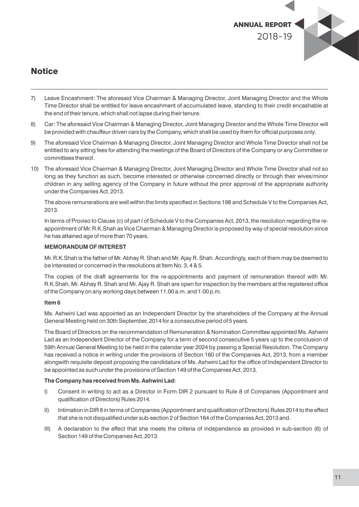

- 7) Leave Encashment: The aforesaid Vice Chairman & Managing Director, Joint Managing Director and the Whole Time Director shall be entitled for leave encashment of accumulated leave, standing to their credit encashable at the end of their tenure, which shall not lapse during their tenure.
- 8) Car: The aforesaid Vice Chairman & Managing Director, Joint Managing Director and the Whole Time Director will be provided with chauffeur driven cars by the Company, which shall be used by them for official purposes only.
- 9) The aforesaid Vice Chairman & Managing Director, Joint Managing Director and Whole Time Director shall not be entitled to any sitting fees for attending the meetings of the Board of Directors of the Company or any Committee or committees thereof.
- 10) The aforesaid Vice Chairman & Managing Director, Joint Managing Director and Whole Time Director shall not so long as they function as such, become interested or otherwise concerned directly or through their wives/minor children in any selling agency of the Company in future without the prior approval of the appropriate authority under the Companies Act, 2013.

The above remunerations are well within the limits specified in Sections 198 and Schedule V to the Companies Act, 2013.

In terms of Proviso to Clause (c) of part I of Schedule V to the Companies Act, 2013, the resolution regarding the reappointment of Mr. R.K.Shah as Vice Chairman & Managing Director is proposed by way of special resolution since he has attained age of more than 70 years.

#### **MEMORANDUM OF INTEREST**

Mr. R.K.Shah is the father of Mr. Abhay R. Shah and Mr. Ajay R. Shah. Accordingly, each of them may be deemed to be interested or concerned in the resolutions at Item No. 3, 4 & 5.

The copies of the draft agreements for the re-appointments and payment of remuneration thereof with Mr. R.K.Shah, Mr. Abhay R. Shah and Mr. Ajay R. Shah are open for inspection by the members at the registered office of the Company on any working days between 11.00 a.m. and 1.00 p.m.

#### **Item 6**

Ms. Ashwini Lad was appointed as an Independent Director by the shareholders of the Company at the Annual General Meeting held on 30th September, 2014 for a consecutive period of 5 years.

The Board of Directors on the recommendation of Remuneration & Nomination Committee appointed Ms. Ashwini Lad as an Independent Director of the Company for a term of second consecutive 5 years up to the conclusion of 59th Annual General Meeting to be held in the calendar year 2024 by passing a Special Resolution. The Company has received a notice in writing under the provisions of Section 160 of the Companies Act, 2013, from a member alongwith requisite deposit proposing the candidature of Ms. Ashwini Lad for the office of Independent Director to be appointed as such under the provisions of Section 149 of the Companies Act, 2013.

#### **The Company has received from Ms. Ashwini Lad:**

- I) Consent in writing to act as a Director in Form DIR 2 pursuant to Rule 8 of Companies (Appointment and qualification of Directors) Rules 2014.
- II) Intimation in DIR 8 in terms of Companies (Appointment and qualification of Directors) Rules 2014 to the effect that she is not disqualified under sub-section 2 of Section 164 of the Companies Act, 2013 and.
- III) A declaration to the effect that she meets the criteria of independence as provided in sub-section (6) of Section 149 of the Companies Act, 2013.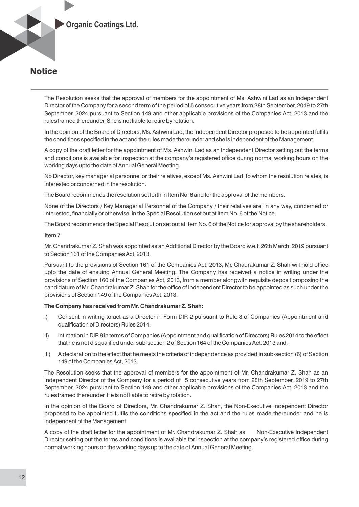

The Resolution seeks that the approval of members for the appointment of Ms. Ashwini Lad as an Independent Director of the Company for a second term of the period of 5 consecutive years from 28th September, 2019 to 27th September, 2024 pursuant to Section 149 and other applicable provisions of the Companies Act, 2013 and the rules framed thereunder. She is not liable to retire by rotation.

In the opinion of the Board of Directors, Ms. Ashwini Lad, the Independent Director proposed to be appointed fulfils the conditions specified in the act and the rules made thereunder and she is independent of the Management.

A copy of the draft letter for the appointment of Ms. Ashwini Lad as an Independent Director setting out the terms and conditions is available for inspection at the company's registered office during normal working hours on the working days upto the date of Annual General Meeting.

No Director, key managerial personnel or their relatives, except Ms. Ashwini Lad, to whom the resolution relates, is interested or concerned in the resolution.

The Board recommends the resolution set forth in Item No. 6 and for the approval of the members.

None of the Directors / Key Managerial Personnel of the Company / their relatives are, in any way, concerned or interested, financially or otherwise, in the Special Resolution set out at Item No. 6 of the Notice.

The Board recommends the Special Resolution set out at Item No. 6 of the Notice for approval by the shareholders.

#### **Item 7**

Mr. Chandrakumar Z. Shah was appointed as an Additional Director by the Board w.e.f. 26th March, 2019 pursuant to Section 161 of the Companies Act, 2013.

Pursuant to the provisions of Section 161 of the Companies Act, 2013, Mr. Chadrakumar Z. Shah will hold office upto the date of ensuing Annual General Meeting. The Company has received a notice in writing under the provisions of Section 160 of the Companies Act, 2013, from a member alongwith requisite deposit proposing the candidature of Mr. Chandrakumar Z. Shah for the office of Independent Director to be appointed as such under the provisions of Section 149 of the Companies Act, 2013.

#### **The Company has received from Mr. Chandrakumar Z. Shah:**

- I) Consent in writing to act as a Director in Form DIR 2 pursuant to Rule 8 of Companies (Appointment and qualification of Directors) Rules 2014.
- II) Intimation in DIR 8 in terms of Companies (Appointment and qualification of Directors) Rules 2014 to the effect that he is not disqualified under sub-section 2 of Section 164 of the Companies Act, 2013 and.
- III) A declaration to the effect that he meets the criteria of independence as provided in sub-section (6) of Section 149 of the Companies Act, 2013.

The Resolution seeks that the approval of members for the appointment of Mr. Chandrakumar Z. Shah as an Independent Director of the Company for a period of 5 consecutive years from 28th September, 2019 to 27th September, 2024 pursuant to Section 149 and other applicable provisions of the Companies Act, 2013 and the rules framed thereunder. He is not liable to retire by rotation.

In the opinion of the Board of Directors, Mr. Chandrakumar Z. Shah, the Non-Executive Independent Director proposed to be appointed fulfils the conditions specified in the act and the rules made thereunder and he is independent of the Management.

A copy of the draft letter for the appointment of Mr. Chandrakumar Z. Shah as Non-Executive Independent Director setting out the terms and conditions is available for inspection at the company's registered office during normal working hours on the working days up to the date of Annual General Meeting.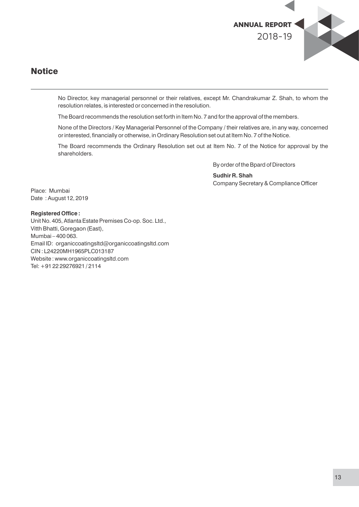

No Director, key managerial personnel or their relatives, except Mr. Chandrakumar Z. Shah, to whom the resolution relates, is interested or concerned in the resolution.

The Board recommends the resolution set forth in Item No. 7 and for the approval of the members.

None of the Directors / Key Managerial Personnel of the Company / their relatives are, in any way, concerned or interested, financially or otherwise, in Ordinary Resolution set out at Item No. 7 of the Notice.

The Board recommends the Ordinary Resolution set out at Item No. 7 of the Notice for approval by the shareholders.

By order of the Bpard of Directors

**Sudhir R. Shah** Company Secretary & Compliance Officer

Place: Mumbai Date : August 12, 2019

#### **Registered Office:**

Unit No. 405, Atlanta Estate Premises Co-op. Soc. Ltd., Vitth Bhatti, Goregaon (East), Mumbai – 400 063. Email ID: organiccoatingsltd@organiccoatingsltd.com CIN : L24220MH1965PLC013187 Website : www.organiccoatingsltd.com Tel: +91 22 29276921 / 2114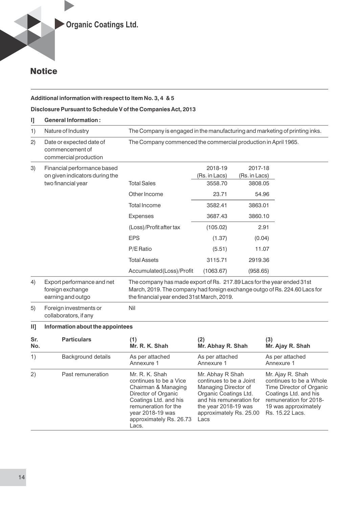#### **Additional information with respect to Item No. 3, 4 & 5**

### **Disclosure Pursuant to Schedule V of the Companies Act, 2013**

| ŋ          | <b>General Information:</b>                                          |                                                                                                                                                                                                    |                                                                                                                                                                                     |                          |                                                                                                                                                                       |  |  |  |
|------------|----------------------------------------------------------------------|----------------------------------------------------------------------------------------------------------------------------------------------------------------------------------------------------|-------------------------------------------------------------------------------------------------------------------------------------------------------------------------------------|--------------------------|-----------------------------------------------------------------------------------------------------------------------------------------------------------------------|--|--|--|
| 1)         | Nature of Industry                                                   |                                                                                                                                                                                                    | The Company is engaged in the manufacturing and marketing of printing inks.                                                                                                         |                          |                                                                                                                                                                       |  |  |  |
| 2)         | Date or expected date of<br>commencement of<br>commercial production | The Company commenced the commercial production in April 1965.                                                                                                                                     |                                                                                                                                                                                     |                          |                                                                                                                                                                       |  |  |  |
| 3)         | Financial performance based<br>on given indicators during the        |                                                                                                                                                                                                    | 2018-19<br>(Rs. in Lacs)                                                                                                                                                            | 2017-18<br>(Rs. in Lacs) |                                                                                                                                                                       |  |  |  |
|            | two financial year                                                   | <b>Total Sales</b>                                                                                                                                                                                 | 3558.70                                                                                                                                                                             | 3808.05                  |                                                                                                                                                                       |  |  |  |
|            |                                                                      | Other Income                                                                                                                                                                                       | 23.71                                                                                                                                                                               | 54.96                    |                                                                                                                                                                       |  |  |  |
|            |                                                                      | <b>Total Income</b>                                                                                                                                                                                | 3582.41                                                                                                                                                                             | 3863.01                  |                                                                                                                                                                       |  |  |  |
|            |                                                                      | <b>Expenses</b>                                                                                                                                                                                    | 3687.43                                                                                                                                                                             | 3860.10                  |                                                                                                                                                                       |  |  |  |
|            |                                                                      | (Loss)/Profit after tax                                                                                                                                                                            | (105.02)                                                                                                                                                                            |                          | 2.91                                                                                                                                                                  |  |  |  |
|            |                                                                      | <b>EPS</b>                                                                                                                                                                                         | (1.37)                                                                                                                                                                              | (0.04)                   |                                                                                                                                                                       |  |  |  |
|            |                                                                      | P/E Ratio                                                                                                                                                                                          | (5.51)                                                                                                                                                                              | 11.07                    |                                                                                                                                                                       |  |  |  |
|            |                                                                      | <b>Total Assets</b>                                                                                                                                                                                | 3115.71                                                                                                                                                                             | 2919.36                  |                                                                                                                                                                       |  |  |  |
|            |                                                                      | Accumulated(Loss)/Profit                                                                                                                                                                           | (1063.67)                                                                                                                                                                           | (958.65)                 |                                                                                                                                                                       |  |  |  |
| 4)         | Export performance and net<br>foreign exchange<br>earning and outgo  | The company has made export of Rs. 217.89 Lacs for the year ended 31st<br>March, 2019. The company had foreign exchange outgo of Rs. 224.60 Lacs for<br>the financial year ended 31st March, 2019. |                                                                                                                                                                                     |                          |                                                                                                                                                                       |  |  |  |
| 5)         | Foreign investments or<br>collaborators, if any                      | Nil                                                                                                                                                                                                |                                                                                                                                                                                     |                          |                                                                                                                                                                       |  |  |  |
| III        | Information about the appointees                                     |                                                                                                                                                                                                    |                                                                                                                                                                                     |                          |                                                                                                                                                                       |  |  |  |
| Sr.<br>No. | <b>Particulars</b>                                                   | (1)<br>Mr. R. K. Shah                                                                                                                                                                              | (2)<br>Mr. Abhay R. Shah                                                                                                                                                            |                          | (3)<br>Mr. Ajay R. Shah                                                                                                                                               |  |  |  |
| 1)         | Background details                                                   | As per attached<br>Annexure 1                                                                                                                                                                      | As per attached<br>Annexure 1                                                                                                                                                       |                          | As per attached<br>Annexure 1                                                                                                                                         |  |  |  |
| 2)         | Past remuneration                                                    | Mr. R. K. Shah<br>continues to be a Vice<br>Chairman & Managing<br>Director of Organic<br>Coatings Ltd. and his<br>remuneration for the<br>year 2018-19 was<br>approximately Rs. 26.73<br>Lacs.    | Mr. Abhay R Shah<br>continues to be a Joint<br>Managing Director of<br>Organic Coatings Ltd.<br>and his remuneration for<br>the year 2018-19 was<br>approximately Rs. 25.00<br>Lacs |                          | Mr. Ajay R. Shah<br>continues to be a Whole<br>Time Director of Organic<br>Coatings Ltd. and his<br>remuneration for 2018-<br>19 was approximately<br>Rs. 15.22 Lacs. |  |  |  |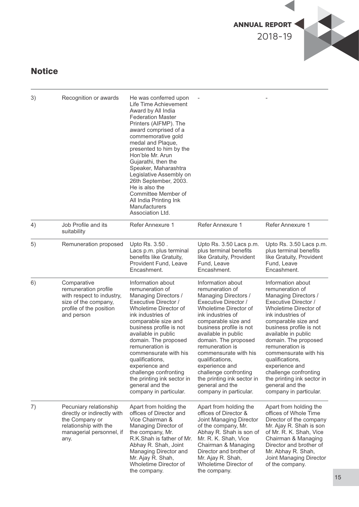

| 3) | Recognition or awards                                                                                                                | He was conferred upon<br>Life Time Achievement<br>Award by All India<br><b>Federation Master</b><br>Printers (AIFMP). The<br>award comprised of a<br>commemorative gold<br>medal and Plaque,<br>presented to him by the<br>Hon'ble Mr. Arun<br>Gujarathi, then the<br>Speaker, Maharashtra<br>Legislative Assembly on<br>26th September, 2003.<br>He is also the<br>Committee Member of<br>All India Printing Ink<br>Manufacturers<br>Association Ltd. |                                                                                                                                                                                                                                                                                                                                                                                                                          |                                                                                                                                                                                                                                                                                                                                                                                                                          |
|----|--------------------------------------------------------------------------------------------------------------------------------------|--------------------------------------------------------------------------------------------------------------------------------------------------------------------------------------------------------------------------------------------------------------------------------------------------------------------------------------------------------------------------------------------------------------------------------------------------------|--------------------------------------------------------------------------------------------------------------------------------------------------------------------------------------------------------------------------------------------------------------------------------------------------------------------------------------------------------------------------------------------------------------------------|--------------------------------------------------------------------------------------------------------------------------------------------------------------------------------------------------------------------------------------------------------------------------------------------------------------------------------------------------------------------------------------------------------------------------|
| 4) | Job Profile and its<br>suitability                                                                                                   | Refer Annexure 1                                                                                                                                                                                                                                                                                                                                                                                                                                       | <b>Refer Annexure 1</b>                                                                                                                                                                                                                                                                                                                                                                                                  | Refer Annexure 1                                                                                                                                                                                                                                                                                                                                                                                                         |
| 5) | Remuneration proposed                                                                                                                | Upto Rs. 3.50.<br>Lacs p.m. plus terminal<br>benefits like Gratuity,<br>Provident Fund, Leave<br>Encashment.                                                                                                                                                                                                                                                                                                                                           | Upto Rs. 3.50 Lacs p.m.<br>plus terminal benefits<br>like Gratuity, Provident<br>Fund, Leave<br>Encashment.                                                                                                                                                                                                                                                                                                              | Upto Rs. 3.50 Lacs p.m.<br>plus terminal benefits<br>like Gratuity, Provident<br>Fund, Leave<br>Encashment.                                                                                                                                                                                                                                                                                                              |
| 6) | Comparative<br>remuneration profile<br>with respect to industry,<br>size of the company,<br>profile of the position<br>and person    | Information about<br>remuneration of<br>Managing Directors /<br>Executive Director /<br>Wholetime Director of<br>ink industries of<br>comparable size and<br>business profile is not<br>available in public<br>domain. The proposed<br>remuneration is<br>commensurate with his<br>qualifications,<br>experience and<br>challenge confronting<br>the printing ink sector in<br>general and the<br>company in particular.                               | Information about<br>remuneration of<br>Managing Directors /<br>Executive Director /<br>Wholetime Director of<br>ink industries of<br>comparable size and<br>business profile is not<br>available in public<br>domain. The proposed<br>remuneration is<br>commensurate with his<br>qualifications,<br>experience and<br>challenge confronting<br>the printing ink sector in<br>general and the<br>company in particular. | Information about<br>remuneration of<br>Managing Directors /<br>Executive Director /<br>Wholetime Director of<br>ink industries of<br>comparable size and<br>business profile is not<br>available in public<br>domain. The proposed<br>remuneration is<br>commensurate with his<br>qualifications,<br>experience and<br>challenge confronting<br>the printing ink sector in<br>general and the<br>company in particular. |
| 7) | Pecuniary relationship<br>directly or indirectly with<br>the Company or<br>relationship with the<br>managerial personnel, if<br>any. | Apart from holding the<br>offices of Director and<br>Vice Chairman &<br>Managing Director of<br>the company, Mr.<br>R.K.Shah is father of Mr.<br>Abhay R. Shah, Joint<br>Managing Director and<br>Mr. Ajay R. Shah,<br>Wholetime Director of<br>the company.                                                                                                                                                                                           | Apart from holding the<br>offices of Director &<br>Joint Managing Director<br>of the company, Mr.<br>Abhay R. Shah is son of<br>Mr. R. K. Shah, Vice<br>Chairman & Managing<br>Director and brother of<br>Mr. Ajay R. Shah,<br>Wholetime Director of<br>the company.                                                                                                                                                     | Apart from holding the<br>offices of Whole Time<br>Director of the company<br>Mr. Ajay R. Shah is son<br>of Mr. R. K. Shah, Vice<br>Chairman & Managing<br>Director and brother of<br>Mr. Abhay R. Shah,<br>Joint Managing Director<br>of the company.                                                                                                                                                                   |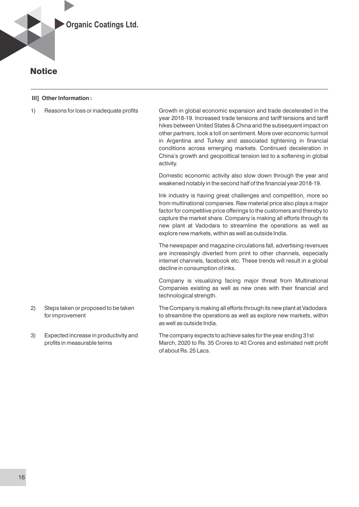

#### **III] Other Information :**

1) Reasons for loss or inadequate profits Growth in global economic expansion and trade decelerated in the year 2018-19. Increased trade tensions and tariff tensions and tariff hikes between United States & China and the subsequent impact on other partners, took a toll on sentiment. More over economic turmoil in Argentina and Turkey and associated tightening in financial conditions across emerging markets. Continued deceleration in China's growth and geopolitical tension led to a softening in global activity.

> Domestic economic activity also slow down through the year and weakened notably in the second half of the financial year 2018-19.

> Ink industry is having great challenges and competition, more so from multinational companies. Raw material price also plays a major factor for competitive price offerings to the customers and thereby to capture the market share. Company is making all efforts through its new plant at Vadodara to streamline the operations as well as explore new markets, within as well as outside India.

> The newspaper and magazine circulations fall, advertising revenues are increasingly diverted from print to other channels, especially internet channels, facebook etc. These trends will result in a global decline in consumption of inks.

> Company is visualizing facing major threat from Multinational Companies existing as well as new ones with their financial and technological strength.

2) Steps taken or proposed to be taken The Company is making all efforts through its new plant at Vadodara for improvement to streamline the operations as well as explore new markets, within as well as outside India.

3) Expected increase in productivity and The company expects to achieve sales for the year ending 31st profits in measurable terms March, 2020 to Rs. 35 Crores to 40 Crores and estimated nett profit of about Rs. 25 Lacs.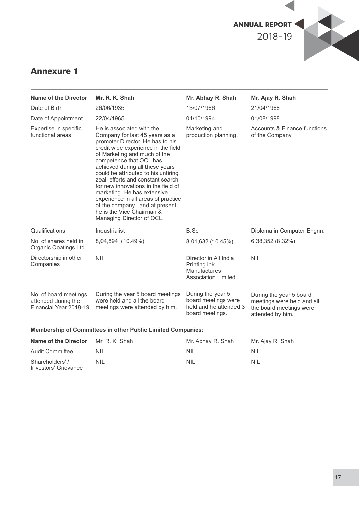

## Annexure 1

Shareholders' / Investors' Grievance NIL

| Name of the Director                                                   | Mr. R. K. Shah                                                                                                                                                                                                                                                                                                                                                                                                                                                                                                           | Mr. Abhay R. Shah                                                                          | Mr. Ajay R. Shah                                                                                     |
|------------------------------------------------------------------------|--------------------------------------------------------------------------------------------------------------------------------------------------------------------------------------------------------------------------------------------------------------------------------------------------------------------------------------------------------------------------------------------------------------------------------------------------------------------------------------------------------------------------|--------------------------------------------------------------------------------------------|------------------------------------------------------------------------------------------------------|
| Date of Birth                                                          | 26/06/1935                                                                                                                                                                                                                                                                                                                                                                                                                                                                                                               | 13/07/1966                                                                                 | 21/04/1968                                                                                           |
| Date of Appointment                                                    | 22/04/1965                                                                                                                                                                                                                                                                                                                                                                                                                                                                                                               | 01/10/1994                                                                                 | 01/08/1998                                                                                           |
| Expertise in specific<br>functional areas                              | He is associated with the<br>Company for last 45 years as a<br>promoter Director. He has to his<br>credit wide experience in the field<br>of Marketing and much of the<br>competence that OCL has<br>achieved during all these years<br>could be attributed to his untiring<br>zeal, efforts and constant search<br>for new innovations in the field of<br>marketing. He has extensive<br>experience in all areas of practice<br>of the company and at present<br>he is the Vice Chairman &<br>Managing Director of OCL. | Marketing and<br>production planning.                                                      | Accounts & Finance functions<br>of the Company                                                       |
| Qualifications                                                         | Industrialist                                                                                                                                                                                                                                                                                                                                                                                                                                                                                                            | B.Sc                                                                                       | Diploma in Computer Engnn.                                                                           |
| No. of shares held in<br>Organic Coatings Ltd.                         | 8,04,894 (10.49%)                                                                                                                                                                                                                                                                                                                                                                                                                                                                                                        | 8,01,632 (10.45%)                                                                          | 6,38,352 (8.32%)                                                                                     |
| Directorship in other<br>Companies                                     | <b>NIL</b>                                                                                                                                                                                                                                                                                                                                                                                                                                                                                                               | Director in All India<br>Printing ink<br><b>Manufactures</b><br><b>Association Limited</b> | <b>NIL</b>                                                                                           |
| No. of board meetings<br>attended during the<br>Financial Year 2018-19 | During the year 5 board meetings<br>were held and all the board<br>meetings were attended by him.                                                                                                                                                                                                                                                                                                                                                                                                                        | During the year 5<br>board meetings were<br>held and he attended 3<br>board meetings.      | During the year 5 board<br>meetings were held and all<br>the board meetings were<br>attended by him. |
|                                                                        | <b>Membership of Committees in other Public Limited Companies:</b>                                                                                                                                                                                                                                                                                                                                                                                                                                                       |                                                                                            |                                                                                                      |
| <b>Name of the Director</b>                                            | Mr. R. K. Shah                                                                                                                                                                                                                                                                                                                                                                                                                                                                                                           | Mr. Abhay R. Shah                                                                          | Mr. Ajay R. Shah                                                                                     |
| <b>Audit Committee</b>                                                 | <b>NIL</b>                                                                                                                                                                                                                                                                                                                                                                                                                                                                                                               | <b>NIL</b>                                                                                 | <b>NIL</b>                                                                                           |

NIL

NIL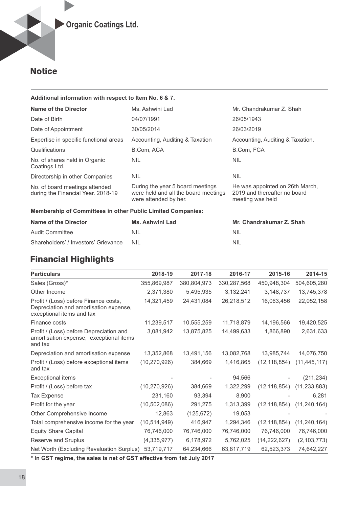#### **Additional information with respect to Item No. 6 & 7.**

| Name of the Director                                                 | Ms. Ashwini Lad                                                                                   | Mr. Chandrakumar Z. Shah                                                            |  |  |  |  |  |  |  |
|----------------------------------------------------------------------|---------------------------------------------------------------------------------------------------|-------------------------------------------------------------------------------------|--|--|--|--|--|--|--|
| Date of Birth                                                        | 04/07/1991                                                                                        | 26/05/1943                                                                          |  |  |  |  |  |  |  |
| Date of Appointment                                                  | 30/05/2014                                                                                        | 26/03/2019                                                                          |  |  |  |  |  |  |  |
| Expertise in specific functional areas                               | Accounting, Auditing & Taxation                                                                   | Accounting, Auditing & Taxation.                                                    |  |  |  |  |  |  |  |
| Qualifications                                                       | B.Com, ACA                                                                                        | B.Com, FCA                                                                          |  |  |  |  |  |  |  |
| No. of shares held in Organic<br>Coatings Ltd.                       | <b>NIL</b>                                                                                        | <b>NIL</b>                                                                          |  |  |  |  |  |  |  |
| Directorship in other Companies                                      | <b>NIL</b>                                                                                        | <b>NIL</b>                                                                          |  |  |  |  |  |  |  |
| No. of board meetings attended<br>during the Financial Year. 2018-19 | During the year 5 board meetings<br>were held and all the board meetings<br>were attended by her. | He was appointed on 26th March,<br>2019 and thereafter no board<br>meeting was held |  |  |  |  |  |  |  |
|                                                                      | <b>Membership of Committees in other Public Limited Companies:</b>                                |                                                                                     |  |  |  |  |  |  |  |

| Name of the Director                 | Ms. Ashwini Lad | Mr. Chandrakumar Z. Shah |
|--------------------------------------|-----------------|--------------------------|
| Audit Committee                      | NIL             | NIL                      |
| Shareholders' / Investors' Grievance | - NIL           | <b>NIL</b>               |

## Financial Highlights

| <b>Particulars</b>                                                                                           | 2018-19        | 2017-18     | 2016-17     | 2015-16        | 2014-15                           |
|--------------------------------------------------------------------------------------------------------------|----------------|-------------|-------------|----------------|-----------------------------------|
| Sales (Gross)*                                                                                               | 355,869,987    | 380,804,973 | 330,287,568 | 450,948,304    | 504,605,280                       |
| Other Income                                                                                                 | 2,371,380      | 5,495,935   | 3,132,241   | 3,148,737      | 13,745,378                        |
| Profit / (Loss) before Finance costs,<br>Depreciation and amortisation expense,<br>exceptional items and tax | 14,321,459     | 24,431,084  | 26,218,512  | 16,063,456     | 22,052,158                        |
| Finance costs                                                                                                | 11,239,517     | 10,555,259  | 11,718,879  | 14,196,566     | 19,420,525                        |
| Profit / (Loss) before Depreciation and<br>amortisation expense, exceptional items<br>and tax                | 3,081,942      | 13,875,825  | 14,499,633  | 1,866,890      | 2,631,633                         |
| Depreciation and amortisation expense                                                                        | 13,352,868     | 13,491,156  | 13,082,768  | 13,985,744     | 14,076,750                        |
| Profit / (Loss) before exceptional items<br>and tax                                                          | (10, 270, 926) | 384,669     | 1,416,865   | (12, 118, 854) | (11, 445, 117)                    |
| <b>Exceptional items</b>                                                                                     |                |             | 94,566      |                | (211, 234)                        |
| Profit / (Loss) before tax                                                                                   | (10, 270, 926) | 384,669     | 1,322,299   |                | $(12, 118, 854)$ $(11, 233, 883)$ |
| <b>Tax Expense</b>                                                                                           | 231,160        | 93,394      | 8,900       |                | 6,281                             |
| Profit for the year                                                                                          | (10, 502, 086) | 291,275     | 1,313,399   |                | $(12, 118, 854)$ $(11, 240, 164)$ |
| Other Comprehensive Income                                                                                   | 12,863         | (125, 672)  | 19,053      |                |                                   |
| Total comprehensive income for the year                                                                      | (10, 514, 949) | 416,947     | 1,294,346   | (12, 118, 854) | (11, 240, 164)                    |
| <b>Equity Share Capital</b>                                                                                  | 76,746,000     | 76,746,000  | 76,746,000  | 76,746,000     | 76,746,000                        |
| Reserve and Sruplus                                                                                          | (4,335,977)    | 6,178,972   | 5,762,025   | (14, 222, 627) | (2, 103, 773)                     |
| Net Worth (Excluding Revaluation Surplus)                                                                    | 53,719,717     | 64,234,666  | 63,817,719  | 62,523,373     | 74,642,227                        |

**\* In GST regime, the sales is net of GST effective from 1st July 2017**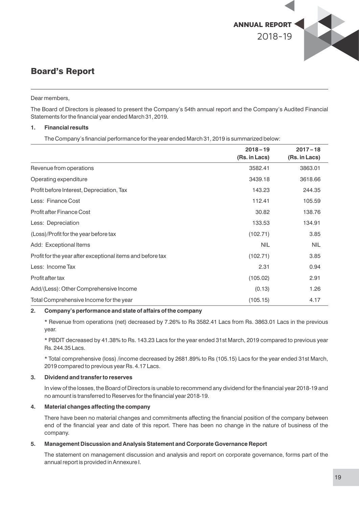

#### Dear members,

The Board of Directors is pleased to present the Company's 54th annual report and the Company's Audited Financial Statements for the financial year ended March 31, 2019.

#### **1. Financial results**

The Company's financial performance for the year ended March 31, 2019 is summarized below:

|                                                            | $2018 - 19$<br>(Rs. in Lacs) | $2017 - 18$<br>(Rs. in Lacs) |
|------------------------------------------------------------|------------------------------|------------------------------|
| Revenue from operations                                    | 3582.41                      | 3863.01                      |
| Operating expenditure                                      | 3439.18                      | 3618.66                      |
| Profit before Interest, Depreciation, Tax                  | 143.23                       | 244.35                       |
| Less: Finance Cost                                         | 112.41                       | 105.59                       |
| <b>Profit after Finance Cost</b>                           | 30.82                        | 138.76                       |
| Less: Depreciation                                         | 133.53                       | 134.91                       |
| (Loss)/Profit for the year before tax                      | (102.71)                     | 3.85                         |
| Add: Exceptional Items                                     | <b>NIL</b>                   | <b>NIL</b>                   |
| Profit for the year after exceptional items and before tax | (102.71)                     | 3.85                         |
| Less: Income Tax                                           | 2.31                         | 0.94                         |
| Profit after tax                                           | (105.02)                     | 2.91                         |
| Add/(Less): Other Comprehensive Income                     | (0.13)                       | 1.26                         |
| Total Comprehensive Income for the year                    | (105.15)                     | 4.17                         |

#### **2. Company's performance and state of affairs of the company**

\* Revenue from operations (net) decreased by 7.26% to Rs 3582.41 Lacs from Rs. 3863.01 Lacs in the previous year.

\* PBDIT decreased by 41.38% to Rs. 143.23 Lacs for the year ended 31st March, 2019 compared to previous year Rs. 244.35 Lacs.

\* Total comprehensive (loss) /income decreased by 2681.89% to Rs (105.15) Lacs for the year ended 31st March, 2019 compared to previous year Rs. 4.17 Lacs.

#### **3. Dividend and transfer to reserves**

In view of the losses, the Board of Directors is unable to recommend any dividend for the financial year 2018-19 and no amount is transferred to Reserves for the financial year 2018-19.

#### **4. Material changes affecting the company**

There have been no material changes and commitments affecting the financial position of the company between end of the nancial year and date of this report. There has been no change in the nature of business of the company.

#### **5. Management Discussion and Analysis Statement and Corporate Governance Report**

The statement on management discussion and analysis and report on corporate governance, forms part of the annual report is provided in Annexure I.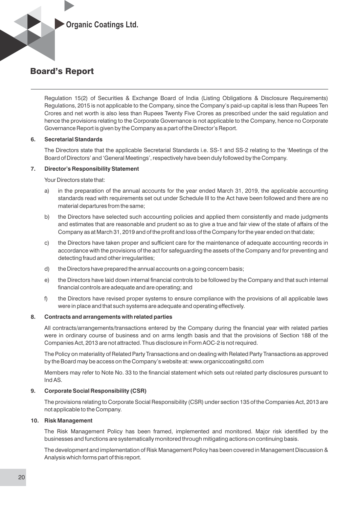

Regulation 15(2) of Securities & Exchange Board of India (Listing Obligations & Disclosure Requirements) Regulations, 2015 is not applicable to the Company, since the Company's paid-up capital is less than Rupees Ten Crores and net worth is also less than Rupees Twenty Five Crores as prescribed under the said regulation and hence the provisions relating to the Corporate Governance is not applicable to the Company, hence no Corporate Governance Report is given by the Company as a part of the Director's Report.

#### **6. Secretarial Standards**

The Directors state that the applicable Secretarial Standards i.e. SS-1 and SS-2 relating to the 'Meetings of the Board of Directors' and 'General Meetings', respectively have been duly followed by the Company.

#### **7. Director's Responsibility Statement**

Your Directors state that:

- a) in the preparation of the annual accounts for the year ended March 31, 2019, the applicable accounting standards read with requirements set out under Schedule III to the Act have been followed and there are no material departures from the same;
- b) the Directors have selected such accounting policies and applied them consistently and made judgments and estimates that are reasonable and prudent so as to give a true and fair view of the state of affairs of the Company as at March 31, 2019 and of the profit and loss of the Company for the year ended on that date;
- c) the Directors have taken proper and sufficient care for the maintenance of adequate accounting records in accordance with the provisions of the act for safeguarding the assets of the Company and for preventing and detecting fraud and other irregularities;
- d) the Directors have prepared the annual accounts on a going concern basis;
- e) the Directors have laid down internal financial controls to be followed by the Company and that such internal financial controls are adequate and are operating; and
- f) the Directors have revised proper systems to ensure compliance with the provisions of all applicable laws were in place and that such systems are adequate and operating effectively.

#### **8. Contracts and arrangements with related parties**

All contracts/arrangements/transactions entered by the Company during the financial year with related parties were in ordinary course of business and on arms length basis and that the provisions of Section 188 of the Companies Act, 2013 are not attracted. Thus disclosure in Form AOC-2 is not required.

The Policy on materiality of Related Party Transactions and on dealing with Related Party Transactions as approved by the Board may be access on the Company's website at: www.organiccoatingsltd.com

Members may refer to Note No. 33 to the financial statement which sets out related party disclosures pursuant to Ind AS.

#### **9. Corporate Social Responsibility (CSR)**

The provisions relating to Corporate Social Responsibility (CSR) under section 135 of the Companies Act, 2013 are not applicable to the Company.

#### **10. Risk Management**

The Risk Management Policy has been framed, implemented and monitored. Major risk identified by the businesses and functions are systematically monitored through mitigating actions on continuing basis.

The development and implementation of Risk Management Policy has been covered in Management Discussion & Analysis which forms part of this report.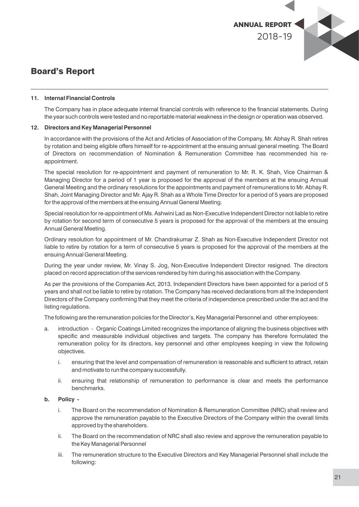

#### **11. Internal Financial Controls**

The Company has in place adequate internal financial controls with reference to the financial statements. During the year such controls were tested and no reportable material weakness in the design or operation was observed.

#### **12. Directors and Key Managerial Personnel**

In accordance with the provisions of the Act and Articles of Association of the Company, Mr. Abhay R. Shah retires by rotation and being eligible offers himself for re-appointment at the ensuing annual general meeting. The Board of Directors on recommendation of Nomination & Remuneration Committee has recommended his reappointment.

The special resolution for re-appointment and payment of remuneration to Mr. R. K. Shah, Vice Chairman & Managing Director for a period of 1 year is proposed for the approval of the members at the ensuing Annual General Meeting and the ordinary resolutions for the appointments and payment of remunerations to Mr. Abhay R. Shah, Joint Managing Director and Mr. Ajay R. Shah as a Whole Time Director for a period of 5 years are proposed for the approval of the members at the ensuing Annual General Meeting.

Special resolution for re-appointment of Ms. Ashwini Lad as Non-Executive Independent Director not liable to retire by rotation for second term of consecutive 5 years is proposed for the approval of the members at the ensuing Annual General Meeting.

Ordinary resolution for appointment of Mr. Chandrakumar Z. Shah as Non-Executive Independent Director not liable to retire by rotation for a term of consecutive 5 years is proposed for the approval of the members at the ensuing Annual General Meeting.

During the year under review, Mr. Vinay S. Jog, Non-Executive Independent Director resigned. The directors placed on record appreciation of the services rendered by him during his association with the Company.

As per the provisions of the Companies Act, 2013, Independent Directors have been appointed for a period of 5 years and shall not be liable to retire by rotation. The Company has received declarations from all the Independent Directors of the Company confirming that they meet the criteria of independence prescribed under the act and the listing regulations.

The following are the remuneration policies for the Director's, Key Managerial Personnel and other employees:

- a. introduction Organic Coatings Limited recognizes the importance of aligning the business objectives with specific and measurable individual objectives and targets. The company has therefore formulated the remuneration policy for its directors, key personnel and other employees keeping in view the following objectives.
	- i. ensuring that the level and compensation of remuneration is reasonable and sufficient to attract, retain and motivate to run the company successfully.
	- ii. ensuring that relationship of remuneration to performance is clear and meets the performance benchmarks.

#### **b. Policy -**

- i. The Board on the recommendation of Nomination & Remuneration Committee (NRC) shall review and approve the remuneration payable to the Executive Directors of the Company within the overall limits approved by the shareholders.
- ii. The Board on the recommendation of NRC shall also review and approve the remuneration payable to the Key Managerial Personnel
- iii. The remuneration structure to the Executive Directors and Key Managerial Personnel shall include the following: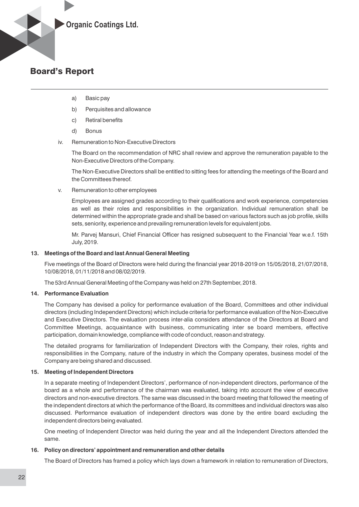

- a) Basic pay
- b) Perquisites and allowance
- c) Retiral benefits
- d) Bonus
- iv. Remuneration to Non-Executive Directors

The Board on the recommendation of NRC shall review and approve the remuneration payable to the Non-Executive Directors of the Company.

The Non-Executive Directors shall be entitled to sitting fees for attending the meetings of the Board and the Committees thereof.

v. Remuneration to other employees

Employees are assigned grades according to their qualifications and work experience, competencies as well as their roles and responsibilities in the organization. Individual remuneration shall be determined within the appropriate grade and shall be based on various factors such as job profile, skills sets, seniority, experience and prevailing remuneration levels for equivalent jobs.

Mr. Parvei Mansuri, Chief Financial Officer has resigned subsequent to the Financial Year w.e.f. 15th July, 2019.

#### **13. Meetings of the Board and last Annual General Meeting**

Five meetings of the Board of Directors were held during the financial year 2018-2019 on 15/05/2018, 21/07/2018, 10/08/2018, 01/11/2018 and 08/02/2019.

The 53rd Annual General Meeting of the Company was held on 27th September, 2018.

#### **14. Performance Evaluation**

The Company has devised a policy for performance evaluation of the Board, Committees and other individual directors (including Independent Directors) which include criteria for performance evaluation of the Non-Executive and Executive Directors. The evaluation process inter-alia considers attendance of the Directors at Board and Committee Meetings, acquaintance with business, communicating inter se board members, effective participation, domain knowledge, compliance with code of conduct, reason and strategy.

The detailed programs for familiarization of Independent Directors with the Company, their roles, rights and responsibilities in the Company, nature of the industry in which the Company operates, business model of the Company are being shared and discussed.

#### **15. Meeting of Independent Directors**

In a separate meeting of Independent Directors', performance of non-independent directors, performance of the board as a whole and performance of the chairman was evaluated, taking into account the view of executive directors and non-executive directors. The same was discussed in the board meeting that followed the meeting of the independent directors at which the performance of the Board, its committees and individual directors was also discussed. Performance evaluation of independent directors was done by the entire board excluding the independent directors being evaluated.

One meeting of Independent Director was held during the year and all the Independent Directors attended the same.

#### **16. Policy on directors' appointment and remuneration and other details**

The Board of Directors has framed a policy which lays down a framework in relation to remuneration of Directors,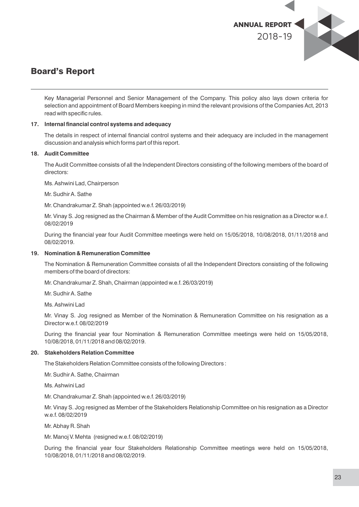

Key Managerial Personnel and Senior Management of the Company. This policy also lays down criteria for selection and appointment of Board Members keeping in mind the relevant provisions of the Companies Act, 2013 read with specific rules.

#### 17. Internal financial control systems and adequacy

The details in respect of internal financial control systems and their adequacy are included in the management discussion and analysis which forms part of this report.

#### **18. Audit Committee**

The Audit Committee consists of all the Independent Directors consisting of the following members of the board of directors:

Ms. Ashwini Lad, Chairperson

Mr. Sudhir A. Sathe

Mr. Chandrakumar Z. Shah (appointed w.e.f. 26/03/2019)

Mr. Vinay S. Jog resigned as the Chairman & Member of the Audit Committee on his resignation as a Director w.e.f. 08/02/2019

During the financial year four Audit Committee meetings were held on 15/05/2018, 10/08/2018, 01/11/2018 and 08/02/2019.

#### **19. Nomination & Remuneration Committee**

The Nomination & Remuneration Committee consists of all the Independent Directors consisting of the following members of the board of directors:

Mr. Chandrakumar Z. Shah, Chairman (appointed w.e.f. 26/03/2019)

Mr. Sudhir A. Sathe

Ms. Ashwini Lad

Mr. Vinay S. Jog resigned as Member of the Nomination & Remuneration Committee on his resignation as a Director w.e.f. 08/02/2019

During the financial year four Nomination & Remuneration Committee meetings were held on 15/05/2018, 10/08/2018, 01/11/2018 and 08/02/2019.

#### **20. Stakeholders Relation Committee**

The Stakeholders Relation Committee consists of the following Directors :

Mr. Sudhir A. Sathe, Chairman

Ms. Ashwini Lad

Mr. Chandrakumar Z. Shah (appointed w.e.f. 26/03/2019)

Mr. Vinay S. Jog resigned as Member of the Stakeholders Relationship Committee on his resignation as a Director w.e.f. 08/02/2019

Mr. Abhay R. Shah

Mr. Manoj V. Mehta (resigned w.e.f. 08/02/2019)

During the financial year four Stakeholders Relationship Committee meetings were held on 15/05/2018, 10/08/2018, 01/11/2018 and 08/02/2019.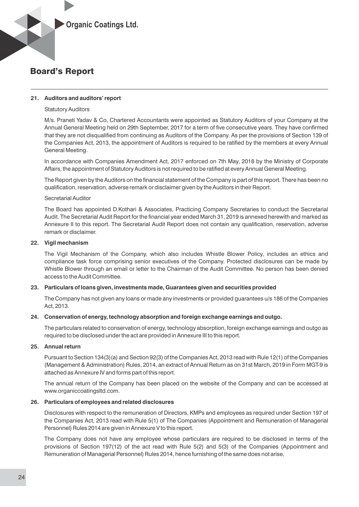

#### **21. Auditors and auditors' report**

#### Statutory Auditors

M/s. Praneti Yadav & Co, Chartered Accountants were appointed as Statutory Auditors of your Company at the Annual General Meeting held on 29th September, 2017 for a term of five consecutive years. They have confirmed that they are not disqualified from continuing as Auditors of the Company. As per the provisions of Section 139 of the Companies Act, 2013, the appointment of Auditors is required to be ratied by the members at every Annual General Meeting.

In accordance with Companies Amendment Act, 2017 enforced on 7th May, 2018 by the Ministry of Corporate Affairs, the appointment of Statutory Auditors is not required to be ratified at every Annual General Meeting.

The Report given by the Auditors on the financial statement of the Company is part of this report. There has been no qualification, reservation, adverse remark or disclaimer given by the Auditors in their Report.

#### Secretarial Auditor

The Board has appointed D.Kothari & Associates, Practicing Company Secretaries to conduct the Secretarial Audit. The Secretarial Audit Report for the financial year ended March 31, 2019 is annexed herewith and marked as Annexure II to this report. The Secretarial Audit Report does not contain any qualification, reservation, adverse remark or disclaimer.

#### **22. Vigil mechanism**

The Vigil Mechanism of the Company, which also includes Whistle Blower Policy, includes an ethics and compliance task force comprising senior executives of the Company. Protected disclosures can be made by Whistle Blower through an email or letter to the Chairman of the Audit Committee. No person has been denied access to the Audit Committee.

#### **23. Particulars of loans given, investments made, Guarantees given and securities provided**

The Company has not given any loans or made any investments or provided guarantees u/s 186 of the Companies Act, 2013.

#### **24. Conservation of energy, technology absorption and foreign exchange earnings and outgo.**

The particulars related to conservation of energy, technology absorption, foreign exchange earnings and outgo as required to be disclosed under the act are provided in Annexure III to this report.

#### **25. Annual return**

Pursuant to Section 134(3)(a) and Section 92(3) of the Companies Act, 2013 read with Rule 12(1) of the Companies (Management & Administration) Rules, 2014, an extract of Annual Return as on 31st March, 2019 in Form MGT-9 is attached as Annexure IV and forms part of this report.

The annual return of the Company has been placed on the website of the Company and can be accessed at www.organiccoatingsltd.com.

#### **26. Particulars of employees and related disclosures**

Disclosures with respect to the remuneration of Directors, KMPs and employees as required under Section 197 of the Companies Act, 2013 read with Rule 5(1) of The Companies (Appointment and Remuneration of Managerial Personnel) Rules 2014 are given in Annexure V to this report.

The Company does not have any employee whose particulars are required to be disclosed in terms of the provisions of Section 197(12) of the act read with Rule 5(2) and 5(3) of the Companies (Appointment and Remuneration of Managerial Personnel) Rules 2014, hence furnishing of the same does not arise,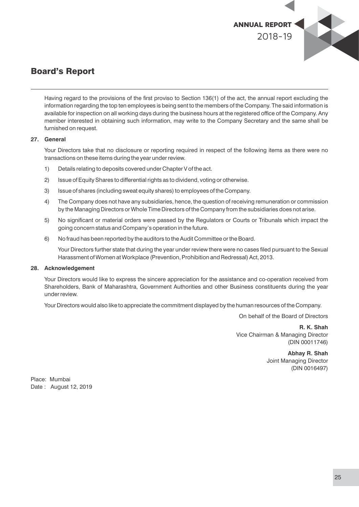

Having regard to the provisions of the first proviso to Section 136(1) of the act, the annual report excluding the information regarding the top ten employees is being sent to the members of the Company. The said information is available for inspection on all working days during the business hours at the registered office of the Company. Any member interested in obtaining such information, may write to the Company Secretary and the same shall be furnished on request.

#### **27. General**

Your Directors take that no disclosure or reporting required in respect of the following items as there were no transactions on these items during the year under review.

- 1) Details relating to deposits covered under Chapter V of the act.
- 2) Issue of Equity Shares to differential rights as to dividend, voting or otherwise.
- 3) Issue of shares (including sweat equity shares) to employees of the Company.
- 4) The Company does not have any subsidiaries, hence, the question of receiving remuneration or commission by the Managing Directors or Whole Time Directors of the Company from the subsidiaries does not arise.
- 5) No significant or material orders were passed by the Regulators or Courts or Tribunals which impact the going concern status and Company's operation in the future.
- 6) No fraud has been reported by the auditors to the Audit Committee or the Board.

Your Directors further state that during the year under review there were no cases filed pursuant to the Sexual Harassment of Women at Workplace (Prevention, Prohibition and Redressal) Act, 2013.

#### **28. Acknowledgement**

Your Directors would like to express the sincere appreciation for the assistance and co-operation received from Shareholders, Bank of Maharashtra, Government Authorities and other Business constituents during the year under review.

Your Directors would also like to appreciate the commitment displayed by the human resources of the Company.

On behalf of the Board of Directors

**R. K. Shah** Vice Chairman & Managing Director (DIN 00011746)

> **Abhay R. Shah** Joint Managing Director (DIN 0016497)

Place: Mumbai Date : August 12, 2019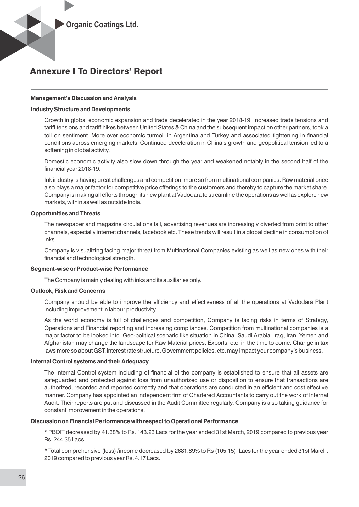#### **Management's Discussion and Analysis**

#### **Industry Structure and Developments**

Growth in global economic expansion and trade decelerated in the year 2018-19. Increased trade tensions and tariff tensions and tariff hikes between United States & China and the subsequent impact on other partners, took a toll on sentiment. More over economic turmoil in Argentina and Turkey and associated tightening in financial conditions across emerging markets. Continued deceleration in China's growth and geopolitical tension led to a softening in global activity.

Domestic economic activity also slow down through the year and weakened notably in the second half of the financial year 2018-19.

Ink industry is having great challenges and competition, more so from multinational companies. Raw material price also plays a major factor for competitive price offerings to the customers and thereby to capture the market share. Company is making all efforts through its new plant at Vadodara to streamline the operations as well as explore new markets, within as well as outside India.

#### **Opportunities and Threats**

The newspaper and magazine circulations fall, advertising revenues are increasingly diverted from print to other channels, especially internet channels, facebook etc. These trends will result in a global decline in consumption of inks.

Company is visualizing facing major threat from Multinational Companies existing as well as new ones with their financial and technological strength.

#### **Segment-wise or Product-wise Performance**

The Company is mainly dealing with inks and its auxiliaries only.

#### **Outlook, Risk and Concerns**

Company should be able to improve the efficiency and effectiveness of all the operations at Vadodara Plant including improvement in labour productivity.

As the world economy is full of challenges and competition, Company is facing risks in terms of Strategy, Operations and Financial reporting and increasing compliances. Competition from multinational companies is a major factor to be looked into. Geo-political scenario like situation in China, Saudi Arabia, Iraq, Iran, Yemen and Afghanistan may change the landscape for Raw Material prices, Exports, etc. in the time to come. Change in tax laws more so about GST, interest rate structure, Government policies, etc. may impact your company's business.

#### **Internal Control systems and their Adequacy**

The Internal Control system including of financial of the company is established to ensure that all assets are safeguarded and protected against loss from unauthorized use or disposition to ensure that transactions are authorized, recorded and reported correctly and that operations are conducted in an efficient and cost effective manner. Company has appointed an independent firm of Chartered Accountants to carry out the work of Internal Audit. Their reports are put and discussed in the Audit Committee regularly. Company is also taking guidance for constant improvement in the operations.

#### **Discussion on Financial Performance with respect to Operational Performance**

\* PBDIT decreased by 41.38% to Rs. 143.23 Lacs for the year ended 31st March, 2019 compared to previous year Rs. 244.35 Lacs.

\* Total comprehensive (loss) /income decreased by 2681.89% to Rs (105.15). Lacs for the year ended 31st March, 2019 compared to previous year Rs. 4.17 Lacs.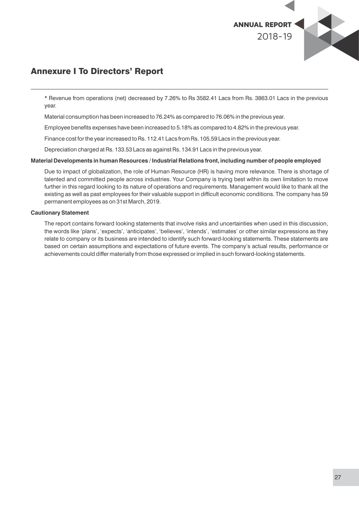

\* Revenue from operations (net) decreased by 7.26% to Rs 3582.41 Lacs from Rs. 3863.01 Lacs in the previous year.

Material consumption has been increased to 76.24% as compared to 76.06% in the previous year.

Employee benefits expenses have been increased to 5.18% as compared to 4.82% in the previous year.

Finance cost for the year increased to Rs. 112.41 Lacs from Rs. 105.59 Lacs in the previous year.

Depreciation charged at Rs. 133.53 Lacs as against Rs. 134.91 Lacs in the previous year.

#### **Material Developments in human Resources / Industrial Relations front, including number of people employed**

Due to impact of globalization, the role of Human Resource (HR) is having more relevance. There is shortage of talented and committed people across industries. Your Company is trying best within its own limitation to move further in this regard looking to its nature of operations and requirements. Management would like to thank all the existing as well as past employees for their valuable support in difficult economic conditions. The company has 59 permanent employees as on 31st March, 2019.

#### **Cautionary Statement**

The report contains forward looking statements that involve risks and uncertainties when used in this discussion, the words like 'plans', 'expects', 'anticipates', 'believes', 'intends', 'estimates' or other similar expressions as they relate to company or its business are intended to identify such forward-looking statements. These statements are based on certain assumptions and expectations of future events. The company's actual results, performance or achievements could differ materially from those expressed or implied in such forward-looking statements.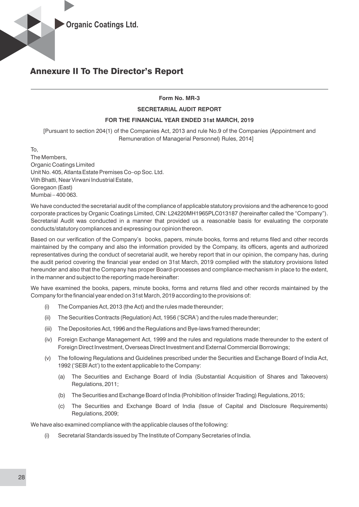#### **Form No. MR-3**

#### **SECRETARIAL AUDIT REPORT**

#### **FOR THE FINANCIAL YEAR ENDED 31st MARCH, 2019**

[Pursuant to section 204(1) of the Companies Act, 2013 and rule No.9 of the Companies (Appointment and Remuneration of Managerial Personnel) Rules, 2014]

To,

The Members, Organic Coatings Limited Unit No. 405, Atlanta Estate Premises Co–op Soc. Ltd. Vith Bhatti, Near Virwani Industrial Estate, Goregaon (East) Mumbai – 400 063.

We have conducted the secretarial audit of the compliance of applicable statutory provisions and the adherence to good corporate practices by Organic Coatings Limited, CIN: L24220MH1965PLC013187 (hereinafter called the "Company"). Secretarial Audit was conducted in a manner that provided us a reasonable basis for evaluating the corporate conducts/statutory compliances and expressing our opinion thereon.

Based on our verification of the Company's books, papers, minute books, forms and returns filed and other records maintained by the company and also the information provided by the Company, its officers, agents and authorized representatives during the conduct of secretarial audit, we hereby report that in our opinion, the company has, during the audit period covering the financial year ended on 31st March, 2019 complied with the statutory provisions listed hereunder and also that the Company has proper Board-processes and compliance-mechanism in place to the extent, in the manner and subject to the reporting made hereinafter:

We have examined the books, papers, minute books, forms and returns filed and other records maintained by the Company for the financial year ended on 31st March, 2019 according to the provisions of:

- (i) The Companies Act, 2013 (the Act) and the rules made thereunder;
- (ii) The Securities Contracts (Regulation) Act, 1956 ('SCRA') and the rules made thereunder;
- (iii) The Depositories Act, 1996 and the Regulations and Bye-laws framed thereunder;
- (iv) Foreign Exchange Management Act, 1999 and the rules and regulations made thereunder to the extent of Foreign Direct Investment, Overseas Direct Investment and External Commercial Borrowings;
- (v) The following Regulations and Guidelines prescribed under the Securities and Exchange Board of India Act, 1992 ('SEBI Act') to the extent applicable to the Company:
	- (a) The Securities and Exchange Board of India (Substantial Acquisition of Shares and Takeovers) Regulations, 2011;
	- (b) The Securities and Exchange Board of India (Prohibition of Insider Trading) Regulations, 2015;
	- (c) The Securities and Exchange Board of India (Issue of Capital and Disclosure Requirements) Regulations, 2009;

We have also examined compliance with the applicable clauses of the following:

(i) Secretarial Standards issued by The Institute of Company Secretaries of India.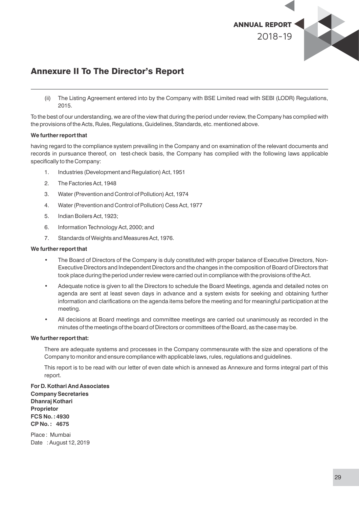

(ii) The Listing Agreement entered into by the Company with BSE Limited read with SEBI (LODR) Regulations, 2015.

To the best of our understanding, we are of the view that during the period under review, the Company has complied with the provisions of the Acts, Rules, Regulations, Guidelines, Standards, etc. mentioned above.

#### **We further report that**

having regard to the compliance system prevailing in the Company and on examination of the relevant documents and records in pursuance thereof, on test-check basis, the Company has complied with the following laws applicable specifically to the Company:

- 1. Industries (Development and Regulation) Act, 1951
- 2. The Factories Act, 1948
- 3. Water (Prevention and Control of Pollution) Act, 1974
- 4. Water (Prevention and Control of Pollution) Cess Act, 1977
- 5. Indian Boilers Act, 1923;
- 6. Information Technology Act, 2000; and
- 7. Standards of Weights and Measures Act, 1976.

#### **We further report that**

- The Board of Directors of the Company is duly constituted with proper balance of Executive Directors, Non-Executive Directors and Independent Directors and the changes in the composition of Board of Directors that took place during the period under review were carried out in compliance with the provisions of the Act.
- Adequate notice is given to all the Directors to schedule the Board Meetings, agenda and detailed notes on agenda are sent at least seven days in advance and a system exists for seeking and obtaining further information and clarifications on the agenda items before the meeting and for meaningful participation at the meeting.
- All decisions at Board meetings and committee meetings are carried out unanimously as recorded in the minutes of the meetings of the board of Directors or committees of the Board, as the case may be.

#### **We further report that:**

There are adequate systems and processes in the Company commensurate with the size and operations of the Company to monitor and ensure compliance with applicable laws, rules, regulations and guidelines.

This report is to be read with our letter of even date which is annexed as Annexure and forms integral part of this report.

**For D. Kothari And Associates Company Secretaries Dhanraj Kothari Proprietor FCS No. : 4930 CP No. : 4675**

Place : Mumbai Date : August 12, 2019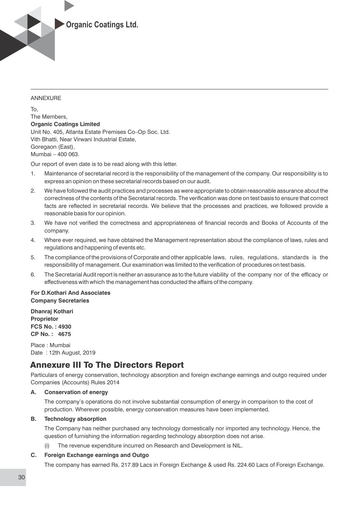

#### ANNEXURE

To, The Members, **Organic Coatings Limited** Unit No. 405, Atlanta Estate Premises Co–Op Soc. Ltd. Vith Bhatti, Near Virwani Industrial Estate, Goregaon (East), Mumbai – 400 063.

Our report of even date is to be read along with this letter.

- 1. Maintenance of secretarial record is the responsibility of the management of the company. Our responsibility is to express an opinion on these secretarial records based on our audit.
- 2. We have followed the audit practices and processes as were appropriate to obtain reasonable assurance about the correctness of the contents of the Secretarial records. The verification was done on test basis to ensure that correct facts are reflected in secretarial records. We believe that the processes and practices, we followed provide a reasonable basis for our opinion.
- 3. We have not verified the correctness and appropriateness of financial records and Books of Accounts of the company.
- 4. Where ever required, we have obtained the Management representation about the compliance of laws, rules and regulations and happening of events etc.
- 5. The compliance of the provisions of Corporate and other applicable laws, rules, regulations, standards is the responsibility of management. Our examination was limited to the verification of procedures on test basis.
- 6. The Secretarial Audit report is neither an assurance as to the future viability of the company nor of the efficacy or effectiveness with which the management has conducted the affairs of the company.

#### **For D.Kothari And Associates Company Secretaries**

**Dhanraj Kothari Proprietor FCS No. : 4930 CP No. : 4675**

Place : Mumbai Date : 12th August, 2019

## Annexure III To The Directors Report

Particulars of energy conservation, technology absorption and foreign exchange earnings and outgo required under Companies (Accounts) Rules 2014

#### **A. Conservation of energy**

The company's operations do not involve substantial consumption of energy in comparison to the cost of production. Wherever possible, energy conservation measures have been implemented.

#### **B. Technology absorption**

The Company has neither purchased any technology domestically nor imported any technology. Hence, the question of furnishing the information regarding technology absorption does not arise.

(i) The revenue expenditure incurred on Research and Development is NIL.

#### **C. Foreign Exchange earnings and Outgo**

The company has earned Rs. 217.89 Lacs in Foreign Exchange & used Rs. 224.60 Lacs of Foreign Exchange.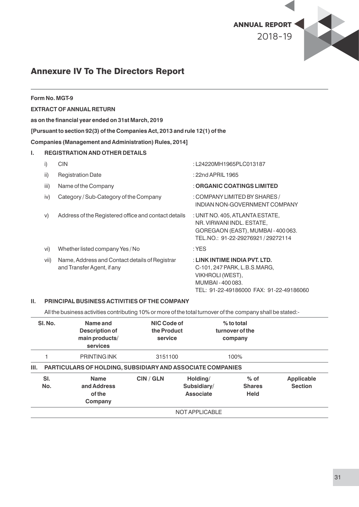

|    |      | Form No. MGT-9                                                               |                                                                                                                                                |
|----|------|------------------------------------------------------------------------------|------------------------------------------------------------------------------------------------------------------------------------------------|
|    |      | <b>EXTRACT OF ANNUAL RETURN</b>                                              |                                                                                                                                                |
|    |      | as on the financial year ended on 31st March, 2019                           |                                                                                                                                                |
|    |      | [Pursuant to section 92(3) of the Companies Act, 2013 and rule 12(1) of the  |                                                                                                                                                |
|    |      | <b>Companies (Management and Administration) Rules, 2014]</b>                |                                                                                                                                                |
| L. |      | <b>REGISTRATION AND OTHER DETAILS</b>                                        |                                                                                                                                                |
|    | i)   | <b>CIN</b>                                                                   | :L24220MH1965PLC013187                                                                                                                         |
|    | ii)  | <b>Registration Date</b>                                                     | : 22nd APRIL 1965                                                                                                                              |
|    | iii) | Name of the Company                                                          | : ORGANIC COATINGS LIMITED                                                                                                                     |
|    | iv)  | Category / Sub-Category of the Company                                       | : COMPANY LIMITED BY SHARES /<br>INDIAN NON-GOVERNMENT COMPANY                                                                                 |
|    | V)   | Address of the Registered office and contact details                         | : UNIT NO. 405, ATLANTA ESTATE,<br>NR. VIRWANI INDL. ESTATE,<br>GOREGAON (EAST), MUMBAI - 400 063.<br>TEL.NO.: 91-22-29276921/29272114         |
|    | vi)  | Whether listed company Yes / No                                              | $:$ YES                                                                                                                                        |
|    | vii) | Name, Address and Contact details of Registrar<br>and Transfer Agent, if any | : LINK INTIME INDIA PVT. LTD.<br>C-101, 247 PARK, L.B.S.MARG,<br>VIKHROLI (WEST),<br>MUMBAI-400083.<br>TEL: 91-22-49186000 FAX: 91-22-49186060 |

#### **II. PRINCIPAL BUSINESS ACTIVITIES OF THE COMPANY**

All the business activities contributing 10% or more of the total turnover of the company shall be stated:-

| SI. No.                                                          | Name and<br>Description of<br>main products/<br>services | NIC Code of<br>the Product<br>service |                                             | $%$ to total<br>turnover of the<br>company |                                     |
|------------------------------------------------------------------|----------------------------------------------------------|---------------------------------------|---------------------------------------------|--------------------------------------------|-------------------------------------|
|                                                                  | <b>PRINTING INK</b>                                      | 3151100                               |                                             | 100%                                       |                                     |
| Ш.<br>PARTICULARS OF HOLDING, SUBSIDIARY AND ASSOCIATE COMPANIES |                                                          |                                       |                                             |                                            |                                     |
| SI.<br>No.                                                       | <b>Name</b><br>and Address<br>of the<br>Company          | <b>CIN / GLN</b>                      | Holding/<br>Subsidiary/<br><b>Associate</b> | $%$ of<br><b>Shares</b><br><b>Held</b>     | <b>Applicable</b><br><b>Section</b> |
| NOT APPLICABLE                                                   |                                                          |                                       |                                             |                                            |                                     |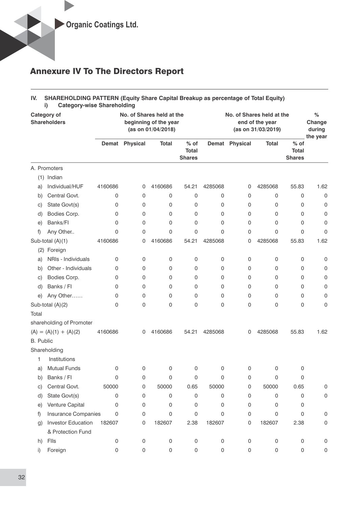#### **IV. SHAREHOLDING PATTERN (Equity Share Capital Breakup as percentage of Total Equity) i) Category-wise Shareholding**

| <b>Category of</b><br><b>Shareholders</b> |                            |              | No. of Shares held at the<br>beginning of the year<br>(as on 01/04/2018) |              |                                         | No. of Shares held at the<br>end of the year<br>(as on 31/03/2019) |                |              |                                         | %<br>Change<br>during<br>the year |
|-------------------------------------------|----------------------------|--------------|--------------------------------------------------------------------------|--------------|-----------------------------------------|--------------------------------------------------------------------|----------------|--------------|-----------------------------------------|-----------------------------------|
|                                           |                            | <b>Demat</b> | <b>Physical</b>                                                          | <b>Total</b> | $%$ of<br><b>Total</b><br><b>Shares</b> |                                                                    | Demat Physical | <b>Total</b> | $%$ of<br><b>Total</b><br><b>Shares</b> |                                   |
|                                           | A. Promoters               |              |                                                                          |              |                                         |                                                                    |                |              |                                         |                                   |
|                                           | (1) Indian                 |              |                                                                          |              |                                         |                                                                    |                |              |                                         |                                   |
| a)                                        | Individual/HUF             | 4160686      | 0                                                                        | 4160686      | 54.21                                   | 4285068                                                            | 0              | 4285068      | 55.83                                   | 1.62                              |
| b)                                        | Central Govt.              | 0            | 0                                                                        | 0            | 0                                       | 0                                                                  | 0              | 0            | 0                                       | 0                                 |
| C)                                        | State Govt(s)              | 0            | 0                                                                        | 0            | 0                                       | 0                                                                  | 0              | 0            | 0                                       | 0                                 |
| d)                                        | Bodies Corp.               | 0            | 0                                                                        | 0            | 0                                       | 0                                                                  | 0              | 0            | 0                                       | 0                                 |
| e)                                        | Banks/Fl                   | 0            | 0                                                                        | 0            | 0                                       | 0                                                                  | 0              | 0            | 0                                       | 0                                 |
| f)                                        | Any Other                  | 0            | 0                                                                        | 0            | 0                                       | 0                                                                  | 0              | 0            | 0                                       | 0                                 |
|                                           | Sub-total (A)(1)           | 4160686      | 0                                                                        | 4160686      | 54.21                                   | 4285068                                                            | 0              | 4285068      | 55.83                                   | 1.62                              |
|                                           | (2) Foreign                |              |                                                                          |              |                                         |                                                                    |                |              |                                         |                                   |
| a)                                        | NRIs - Individuals         | 0            | 0                                                                        | 0            | 0                                       | 0                                                                  | 0              | 0            | 0                                       | 0                                 |
| b)                                        | Other - Individuals        | 0            | 0                                                                        | 0            | 0                                       | 0                                                                  | 0              | 0            | 0                                       | 0                                 |
| C)                                        | Bodies Corp.               | 0            | 0                                                                        | 0            | 0                                       | 0                                                                  | 0              | 0            | 0                                       | 0                                 |
| d)                                        | Banks / Fl                 | 0            | 0                                                                        | 0            | 0                                       | 0                                                                  | 0              | 0            | 0                                       | 0                                 |
| e)                                        | Any Other                  | 0            | 0                                                                        | 0            | 0                                       | 0                                                                  | 0              | 0            | 0                                       | 0                                 |
|                                           | Sub-total (A)(2)           | 0            | 0                                                                        | 0            | 0                                       | 0                                                                  | 0              | 0            | 0                                       | 0                                 |
| Total                                     |                            |              |                                                                          |              |                                         |                                                                    |                |              |                                         |                                   |
|                                           | shareholding of Promoter   |              |                                                                          |              |                                         |                                                                    |                |              |                                         |                                   |
|                                           | $(A) = (A)(1) + (A)(2)$    | 4160686      | 0                                                                        | 4160686      | 54.21                                   | 4285068                                                            | 0              | 4285068      | 55.83                                   | 1.62                              |
| B. Public                                 |                            |              |                                                                          |              |                                         |                                                                    |                |              |                                         |                                   |
|                                           | Shareholding               |              |                                                                          |              |                                         |                                                                    |                |              |                                         |                                   |
| 1                                         | Institutions               |              |                                                                          |              |                                         |                                                                    |                |              |                                         |                                   |
| a)                                        | <b>Mutual Funds</b>        | 0            | 0                                                                        | 0            | 0                                       | 0                                                                  | 0              | 0            | 0                                       |                                   |
| b)                                        | Banks / Fl                 | 0            | 0                                                                        | 0            | 0                                       | 0                                                                  | 0              | 0            | 0                                       |                                   |
| C)                                        | Central Govt.              | 50000        | 0                                                                        | 50000        | 0.65                                    | 50000                                                              | 0              | 50000        | 0.65                                    | 0                                 |
| d)                                        | State Govt(s)              | 0            | 0                                                                        | 0            | 0                                       | 0                                                                  | 0              | 0            | 0                                       | 0                                 |
| e)                                        | Venture Capital            | 0            | 0                                                                        | 0            | 0                                       | 0                                                                  | 0              | 0            | 0                                       |                                   |
| f)                                        | <b>Insurance Companies</b> | $\mathbf{0}$ | 0                                                                        | 0            | 0                                       | 0                                                                  | 0              | 0            | 0                                       | 0                                 |
| $\mathfrak{g}$                            | <b>Investor Education</b>  | 182607       | 0                                                                        | 182607       | 2.38                                    | 182607                                                             | 0              | 182607       | 2.38                                    | 0                                 |
|                                           | & Protection Fund          |              |                                                                          |              |                                         |                                                                    |                |              |                                         |                                   |
| h)                                        | Flls                       | 0            | $\mathbf 0$                                                              | 0            | 0                                       | 0                                                                  | 0              | 0            | 0                                       | 0                                 |
| i)                                        | Foreign                    | 0            | 0                                                                        | 0            | $\,0\,$                                 | 0                                                                  | 0              | 0            | 0                                       | 0                                 |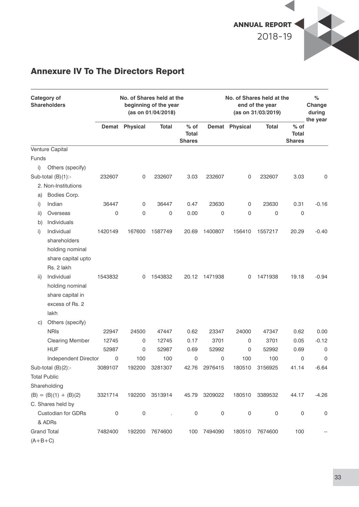

| <b>Category of</b><br><b>Shareholders</b> |                           | No. of Shares held at the<br>beginning of the year<br>(as on 01/04/2018) |                |                |                                         | No. of Shares held at the<br>end of the year<br>(as on 31/03/2019) |                |                |                                         | %<br>Change<br>during<br>the year |
|-------------------------------------------|---------------------------|--------------------------------------------------------------------------|----------------|----------------|-----------------------------------------|--------------------------------------------------------------------|----------------|----------------|-----------------------------------------|-----------------------------------|
|                                           |                           |                                                                          | Demat Physical | <b>Total</b>   | $%$ of<br><b>Total</b><br><b>Shares</b> |                                                                    | Demat Physical | Total          | $%$ of<br><b>Total</b><br><b>Shares</b> |                                   |
|                                           | Venture Capital           |                                                                          |                |                |                                         |                                                                    |                |                |                                         |                                   |
| <b>Funds</b>                              |                           |                                                                          |                |                |                                         |                                                                    |                |                |                                         |                                   |
| i)                                        | Others (specify)          |                                                                          |                |                |                                         |                                                                    |                |                |                                         |                                   |
|                                           | Sub-total $(B)(1)$ :-     | 232607                                                                   | 0              | 232607         | 3.03                                    | 232607                                                             | 0              | 232607         | 3.03                                    | 0                                 |
|                                           | 2. Non-Institutions       |                                                                          |                |                |                                         |                                                                    |                |                |                                         |                                   |
| a)                                        | Bodies Corp.              |                                                                          |                |                |                                         |                                                                    |                |                |                                         |                                   |
| i)                                        | Indian                    | 36447                                                                    | 0              | 36447          | 0.47                                    | 23630                                                              | 0              | 23630          | 0.31                                    | $-0.16$                           |
| ii)                                       | Overseas                  | 0                                                                        | 0              | 0              | 0.00                                    | 0                                                                  | 0              | 0              | 0                                       |                                   |
| b)                                        | Individuals               |                                                                          |                |                |                                         |                                                                    |                |                |                                         |                                   |
| i)                                        | Individual                | 1420149                                                                  | 167600         | 1587749        | 20.69                                   | 1400807                                                            | 156410         | 1557217        | 20.29                                   | $-0.40$                           |
|                                           | shareholders              |                                                                          |                |                |                                         |                                                                    |                |                |                                         |                                   |
|                                           | holding nominal           |                                                                          |                |                |                                         |                                                                    |                |                |                                         |                                   |
|                                           | share capital upto        |                                                                          |                |                |                                         |                                                                    |                |                |                                         |                                   |
|                                           | Rs. 2 lakh                |                                                                          |                |                |                                         |                                                                    |                |                |                                         |                                   |
| ii)                                       | Individual                | 1543832                                                                  | 0              | 1543832        | 20.12                                   | 1471938                                                            | 0              | 1471938        | 19.18                                   | $-0.94$                           |
|                                           | holding nominal           |                                                                          |                |                |                                         |                                                                    |                |                |                                         |                                   |
|                                           | share capital in          |                                                                          |                |                |                                         |                                                                    |                |                |                                         |                                   |
|                                           | excess of Rs. 2           |                                                                          |                |                |                                         |                                                                    |                |                |                                         |                                   |
|                                           | lakh                      |                                                                          |                |                |                                         |                                                                    |                |                |                                         |                                   |
| C)                                        | Others (specify)          |                                                                          |                |                |                                         |                                                                    |                |                |                                         |                                   |
|                                           | <b>NRIS</b>               | 22947                                                                    | 24500          | 47447          | 0.62                                    | 23347                                                              | 24000          | 47347          | 0.62                                    | 0.00                              |
|                                           | <b>Clearing Member</b>    | 12745                                                                    | 0              | 12745          | 0.17                                    | 3701                                                               | 0              | 3701           | 0.05                                    | $-0.12$                           |
|                                           | <b>HUF</b>                | 52987                                                                    | 0              | 52987          | 0.69                                    | 52992                                                              | 0              | 52992          | 0.69                                    | 0                                 |
|                                           | Independent Director      | 0                                                                        | 100            | 100            | 0                                       | 0                                                                  | 100            | 100            | 0                                       | 0                                 |
|                                           | Sub-total $(B)(2)$ :-     | 3089107                                                                  |                | 192200 3281307 |                                         | 42.76 2976415                                                      |                | 180510 3156925 | 41.14                                   | $-6.64$                           |
|                                           | <b>Total Public</b>       |                                                                          |                |                |                                         |                                                                    |                |                |                                         |                                   |
|                                           | Shareholding              |                                                                          |                |                |                                         |                                                                    |                |                |                                         |                                   |
|                                           | $(B) = (B)(1) + (B)(2)$   | 3321714                                                                  |                | 192200 3513914 |                                         | 45.79 3209022                                                      | 180510         | 3389532        | 44.17                                   | $-4.26$                           |
|                                           | C. Shares held by         |                                                                          |                |                |                                         |                                                                    |                |                |                                         |                                   |
|                                           | <b>Custodian for GDRs</b> | 0                                                                        | $\mathsf 0$    |                | $\boldsymbol{0}$                        | $\boldsymbol{0}$                                                   | 0              | $\,0\,$        | $\mathbf 0$                             | $\mathsf 0$                       |
|                                           | & ADRs                    |                                                                          |                |                |                                         |                                                                    |                |                |                                         |                                   |
| <b>Grand Total</b>                        |                           | 7482400                                                                  | 192200         | 7674600        |                                         | 100 7494090                                                        | 180510         | 7674600        | 100                                     |                                   |
| $(A+B+C)$                                 |                           |                                                                          |                |                |                                         |                                                                    |                |                |                                         |                                   |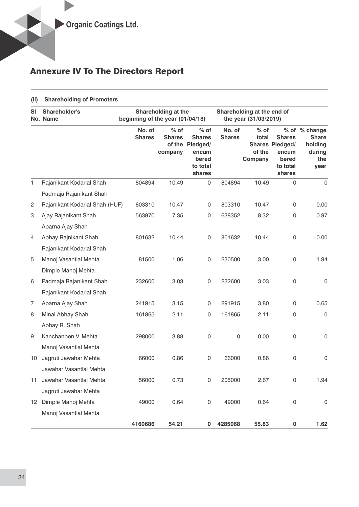#### **(ii) Shareholding of Promoters**

| SI             | Shareholder's<br>No. Name      | beginning of the year (01/04/18) | Shareholding at the                | Shareholding at the end of<br>the year (31/03/2019)                                |                         |                                      |                                                                          |                                                                   |
|----------------|--------------------------------|----------------------------------|------------------------------------|------------------------------------------------------------------------------------|-------------------------|--------------------------------------|--------------------------------------------------------------------------|-------------------------------------------------------------------|
|                |                                | No. of<br><b>Shares</b>          | $%$ of<br><b>Shares</b><br>company | $%$ of<br><b>Shares</b><br>of the Pledged/<br>encum<br>bered<br>to total<br>shares | No. of<br><b>Shares</b> | $%$ of<br>total<br>of the<br>Company | <b>Shares</b><br>Shares Pledged/<br>encum<br>bered<br>to total<br>shares | % of % change<br><b>Share</b><br>holding<br>during<br>the<br>year |
| 1              | Rajanikant Kodarlal Shah       | 804894                           | 10.49                              | 0                                                                                  | 804894                  | 10.49                                | 0                                                                        | $\mathbf 0$                                                       |
|                | Padmaja Rajanikant Shah        |                                  |                                    |                                                                                    |                         |                                      |                                                                          |                                                                   |
| $\overline{c}$ | Rajanikant Kodarlal Shah (HUF) | 803310                           | 10.47                              | 0                                                                                  | 803310                  | 10.47                                | 0                                                                        | 0.00                                                              |
| 3              | Ajay Rajanikant Shah           | 563970                           | 7.35                               | 0                                                                                  | 638352                  | 8.32                                 | 0                                                                        | 0.97                                                              |
|                | Aparna Ajay Shah               |                                  |                                    |                                                                                    |                         |                                      |                                                                          |                                                                   |
| 4              | Abhay Rajnikant Shah           | 801632                           | 10.44                              | 0                                                                                  | 801632                  | 10.44                                | $\mathsf 0$                                                              | 0.00                                                              |
|                | Rajanikant Kodarlal Shah       |                                  |                                    |                                                                                    |                         |                                      |                                                                          |                                                                   |
| 5              | Manoj Vasantlal Mehta          | 81500                            | 1.06                               | 0                                                                                  | 230500                  | 3.00                                 | $\mathsf 0$                                                              | 1.94                                                              |
|                | Dimple Manoj Mehta             |                                  |                                    |                                                                                    |                         |                                      |                                                                          |                                                                   |
| 6              | Padmaja Rajanikant Shah        | 232600                           | 3.03                               | 0                                                                                  | 232600                  | 3.03                                 | $\mathsf 0$                                                              | 0                                                                 |
|                | Rajanikant Kodarlal Shah       |                                  |                                    |                                                                                    |                         |                                      |                                                                          |                                                                   |
| $\overline{7}$ | Aparna Ajay Shah               | 241915                           | 3.15                               | 0                                                                                  | 291915                  | 3.80                                 | 0                                                                        | 0.65                                                              |
| 8              | Minal Abhay Shah               | 161865                           | 2.11                               | 0                                                                                  | 161865                  | 2.11                                 | $\mathsf 0$                                                              | $\mathbf 0$                                                       |
|                | Abhay R. Shah                  |                                  |                                    |                                                                                    |                         |                                      |                                                                          |                                                                   |
| 9              | Kanchanben V. Mehta            | 298000                           | 3.88                               | 0                                                                                  | $\mathbf 0$             | 0.00                                 | $\mathsf 0$                                                              | $\mathsf 0$                                                       |
|                | Manoj Vasantlal Mehta          |                                  |                                    |                                                                                    |                         |                                      |                                                                          |                                                                   |
| 10             | Jagruti Jawahar Mehta          | 66000                            | 0.86                               | 0                                                                                  | 66000                   | 0.86                                 | 0                                                                        | $\mathsf 0$                                                       |
|                | Jawahar Vasantlal Mehta        |                                  |                                    |                                                                                    |                         |                                      |                                                                          |                                                                   |
| 11             | Jawahar Vasantlal Mehta        | 56000                            | 0.73                               | 0                                                                                  | 205000                  | 2.67                                 | $\mathbf 0$                                                              | 1.94                                                              |
|                | Jagruti Jawahar Mehta          |                                  |                                    |                                                                                    |                         |                                      |                                                                          |                                                                   |
|                | 12 Dimple Manoj Mehta          | 49000                            | 0.64                               | 0                                                                                  | 49000                   | 0.64                                 | 0                                                                        | $\mathsf 0$                                                       |
|                | Manoj Vasantlal Mehta          |                                  |                                    |                                                                                    |                         |                                      |                                                                          |                                                                   |
|                |                                | 4160686                          | 54.21                              | 0                                                                                  | 4285068                 | 55.83                                | $\pmb{0}$                                                                | 1.62                                                              |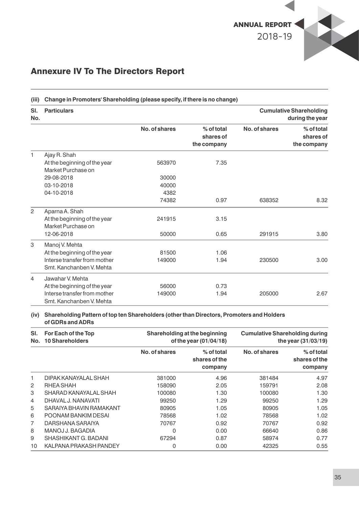

### **(iii) Change in Promoters' Shareholding (please specify, if there is no change) Sl. Particulars Cumulative Shareholding No. during the year No. of shares % of total No. of shares % of total shares of shares of the company the company** 1 Ajay R. Shah At the beginning of the year 563970 7.35 Market Purchase on 29-08-2018 30000 03-10-2018 40000 04-10-2018 4382 74382 0.97 638352 8.32 2 Aparna A. Shah At the beginning of the year 241915 3.15 Market Purchase on<br>12-06-2018 12-06-2018 50000 0.65 291915 3.80 3 Manoj V. Mehta At the beginning of the year 81500 81500 1.06 Interse transfer from mother 149000 1.94 230500 3.00 Smt. Kanchanben V. Mehta 4 Jawahar V. Mehta At the beginning of the year 56000 56000 0.73 Interse transfer from mother 149000 1.94 205000 2.67 Smt. Kanchanben V. Mehta

#### **(iv) Shareholding Pattern of top ten Shareholders (other than Directors, Promoters and Holders of GDRs and ADRs**

| SI.<br>No.     | For Each of the Top<br><b>10 Shareholders</b> |               | Shareholding at the beginning<br>of the year (01/04/18) | <b>Cumulative Shareholding during</b> | the year $(31/03/19)$                  |
|----------------|-----------------------------------------------|---------------|---------------------------------------------------------|---------------------------------------|----------------------------------------|
|                |                                               | No. of shares | % of total<br>shares of the<br>company                  | No. of shares                         | % of total<br>shares of the<br>company |
| 1              | DIPAK KANAYALAL SHAH                          | 381000        | 4.96                                                    | 381484                                | 4.97                                   |
| 2              | RHEA SHAH                                     | 158090        | 2.05                                                    | 159791                                | 2.08                                   |
| 3              | SHARAD KANAYALAL SHAH                         | 100080        | 1.30                                                    | 100080                                | 1.30                                   |
| 4              | DHAVAL J. NANAVATI                            | 99250         | 1.29                                                    | 99250                                 | 1.29                                   |
| 5              | SARAIYA BHAVIN RAMAKANT                       | 80905         | 1.05                                                    | 80905                                 | 1.05                                   |
| 6              | POONAM BANKIM DESAI                           | 78568         | 1.02                                                    | 78568                                 | 1.02                                   |
| $\overline{7}$ | DARSHANA SARAIYA                              | 70767         | 0.92                                                    | 70767                                 | 0.92                                   |
| 8              | MANOJ J. BAGADIA                              | 0             | 0.00                                                    | 66640                                 | 0.86                                   |
| 9              | SHASHIKANT G. BADANI                          | 67294         | 0.87                                                    | 58974                                 | 0.77                                   |
| 10             | KALPANA PRAKASH PANDEY                        | 0             | 0.00                                                    | 42325                                 | 0.55                                   |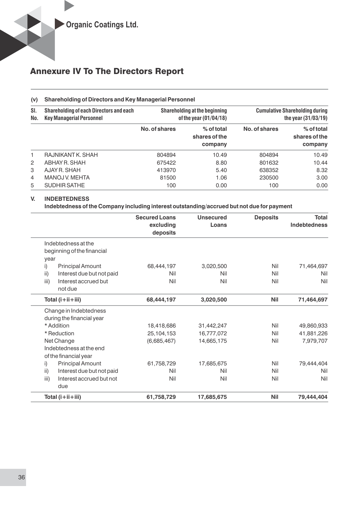#### **(v) Shareholding of Directors and Key Managerial Personnel**

| SI.<br>No.     | <b>Shareholding of each Directors and each</b><br><b>Key Managerial Personnel</b> |               | <b>Shareholding at the beginning</b><br>of the year $(01/04/18)$ |               | <b>Cumulative Shareholding during</b><br>the year $(31/03/19)$ |
|----------------|-----------------------------------------------------------------------------------|---------------|------------------------------------------------------------------|---------------|----------------------------------------------------------------|
|                |                                                                                   | No. of shares | $%$ of total<br>shares of the<br>company                         | No. of shares | % of total<br>shares of the<br>company                         |
| 1              | RAJNIKANT K. SHAH                                                                 | 804894        | 10.49                                                            | 804894        | 10.49                                                          |
| $\overline{2}$ | ABHAY R. SHAH                                                                     | 675422        | 8.80                                                             | 801632        | 10.44                                                          |
| 3              | AJAY R. SHAH                                                                      | 413970        | 5.40                                                             | 638352        | 8.32                                                           |
| $\overline{4}$ | MANOJ V. MEHTA                                                                    | 81500         | 1.06                                                             | 230500        | 3.00                                                           |
| 5              | SUDHIR SATHE                                                                      | 100           | 0.00                                                             | 100           | 0.00                                                           |

#### **V. INDEBTEDNESS**

**Indebtedness of the Company including interest outstanding/accrued but not due for payment** 

|                                         | <b>Secured Loans</b><br>excluding<br>deposits | <b>Unsecured</b><br>Loans | <b>Deposits</b> | <b>Total</b><br><b>Indebtedness</b> |
|-----------------------------------------|-----------------------------------------------|---------------------------|-----------------|-------------------------------------|
| Indebtedness at the                     |                                               |                           |                 |                                     |
| beginning of the financial              |                                               |                           |                 |                                     |
| year                                    |                                               |                           |                 |                                     |
| <b>Principal Amount</b><br>i)           | 68,444,197                                    | 3,020,500                 | Nil             | 71,464,697                          |
| ii)<br>Interest due but not paid        | Nil                                           | Nil                       | Nil             | Nil                                 |
| Interest accrued but<br>iii)<br>not due | Nil                                           | Nil                       | Nil             | Nil                                 |
| Total $(i+ii+iii)$                      | 68,444,197                                    | 3,020,500                 | <b>Nil</b>      | 71,464,697                          |
| Change in Indebtedness                  |                                               |                           |                 |                                     |
| during the financial year               |                                               |                           |                 |                                     |
| * Addition                              | 18,418,686                                    | 31,442,247                | Nil             | 49,860,933                          |
| * Reduction                             | 25,104,153                                    | 16,777,072                | Nil             | 41,881,226                          |
| Net Change                              | (6,685,467)                                   | 14,665,175                | Nil             | 7,979,707                           |
| Indebtedness at the end                 |                                               |                           |                 |                                     |
| of the financial year                   |                                               |                           |                 |                                     |
| <b>Principal Amount</b><br>i)           | 61,758,729                                    | 17,685,675                | Nil             | 79,444,404                          |
| ii)<br>Interest due but not paid        | Nil                                           | Nil                       | Nil             | Nil                                 |
| iii)<br>Interest accrued but not<br>due | Nil                                           | Nil                       | Nil             | Nil                                 |
| Total (i+ii+iii)                        | 61,758,729                                    | 17,685,675                | <b>Nil</b>      | 79,444,404                          |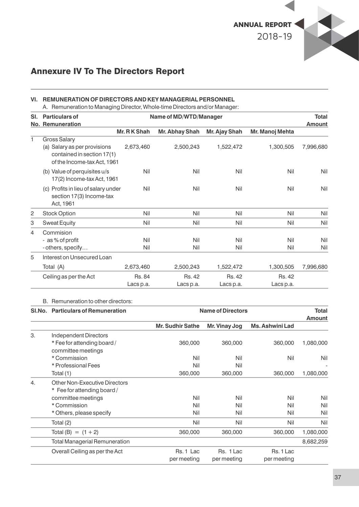

#### **VI. REMUNERATION OF DIRECTORS AND KEY MANAGERIAL PERSONNEL**

A. Remuneration to Managing Director, Whole-time Directors and/or Manager:

| SI.            | <b>Particulars of</b>                                                                     |               | Name of MD/WTD/Manager |               |                 | <b>Total</b> |
|----------------|-------------------------------------------------------------------------------------------|---------------|------------------------|---------------|-----------------|--------------|
|                | <b>No. Remuneration</b>                                                                   |               |                        |               |                 | Amount       |
|                |                                                                                           | Mr. R K Shah  | Mr. Abhay Shah         | Mr. Ajay Shah | Mr. Manoj Mehta |              |
| 1              | <b>Gross Salary</b>                                                                       |               |                        |               |                 |              |
|                | (a) Salary as per provisions<br>contained in section 17(1)<br>of the Income-tax Act, 1961 | 2,673,460     | 2,500,243              | 1,522,472     | 1,300,505       | 7,996,680    |
|                | (b) Value of perquisites u/s<br>17(2) Income-tax Act, 1961                                | Nil           | Nil                    | Nil           | Nil             | Nil          |
|                | (c) Profits in lieu of salary under<br>section 17(3) Income-tax<br>Act, 1961              | Nil           | Nil                    | Nil           | Nil             | Nil          |
| $\overline{c}$ | <b>Stock Option</b>                                                                       | Nil           | Nil                    | Nil           | Nil             | Nil          |
| 3              | <b>Sweat Equity</b>                                                                       | Nil           | Nil                    | Nil           | Nil             | Nil          |
| 4              | Commision                                                                                 |               |                        |               |                 |              |
|                | - as % of profit                                                                          | Nil           | Nil                    | Nil           | Nil             | Nil          |
|                | - others, specify                                                                         | Nil           | Nil                    | Nil           | Nil             | Nil          |
| 5              | Interest on Unsecured Loan                                                                |               |                        |               |                 |              |
|                | Total (A)                                                                                 | 2,673,460     | 2,500,243              | 1,522,472     | 1,300,505       | 7,996,680    |
|                | Ceiling as per the Act                                                                    | <b>Rs. 84</b> | <b>Rs. 42</b>          | <b>Rs. 42</b> | <b>Rs. 42</b>   |              |
|                |                                                                                           | Lacs p.a.     | Lacs p.a.              | Lacs p.a.     | Lacs p.a.       |              |

#### B. Remuneration to other directors:

|    | SI.No. Particulars of Remuneration |                         | <b>Name of Directors</b> |                        | <b>Total</b><br><b>Amount</b> |
|----|------------------------------------|-------------------------|--------------------------|------------------------|-------------------------------|
|    |                                    | <b>Mr. Sudhir Sathe</b> | Mr. Vinay Jog            | <b>Ms. Ashwini Lad</b> |                               |
| 3. | Independent Directors              |                         |                          |                        |                               |
|    | * Fee for attending board /        | 360,000                 | 360,000                  | 360,000                | 1,080,000                     |
|    | committee meetings                 |                         |                          |                        |                               |
|    | * Commission                       | Nil                     | Nil                      | Nil                    | Nil                           |
|    | * Professional Fees                | Nil                     | Nil                      |                        | ٠                             |
|    | Total (1)                          | 360,000                 | 360,000                  | 360,000                | 1,080,000                     |
| 4. | Other Non-Executive Directors      |                         |                          |                        |                               |
|    | * Fee for attending board /        |                         |                          |                        |                               |
|    | committee meetings                 | Nil                     | Nil                      | Nil                    | Nil                           |
|    | * Commission                       | Nil                     | Nil                      | Nil                    | Nil                           |
|    | * Others, please specify           | Nil                     | Nil                      | Nil                    | Nil                           |
|    | Total (2)                          | Nil                     | Nil                      | Nil                    | Nil                           |
|    | Total (B) = $(1 + 2)$              | 360,000                 | 360,000                  | 360,000                | 1,080,000                     |
|    | Total Managerial Remuneration      |                         |                          |                        | 8,682,259                     |
|    | Overall Ceiling as per the Act     | Rs. 1 Lac               | Rs. 1 Lac                | Rs. 1 Lac              |                               |
|    |                                    | per meeting             | per meeting              | per meeting            |                               |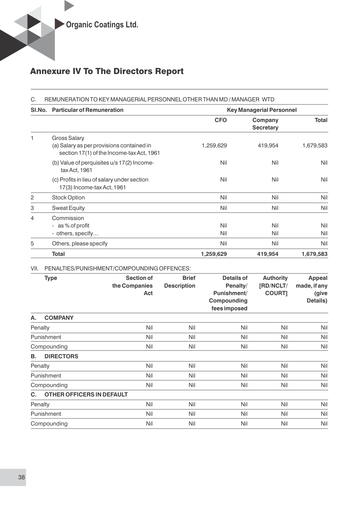|   | SI.No. Particular of Remuneration                                                                             |            | <b>Key Managerial Personnel</b> |            |
|---|---------------------------------------------------------------------------------------------------------------|------------|---------------------------------|------------|
|   |                                                                                                               | <b>CFO</b> | Company<br><b>Secretary</b>     | Total      |
| 1 | <b>Gross Salary</b><br>(a) Salary as per provisions contained in<br>section 17(1) of the Income-tax Act, 1961 | 1,259,629  | 419,954                         | 1,679,583  |
|   | (b) Value of perquisites u/s 17(2) Income-<br>tax Act, 1961                                                   | Nil        | Nil                             | Nil        |
|   | (c) Profits in lieu of salary under section<br>17(3) Income-tax Act, 1961                                     | Nil        | Nil                             | Nil        |
| 2 | <b>Stock Option</b>                                                                                           | Nil        | Nil                             | Nil        |
| 3 | <b>Sweat Equity</b>                                                                                           | Nil        | Nil                             | Nil        |
| 4 | Commission<br>as % of profit<br>$\overline{\phantom{a}}$<br>- others, specify                                 | Nil<br>Nil | Nil<br>Nil                      | Nil<br>Nil |
| 5 | Others, please specify                                                                                        | Nil        | Nil                             | Nil        |

#### VII. PENALTIES/PUNISHMENT/COMPOUNDING OFFENCES:

|         | <b>Type</b>               | Section of<br>the Companies<br>Act | <b>Brief</b><br><b>Description</b> | Details of<br>Penalty/<br>Punishment/<br>Compounding<br>fees imposed | <b>Authority</b><br>[RD/NCLT/<br><b>COURT]</b> | <b>Appeal</b><br>made, if any<br>(give<br>Details) |
|---------|---------------------------|------------------------------------|------------------------------------|----------------------------------------------------------------------|------------------------------------------------|----------------------------------------------------|
| А.      | <b>COMPANY</b>            |                                    |                                    |                                                                      |                                                |                                                    |
| Penalty |                           | Nil                                | Nil                                | Nil                                                                  | Nil                                            | Nil                                                |
|         | Punishment                | Nil                                | Nil                                | Nil                                                                  | Nil                                            | Nil                                                |
|         | Compounding               | Nil                                | Nil                                | Nil                                                                  | Nil                                            | Nil                                                |
| В.      | <b>DIRECTORS</b>          |                                    |                                    |                                                                      |                                                |                                                    |
| Penalty |                           | Nil                                | Nil                                | Nil                                                                  | Nil                                            | Nil                                                |
|         | Punishment                | Nil                                | Nil                                | Nil                                                                  | Nil                                            | Nil                                                |
|         | Compounding               | Nil                                | Nil                                | Nil                                                                  | Nil                                            | Nil                                                |
| C.      | OTHER OFFICERS IN DEFAULT |                                    |                                    |                                                                      |                                                |                                                    |
| Penalty |                           | Nil                                | Nil                                | Nil                                                                  | Nil                                            | Nil                                                |
|         | Punishment                | Nil                                | Nil                                | Nil                                                                  | Nil                                            | Nil                                                |
|         | Compounding               | Nil                                | Nil                                | Nil                                                                  | Nil                                            | Nil                                                |

**Total 1,259,629 419,954 1,679,583**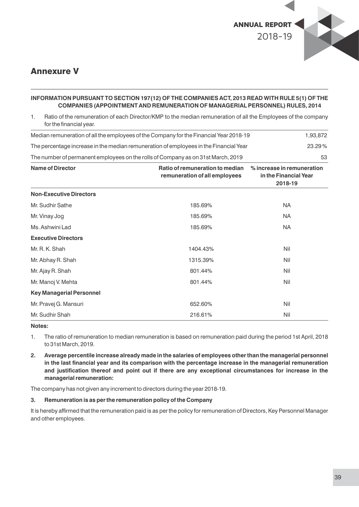

### Annexure V

#### **INFORMATION PURSUANT TO SECTION 197(12) OF THE COMPANIES ACT, 2013 READ WITH RULE 5(1) OF THE COMPANIES (APPOINTMENT AND REMUNERATION OF MANAGERIAL PERSONNEL) RULES, 2014**

1. Ratio of the remuneration of each Director/KMP to the median remuneration of all the Employees of the company for the financial year.

| Median remuneration of all the employees of the Company for the Financial Year 2018-19 |                                                                  | 1,93,872                                                       |
|----------------------------------------------------------------------------------------|------------------------------------------------------------------|----------------------------------------------------------------|
| The percentage increase in the median remuneration of employees in the Financial Year  |                                                                  | 23.29%                                                         |
| The number of permanent employees on the rolls of Company as on 31st March, 2019       |                                                                  | 53                                                             |
| <b>Name of Director</b>                                                                | Ratio of remuneration to median<br>remuneration of all employees | % increase in remuneration<br>in the Financial Year<br>2018-19 |
| <b>Non-Executive Directors</b>                                                         |                                                                  |                                                                |
| Mr. Sudhir Sathe                                                                       | 185.69%                                                          | <b>NA</b>                                                      |
| Mr. Vinay Jog                                                                          | 185.69%                                                          | <b>NA</b>                                                      |
| Ms. Ashwini Lad                                                                        | 185.69%                                                          | <b>NA</b>                                                      |
| <b>Executive Directors</b>                                                             |                                                                  |                                                                |
| Mr. R. K. Shah                                                                         | 1404.43%                                                         | Nil                                                            |
| Mr. Abhay R. Shah                                                                      | 1315.39%                                                         | Nil                                                            |
| Mr. Ajay R. Shah                                                                       | 801.44%                                                          | Nil                                                            |
| Mr. Manoj V. Mehta                                                                     | 801.44%                                                          | Nil                                                            |
| <b>Key Managerial Personnel</b>                                                        |                                                                  |                                                                |
| Mr. Pravej G. Mansuri                                                                  | 652.60%                                                          | Nil                                                            |
| Mr. Sudhir Shah                                                                        | 216.61%                                                          | Nil                                                            |

**Notes:**

1. The ratio of remuneration to median remuneration is based on remuneration paid during the period 1st April, 2018 to 31st March, 2019.

**2. Average percentile increase already made in the salaries of employees other than the managerial personnel in the last nancial year and its comparison with the percentage increase in the managerial remuneration and justication thereof and point out if there are any exceptional circumstances for increase in the managerial remuneration:**

The company has not given any increment to directors during the year 2018-19.

#### **3. Remuneration is as per the remuneration policy of the Company**

It is hereby affirmed that the remuneration paid is as per the policy for remuneration of Directors, Key Personnel Manager and other employees.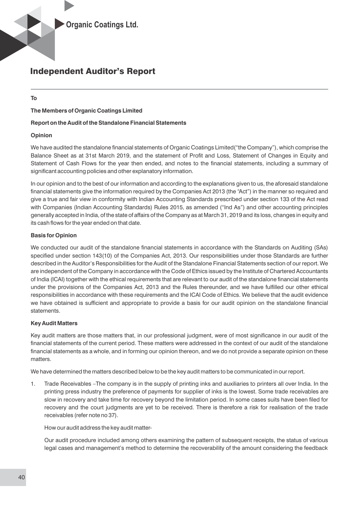### Independent Auditor's Report

#### **To**

#### **The Members of Organic Coatings Limited**

#### **Report on the Audit of the Standalone Financial Statements**

#### **Opinion**

We have audited the standalone financial statements of Organic Coatings Limited("the Company"), which comprise the Balance Sheet as at 31st March 2019, and the statement of Profit and Loss, Statement of Changes in Equity and Statement of Cash Flows for the year then ended, and notes to the financial statements, including a summary of significant accounting policies and other explanatory information.

In our opinion and to the best of our information and according to the explanations given to us, the aforesaid standalone financial statements give the information required by the Companies Act 2013 (the "Act") in the manner so required and give a true and fair view in conformity with Indian Accounting Standards prescribed under section 133 of the Act read with Companies (Indian Accounting Standards) Rules 2015, as amended ("Ind As") and other accounting principles generally accepted in India, of the state of affairs of the Company as at March 31, 2019 and its loss, changes in equity and its cash flows for the year ended on that date.

#### **Basis for Opinion**

We conducted our audit of the standalone financial statements in accordance with the Standards on Auditing (SAs) specified under section 143(10) of the Companies Act, 2013. Our responsibilities under those Standards are further described in the Auditor's Responsibilities for the Audit of the Standalone Financial Statements section of our report. We are independent of the Company in accordance with the Code of Ethics issued by the Institute of Chartered Accountants of India (ICAI) together with the ethical requirements that are relevant to our audit of the standalone financial statements under the provisions of the Companies Act, 2013 and the Rules thereunder, and we have fullled our other ethical responsibilities in accordance with these requirements and the ICAI Code of Ethics. We believe that the audit evidence we have obtained is sufficient and appropriate to provide a basis for our audit opinion on the standalone financial statements.

#### **Key Audit Matters**

Key audit matters are those matters that, in our professional judgment, were of most significance in our audit of the financial statements of the current period. These matters were addressed in the context of our audit of the standalone financial statements as a whole, and in forming our opinion thereon, and we do not provide a separate opinion on these matters.

We have determined the matters described below to be the key audit matters to be communicated in our report.

1. Trade Receivables –The company is in the supply of printing inks and auxiliaries to printers all over India. In the printing press industry the preference of payments for supplier of inks is the lowest. Some trade receivables are slow in recovery and take time for recovery beyond the limitation period. In some cases suits have been filed for recovery and the court judgments are yet to be received. There is therefore a risk for realisation of the trade receivables (refer note no 37).

How our audit address the key audit matter-

Our audit procedure included among others examining the pattern of subsequent receipts, the status of various legal cases and management's method to determine the recoverability of the amount considering the feedback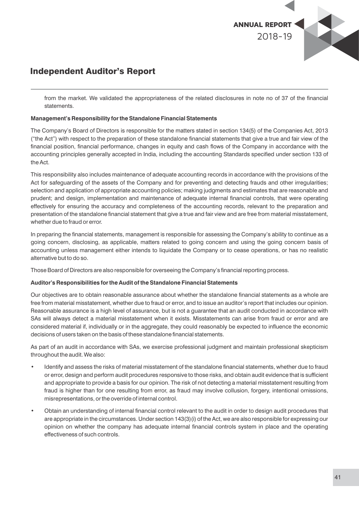

### Independent Auditor's Report

from the market. We validated the appropriateness of the related disclosures in note no of 37 of the financial statements.

#### **Management's Responsibility for the Standalone Financial Statements**

The Company's Board of Directors is responsible for the matters stated in section 134(5) of the Companies Act, 2013 ("the Act") with respect to the preparation of these standalone financial statements that give a true and fair view of the financial position, financial performance, changes in equity and cash flows of the Company in accordance with the accounting principles generally accepted in India, including the accounting Standards specified under section 133 of the Act.

This responsibility also includes maintenance of adequate accounting records in accordance with the provisions of the Act for safeguarding of the assets of the Company and for preventing and detecting frauds and other irregularities; selection and application of appropriate accounting policies; making judgments and estimates that are reasonable and prudent; and design, implementation and maintenance of adequate internal financial controls, that were operating effectively for ensuring the accuracy and completeness of the accounting records, relevant to the preparation and presentation of the standalone financial statement that give a true and fair view and are free from material misstatement, whether due to fraud or error.

In preparing the financial statements, management is responsible for assessing the Company's ability to continue as a going concern, disclosing, as applicable, matters related to going concern and using the going concern basis of accounting unless management either intends to liquidate the Company or to cease operations, or has no realistic alternative but to do so.

Those Board of Directors are also responsible for overseeing the Company's financial reporting process.

#### **Auditor's Responsibilities for the Audit of the Standalone Financial Statements**

Our objectives are to obtain reasonable assurance about whether the standalone financial statements as a whole are free from material misstatement, whether due to fraud or error, and to issue an auditor's report that includes our opinion. Reasonable assurance is a high level of assurance, but is not a guarantee that an audit conducted in accordance with SAs will always detect a material misstatement when it exists. Misstatements can arise from fraud or error and are considered material if, individually or in the aggregate, they could reasonably be expected to influence the economic decisions of users taken on the basis of these standalone financial statements.

As part of an audit in accordance with SAs, we exercise professional judgment and maintain professional skepticism throughout the audit. We also:

- Identify and assess the risks of material misstatement of the standalone financial statements, whether due to fraud or error, design and perform audit procedures responsive to those risks, and obtain audit evidence that is sufficient and appropriate to provide a basis for our opinion. The risk of not detecting a material misstatement resulting from fraud is higher than for one resulting from error, as fraud may involve collusion, forgery, intentional omissions, misrepresentations, or the override of internal control.
- Obtain an understanding of internal financial control relevant to the audit in order to design audit procedures that are appropriate in the circumstances. Under section 143(3)(i) of the Act, we are also responsible for expressing our opinion on whether the company has adequate internal financial controls system in place and the operating effectiveness of such controls.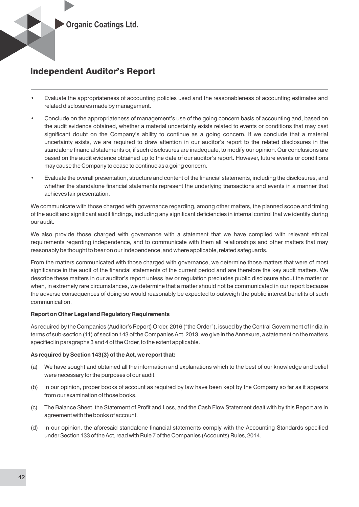

## Independent Auditor's Report

- Evaluate the appropriateness of accounting policies used and the reasonableness of accounting estimates and related disclosures made by management.
- Conclude on the appropriateness of management's use of the going concern basis of accounting and, based on the audit evidence obtained, whether a material uncertainty exists related to events or conditions that may cast significant doubt on the Company's ability to continue as a going concern. If we conclude that a material uncertainty exists, we are required to draw attention in our auditor's report to the related disclosures in the standalone financial statements or, if such disclosures are inadequate, to modify our opinion. Our conclusions are based on the audit evidence obtained up to the date of our auditor's report. However, future events or conditions may cause the Company to cease to continue as a going concern.
- Evaluate the overall presentation, structure and content of the financial statements, including the disclosures, and whether the standalone financial statements represent the underlying transactions and events in a manner that achieves fair presentation.

We communicate with those charged with governance regarding, among other matters, the planned scope and timing of the audit and significant audit findings, including any significant deficiencies in internal control that we identify during our audit.

We also provide those charged with governance with a statement that we have complied with relevant ethical requirements regarding independence, and to communicate with them all relationships and other matters that may reasonably be thought to bear on our independence, and where applicable, related safeguards.

From the matters communicated with those charged with governance, we determine those matters that were of most significance in the audit of the financial statements of the current period and are therefore the key audit matters. We describe these matters in our auditor's report unless law or regulation precludes public disclosure about the matter or when, in extremely rare circumstances, we determine that a matter should not be communicated in our report because the adverse consequences of doing so would reasonably be expected to outweigh the public interest benefits of such communication.

#### **Report on Other Legal and Regulatory Requirements**

As required by the Companies (Auditor's Report) Order, 2016 ("the Order"), issued by the Central Government of India in terms of sub-section (11) of section 143 of the Companies Act, 2013, we give in the Annexure, a statement on the matters specified in paragraphs 3 and 4 of the Order, to the extent applicable.

#### **As required by Section 143(3) of the Act, we report that:**

- (a) We have sought and obtained all the information and explanations which to the best of our knowledge and belief were necessary for the purposes of our audit.
- (b) In our opinion, proper books of account as required by law have been kept by the Company so far as it appears from our examination of those books.
- (c) The Balance Sheet, the Statement of Profit and Loss, and the Cash Flow Statement dealt with by this Report are in agreement with the books of account.
- (d) In our opinion, the aforesaid standalone financial statements comply with the Accounting Standards specified under Section 133 of the Act, read with Rule 7 of the Companies (Accounts) Rules, 2014.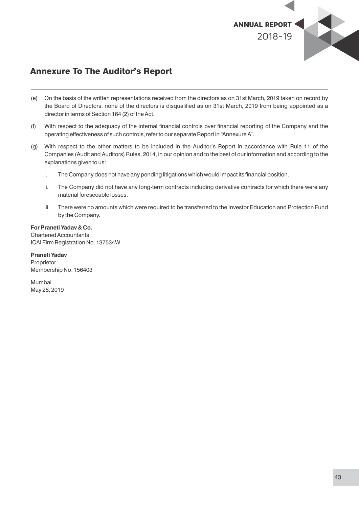

## Annexure To The Auditor's Report

- (e) On the basis of the written representations received from the directors as on 31st March, 2019 taken on record by the Board of Directors, none of the directors is disqualied as on 31st March, 2019 from being appointed as a director in terms of Section 164 (2) of the Act.
- (f) With respect to the adequacy of the internal financial controls over financial reporting of the Company and the operating effectiveness of such controls, refer to our separate Report in "Annexure A".
- (g) With respect to the other matters to be included in the Auditor's Report in accordance with Rule 11 of the Companies (Audit and Auditors) Rules, 2014, in our opinion and to the best of our information and according to the explanations given to us:
	- i. The Company does not have any pending litigations which would impact its financial position.
	- ii. The Company did not have any long-term contracts including derivative contracts for which there were any material foreseeable losses.
	- iii. There were no amounts which were required to be transferred to the Investor Education and Protection Fund by the Company.

#### **For Praneti Yadav & Co.**

Chartered Accountants ICAI Firm Registration No. 137534W

**Praneti Yadav** Proprietor Membership No. 156403

Mumbai May 28, 2019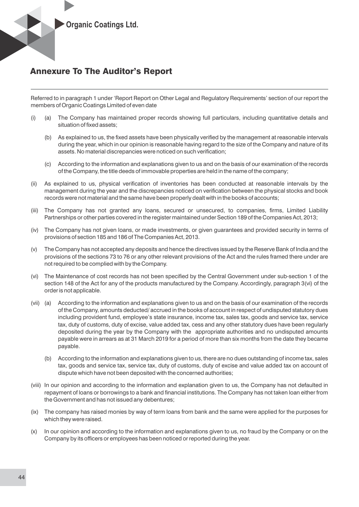

### Annexure To The Auditor's Report

Referred to in paragraph 1 under 'Report Report on Other Legal and Regulatory Requirements' section of our report the members of Organic Coatings Limited of even date

- (i) (a) The Company has maintained proper records showing full particulars, including quantitative details and situation of fixed assets:
	- (b) As explained to us, the fixed assets have been physically verified by the management at reasonable intervals during the year, which in our opinion is reasonable having regard to the size of the Company and nature of its assets. No material discrepancies were noticed on such verification;
	- (c) According to the information and explanations given to us and on the basis of our examination of the records of the Company, the title deeds of immovable properties are held in the name of the company;
- (ii) As explained to us, physical verification of inventories has been conducted at reasonable intervals by the management during the year and the discrepancies noticed on verification between the physical stocks and book records were not material and the same have been properly dealt with in the books of accounts;
- (iii) The Company has not granted any loans, secured or unsecured, to companies, firms, Limited Liability Partnerships or other parties covered in the register maintained under Section 189 of the Companies Act, 2013;
- (iv) The Company has not given loans, or made investments, or given guarantees and provided security in terms of provisions of section 185 and 186 of The Companies Act, 2013.
- (v) The Company has not accepted any deposits and hence the directives issued by the Reserve Bank of India and the provisions of the sections 73 to 76 or any other relevant provisions of the Act and the rules framed there under are not required to be complied with by the Company.
- (vi) The Maintenance of cost records has not been specified by the Central Government under sub-section 1 of the section 148 of the Act for any of the products manufactured by the Company. Accordingly, paragraph 3(vi) of the order is not applicable.
- (vii) (a) According to the information and explanations given to us and on the basis of our examination of the records of the Company, amounts deducted/ accrued in the books of account in respect of undisputed statutory dues including provident fund, employee's state insurance, income tax, sales tax, goods and service tax, service tax, duty of customs, duty of excise, value added tax, cess and any other statutory dues have been regularly deposited during the year by the Company with the appropriate authorities and no undisputed amounts payable were in arrears as at 31 March 2019 for a period of more than six months from the date they became payable.
	- (b) According to the information and explanations given to us, there are no dues outstanding of income tax, sales tax, goods and service tax, service tax, duty of customs, duty of excise and value added tax on account of dispute which have not been deposited with the concerned authorities;
- (viii) In our opinion and according to the information and explanation given to us, the Company has not defaulted in repayment of loans or borrowings to a bank and financial institutions. The Company has not taken loan either from the Government and has not issued any debentures;
- (ix) The company has raised monies by way of term loans from bank and the same were applied for the purposes for which they were raised.
- (x) In our opinion and according to the information and explanations given to us, no fraud by the Company or on the Company by its officers or employees has been noticed or reported during the year.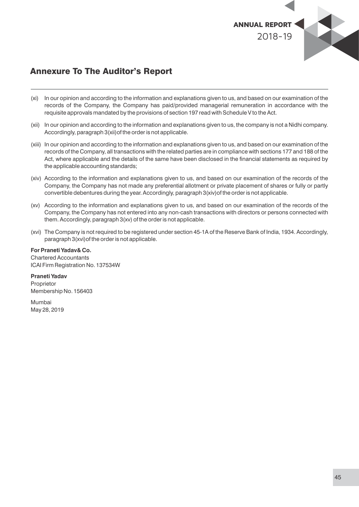

## Annexure To The Auditor's Report

- (xi) In our opinion and according to the information and explanations given to us, and based on our examination of the records of the Company, the Company has paid/provided managerial remuneration in accordance with the requisite approvals mandated by the provisions of section 197 read with Schedule V to the Act.
- (xii) In our opinion and according to the information and explanations given to us, the company is not a Nidhi company. Accordingly, paragraph 3(xii)of the order is not applicable.
- (xiii) In our opinion and according to the information and explanations given to us, and based on our examination of the records of the Company, all transactions with the related parties are in compliance with sections 177 and 188 of the Act, where applicable and the details of the same have been disclosed in the financial statements as required by the applicable accounting standards;
- (xiv) According to the information and explanations given to us, and based on our examination of the records of the Company, the Company has not made any preferential allotment or private placement of shares or fully or partly convertible debentures during the year. Accordingly, paragraph 3(xiv)of the order is not applicable.
- (xv) According to the information and explanations given to us, and based on our examination of the records of the Company, the Company has not entered into any non-cash transactions with directors or persons connected with them. Accordingly, paragraph 3(xv) of the order is not applicable.
- (xvi) The Company is not required to be registered under section 45-1A of the Reserve Bank of India, 1934. Accordingly, paragraph 3(xvi)of the order is not applicable.

**For Praneti Yadav& Co.** Chartered Accountants ICAI Firm Registration No. 137534W

**Praneti Yadav** Proprietor Membership No. 156403

Mumbai May 28, 2019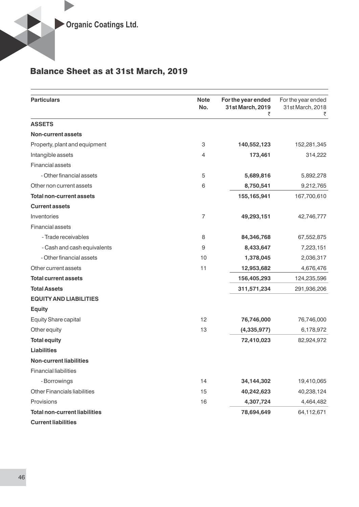# Balance Sheet as at 31st March, 2019

| <b>Particulars</b>                   | <b>Note</b><br>No. | For the year ended<br>31st March, 2019<br>₹ | For the year ended<br>31st March, 2018<br>₹ |
|--------------------------------------|--------------------|---------------------------------------------|---------------------------------------------|
| <b>ASSETS</b>                        |                    |                                             |                                             |
| <b>Non-current assets</b>            |                    |                                             |                                             |
| Property, plant and equipment        | 3                  | 140,552,123                                 | 152,281,345                                 |
| Intangible assets                    | $\overline{4}$     | 173,461                                     | 314,222                                     |
| Financial assets                     |                    |                                             |                                             |
| - Other financial assets             | 5                  | 5,689,816                                   | 5,892,278                                   |
| Other non current assets             | 6                  | 8,750,541                                   | 9,212,765                                   |
| <b>Total non-current assets</b>      |                    | 155, 165, 941                               | 167,700,610                                 |
| <b>Current assets</b>                |                    |                                             |                                             |
| Inventories                          | $\overline{7}$     | 49,293,151                                  | 42,746,777                                  |
| Financial assets                     |                    |                                             |                                             |
| - Trade receivables                  | 8                  | 84,346,768                                  | 67,552,875                                  |
| - Cash and cash equivalents          | 9                  | 8,433,647                                   | 7,223,151                                   |
| - Other financial assets             | 10                 | 1,378,045                                   | 2,036,317                                   |
| Other current assets                 | 11                 | 12,953,682                                  | 4,676,476                                   |
| <b>Total current assets</b>          |                    | 156,405,293                                 | 124,235,596                                 |
| <b>Total Assets</b>                  |                    | 311,571,234                                 | 291,936,206                                 |
| <b>EQUITY AND LIABILITIES</b>        |                    |                                             |                                             |
| <b>Equity</b>                        |                    |                                             |                                             |
| <b>Equity Share capital</b>          | 12                 | 76,746,000                                  | 76,746,000                                  |
| Other equity                         | 13                 | (4,335,977)                                 | 6,178,972                                   |
| <b>Total equity</b>                  |                    | 72,410,023                                  | 82,924,972                                  |
| <b>Liabilities</b>                   |                    |                                             |                                             |
| <b>Non-current liabilities</b>       |                    |                                             |                                             |
| <b>Financial liabilities</b>         |                    |                                             |                                             |
| - Borrowings                         | 14                 | 34,144,302                                  | 19,410,065                                  |
| <b>Other Financials liabilities</b>  | 15                 | 40,242,623                                  | 40,238,124                                  |
| Provisions                           | 16                 | 4,307,724                                   | 4,464,482                                   |
| <b>Total non-current liabilities</b> |                    | 78,694,649                                  | 64,112,671                                  |
| <b>Current liabilities</b>           |                    |                                             |                                             |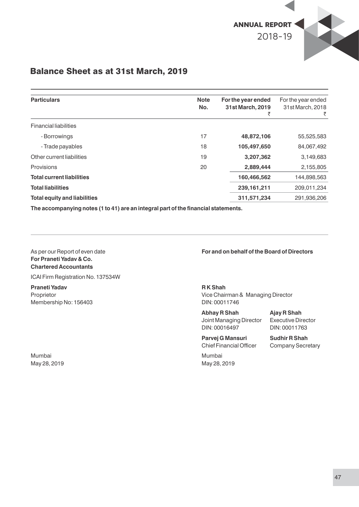

### Balance Sheet as at 31st March, 2019

| <b>Particulars</b>                  | <b>Note</b> | For the year ended | For the year ended    |
|-------------------------------------|-------------|--------------------|-----------------------|
|                                     | No.         | 31st March, 2019   | 31st March, 2018<br>₹ |
| <b>Financial liabilities</b>        |             |                    |                       |
| - Borrowings                        | 17          | 48,872,106         | 55,525,583            |
| - Trade payables                    | 18          | 105,497,650        | 84,067,492            |
| Other current liabilities           | 19          | 3,207,362          | 3,149,683             |
| Provisions                          | 20          | 2,889,444          | 2,155,805             |
| <b>Total current liabilities</b>    |             | 160,466,562        | 144,898,563           |
| <b>Total liabilities</b>            |             | 239, 161, 211      | 209,011,234           |
| <b>Total equity and liabilities</b> |             | 311,571,234        | 291,936,206           |

The accompanying notes (1 to 41) are an integral part of the financial statements.

## **For Praneti Yadav & Co. Chartered Accountants**

ICAI Firm Registration No. 137534W

**Praneti Yadav** R K Shah **R K Shah** Membership No: 156403 DIN: 00011746

Mumbai Mumbai May 28, 2019 May 28, 2019

#### As per our Report of even date **For and on behalf of the Board of Directors**

Proprietor **Proprietor** Vice Chairman & Managing Director

**Abhay R Shah Ajay R Shah** Joint Managing Director Executive Director DIN: 00016497 DIN: 00011763

Parvej G Mansuri Sudhir R Shah Chief Financial Officer Company Secretary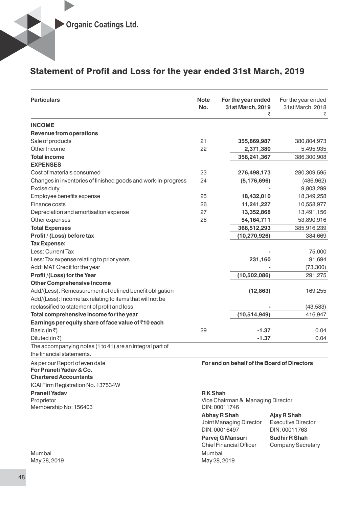### Statement of Profit and Loss for the year ended 31st March, 2019

| <b>Particulars</b>                                            | <b>Note</b><br>No. | For the year ended<br>31st March, 2019<br>₹ | For the year ended<br>31st March, 2018<br>₹ |
|---------------------------------------------------------------|--------------------|---------------------------------------------|---------------------------------------------|
| <b>INCOME</b>                                                 |                    |                                             |                                             |
| <b>Revenue from operations</b>                                |                    |                                             |                                             |
| Sale of products                                              | 21                 | 355,869,987                                 | 380,804,973                                 |
| Other Income                                                  | 22                 | 2,371,380                                   | 5,495,935                                   |
| <b>Total income</b>                                           |                    | 358,241,367                                 | 386,300,908                                 |
| <b>EXPENSES</b>                                               |                    |                                             |                                             |
| Cost of materials consumed                                    | 23                 | 276,498,173                                 | 280,309,595                                 |
| Changes in inventories of finished goods and work-in-progress | 24                 | (5, 176, 696)                               | (486, 962)                                  |
| Excise duty                                                   |                    |                                             | 9,803,299                                   |
| Employee benefits expense                                     | 25                 | 18,432,010                                  | 18,349,258                                  |
| Finance costs                                                 | 26                 | 11,241,227                                  | 10,558,977                                  |
| Depreciation and amortisation expense                         | 27                 | 13,352,868                                  | 13,491,156                                  |
| Other expenses                                                | 28                 | 54,164,711                                  | 53,890,916                                  |
| <b>Total Expenses</b>                                         |                    | 368,512,293                                 | 385,916,239                                 |
| Profit / (Loss) before tax                                    |                    | (10, 270, 926)                              | 384,669                                     |
| <b>Tax Expense:</b>                                           |                    |                                             |                                             |
| Less: Current Tax                                             |                    |                                             | 75,000                                      |
| Less: Tax expense relating to prior years                     |                    | 231,160                                     | 91,694                                      |
| Add: MAT Credit for the year                                  |                    |                                             | (73, 300)                                   |
| Profit/(Loss) for the Year                                    |                    | (10, 502, 086)                              | 291,275                                     |
| <b>Other Comprehensive Income</b>                             |                    |                                             |                                             |
| Add/(Less): Remeasurement of defined benefit obligation       |                    | (12, 863)                                   | 169,255                                     |
| Add/(Less): Income tax relating to items that will not be     |                    |                                             |                                             |
| reclassified to statement of profit and loss                  |                    |                                             | (43, 583)                                   |
| Total comprehensive income for the year                       |                    | (10,514,949)                                | 416,947                                     |
| Earnings per equity share of face value of ₹10 each           |                    |                                             |                                             |
| Basic (in $\bar{z}$ )                                         | 29                 | $-1.37$                                     | 0.04                                        |
| Diluted (in ₹)                                                |                    | $-1.37$                                     | 0.04                                        |
| The accompanying notes (1 to 41) are an integral part of      |                    |                                             |                                             |
| the financial statements.                                     |                    |                                             |                                             |

**For Praneti Yadav & Co.**

**Chartered Accountants**

ICAI Firm Registration No. 137534W

**Praneti Yadav** R K Shah **R K Shah** Membership No: 156403

Mumbai Mumbai May 28, 2019 May 28, 2019

As per our Report of even date **For and on behalf of the Board of Directors**

Proprietor<br>
Membership No: 156403<br>
Membership No: 156403<br>
OIN: 00011746

**Abhay R Shah Ajay R Shah** Joint Managing Director Executive Director DIN: 00016497 DIN: 00011763

**Parvej G Mansuri Sudhir R Shah**<br>Chief Financial Officer Company Secret

Company Secretary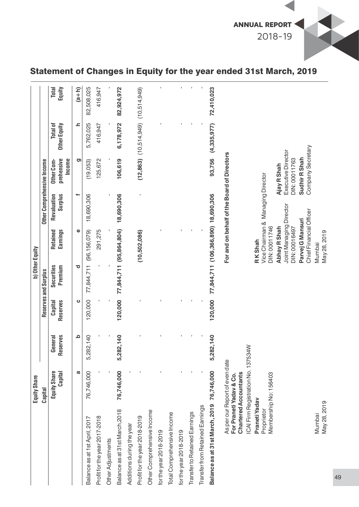

|                                 | <b>Equity Share</b>                                                                                                             |                         |                     |                       | b) Other Equity                                          |                        |                                                    |                                 |                 |
|---------------------------------|---------------------------------------------------------------------------------------------------------------------------------|-------------------------|---------------------|-----------------------|----------------------------------------------------------|------------------------|----------------------------------------------------|---------------------------------|-----------------|
|                                 | Capital                                                                                                                         |                         |                     | Reserves and Surplus  |                                                          |                        | Other Comprehensive Income                         |                                 |                 |
|                                 | Equity Share<br>Capital                                                                                                         | eserves<br>General<br>≃ | Reserves<br>Capital | Securities<br>Premium | <b>Earnings</b><br>Retained                              | Revaluation<br>Surplus | prehensive<br><b>Income</b><br>Other Com-          | Other Equity<br><b>Total of</b> | Equity<br>Total |
|                                 | σ                                                                                                                               | ≏                       | ပ                   | ರ                     | Φ                                                        | ÷                      | <u>ත</u>                                           | ᇰ                               | $(a+h)$         |
| Balance as at 1st April, 2017   | 76,746,000                                                                                                                      | 5,282,140               | 120,000             | 77,844,711            | (96, 156, 079)                                           | 18,690,306             | (19,053)                                           | 5,762,025                       | 82,508,025      |
| Profit for the year 2017-2018   |                                                                                                                                 |                         |                     |                       | 291,275                                                  |                        | 125,672                                            | 416,947                         | 416,947         |
| Other Adjustments               |                                                                                                                                 |                         |                     |                       |                                                          |                        |                                                    |                                 |                 |
| Balance as at 31st March, 2018  | 76,746,000                                                                                                                      | 5,282,140               | 120,000             |                       | 77,844,711 (95,864,804)                                  | 18,690,306             | 106,619                                            | 6,178,972                       | 82,924,972      |
| Additions during the year       |                                                                                                                                 |                         |                     |                       |                                                          |                        |                                                    |                                 |                 |
| Profit for the year 2018-2019   |                                                                                                                                 |                         |                     |                       | (10,502,086)                                             |                        |                                                    | $(12,863)$ $(10,514,949)$       | (10,514,949)    |
| Other Comprehensive Income      |                                                                                                                                 |                         |                     |                       |                                                          |                        |                                                    |                                 |                 |
| for the year 2018-2019          |                                                                                                                                 |                         |                     |                       |                                                          |                        |                                                    |                                 |                 |
| Total Comprehensive Income      |                                                                                                                                 |                         |                     |                       |                                                          |                        |                                                    |                                 |                 |
| for the year 2018-2019          |                                                                                                                                 |                         |                     |                       |                                                          |                        |                                                    |                                 |                 |
| Transfer to Retained Earnings   |                                                                                                                                 |                         |                     |                       |                                                          |                        |                                                    |                                 |                 |
| Transfer from Retained Earnings |                                                                                                                                 |                         |                     |                       |                                                          |                        |                                                    |                                 |                 |
| Balance as at 31 st March, 2019 | 76,746,000                                                                                                                      | 5,282,140               | 120,000             |                       | 77,844,711 (106,366,890) 18,690,306                      |                        | 93,756                                             | (4,335,977)                     | 72,410,023      |
|                                 | ICAI Firm Registration No. 137534W<br>As per our Report of even date<br><b>Chartered Accountants</b><br>For Praneti Yadav & Co. |                         |                     |                       |                                                          |                        | For and on behalf of the Board of Directors        |                                 |                 |
| Praneti Yadav                   |                                                                                                                                 |                         |                     |                       | RKShah                                                   |                        |                                                    |                                 |                 |
| Proprietor                      | Membership No: 156403                                                                                                           |                         |                     |                       | Vice Chairman & Managing Director<br>DIN: 00011746       |                        |                                                    |                                 |                 |
|                                 |                                                                                                                                 |                         |                     |                       | Joint Managing Director<br>Abhay R Shah<br>DIN: 00016497 |                        | Executive Director<br>DIN: 00011763<br>Ajay R Shah |                                 |                 |
|                                 |                                                                                                                                 |                         |                     |                       | Chief Financial Officer<br>Parvej G Mansuri              |                        | Company Secretary<br>Sudhir R Shah                 |                                 |                 |
| May 28, 2019<br>Mumbai          |                                                                                                                                 |                         |                     |                       | May 28, 2019<br>Mumbai                                   |                        |                                                    |                                 |                 |

# Statement of Changes in Equity for the year ended 31st March, 2019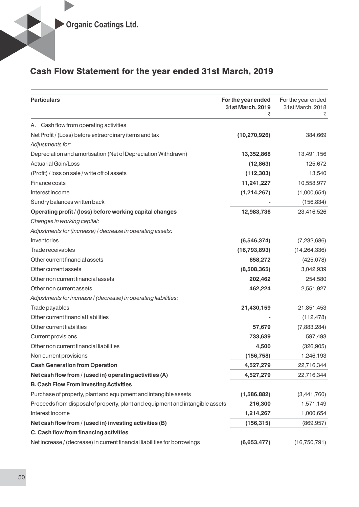# Cash Flow Statement for the year ended 31st March, 2019

| <b>Particulars</b>                                                            | For the year ended<br>31st March, 2019<br>₹ | For the year ended<br>31st March, 2018<br>₹ |
|-------------------------------------------------------------------------------|---------------------------------------------|---------------------------------------------|
| A. Cash flow from operating activities                                        |                                             |                                             |
| Net Profit / (Loss) before extraordinary items and tax                        | (10, 270, 926)                              | 384,669                                     |
| Adjustments for:                                                              |                                             |                                             |
| Depreciation and amortisation (Net of Depreciation Withdrawn)                 | 13,352,868                                  | 13,491,156                                  |
| <b>Actuarial Gain/Loss</b>                                                    | (12, 863)                                   | 125,672                                     |
| (Profit) / loss on sale / write off of assets                                 | (112, 303)                                  | 13,540                                      |
| Finance costs                                                                 | 11,241,227                                  | 10,558,977                                  |
| Interest income                                                               | (1,214,267)                                 | (1,000,654)                                 |
| Sundry balances written back                                                  |                                             | (156, 834)                                  |
| Operating profit / (loss) before working capital changes                      | 12,983,736                                  | 23,416,526                                  |
| Changes in working capital:                                                   |                                             |                                             |
| Adjustments for (increase) / decrease in operating assets:                    |                                             |                                             |
| Inventories                                                                   | (6, 546, 374)                               | (7,232,686)                                 |
| Trade receivables                                                             | (16, 793, 893)                              | (14, 264, 336)                              |
| Other current financial assets                                                | 658,272                                     | (425,078)                                   |
| Other current assets                                                          | (8,508,365)                                 | 3,042,939                                   |
| Other non current financial assets                                            | 202,462                                     | 254,580                                     |
| Other non current assets                                                      | 462,224                                     | 2,551,927                                   |
| Adjustments for increase / (decrease) in operating liabilities:               |                                             |                                             |
| Trade payables                                                                | 21,430,159                                  | 21,851,453                                  |
| Other current financial liabilities                                           |                                             | (112, 478)                                  |
| Other current liabilities                                                     | 57,679                                      | (7,883,284)                                 |
| Current provisions                                                            | 733,639                                     | 597,493                                     |
| Other non current financial liabilities                                       | 4,500                                       | (326, 905)                                  |
| Non current provisions                                                        | (156, 758)                                  | 1,246,193                                   |
| <b>Cash Generation from Operation</b>                                         | 4,527,279                                   | 22,716,344                                  |
| Net cash flow from / (used in) operating activities (A)                       | 4,527,279                                   | 22,716,344                                  |
| <b>B. Cash Flow From Investing Activities</b>                                 |                                             |                                             |
| Purchase of property, plant and equipment and intangible assets               | (1,586,882)                                 | (3,441,760)                                 |
| Proceeds from disposal of property, plant and equipment and intangible assets | 216,300                                     | 1,571,149                                   |
| Interest Income                                                               | 1,214,267                                   | 1,000,654                                   |
| Net cash flow from / (used in) investing activities (B)                       | (156, 315)                                  | (869, 957)                                  |
| C. Cash flow from financing activities                                        |                                             |                                             |
| Net increase / (decrease) in current financial liabilities for borrowings     | (6,653,477)                                 | (16,750,791)                                |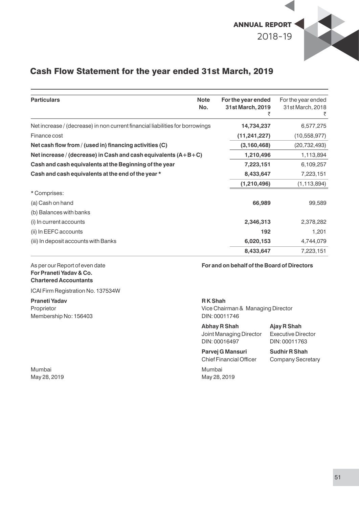

## Cash Flow Statement for the year ended 31st March, 2019

| <b>Particulars</b>                                                            | <b>Note</b><br>No. | For the year ended<br>31st March, 2019<br>₹ | For the year ended<br>31st March, 2018<br>₹ |
|-------------------------------------------------------------------------------|--------------------|---------------------------------------------|---------------------------------------------|
| Net increase / (decrease) in non current financial liabilities for borrowings |                    | 14,734,237                                  | 6,577,275                                   |
| Finance cost                                                                  |                    | (11, 241, 227)                              | (10, 558, 977)                              |
| Net cash flow from / (used in) financing activities (C)                       |                    | (3, 160, 468)                               | (20, 732, 493)                              |
| Net increase / (decrease) in Cash and cash equivalents $(A+B+C)$              |                    | 1,210,496                                   | 1,113,894                                   |
| Cash and cash equivalents at the Beginning of the year                        |                    | 7,223,151                                   | 6,109,257                                   |
| Cash and cash equivalents at the end of the year *                            |                    | 8,433,647                                   | 7,223,151                                   |
|                                                                               |                    | (1, 210, 496)                               | (1, 113, 894)                               |
| * Comprises:                                                                  |                    |                                             |                                             |
| (a) Cash on hand                                                              |                    | 66,989                                      | 99,589                                      |
| (b) Balances with banks                                                       |                    |                                             |                                             |
| (i) In current accounts                                                       |                    | 2,346,313                                   | 2,378,282                                   |
| (ii) In EEFC accounts                                                         |                    | 192                                         | 1,201                                       |
| (iii) In deposit accounts with Banks                                          |                    | 6,020,153                                   | 4,744,079                                   |
|                                                                               |                    | 8,433,647                                   | 7,223,151                                   |

# **For Praneti Yadav & Co. Chartered Accountants**

ICAI Firm Registration No. 137534W

# **Praneti Yadav R K Shah**  Membership No: 156403 DIN: 00011746

Mumbai Mumbai

As per our Report of even date **For and on behalf of the Board of Directors**

Proprietor **Proprietor** Vice Chairman & Managing Director

**Abhay R Shah Ajay R Shah** Joint Managing Director Executive Director DIN: 00016497 DIN: 00011763

Parvej G Mansuri Sudhir R Shah Chief Financial Officer Company Secretary

May 28, 2019 May 28, 2019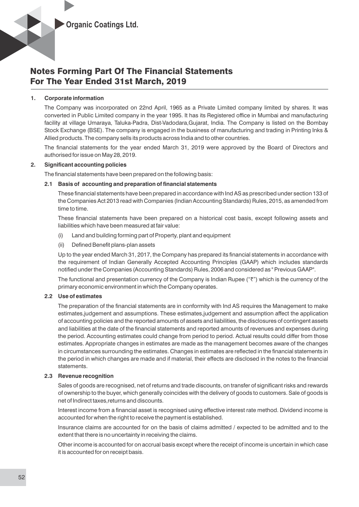

#### **1. Corporate information**

The Company was incorporated on 22nd April, 1965 as a Private Limited company limited by shares. It was converted in Public Limited company in the year 1995. It has its Registered office in Mumbai and manufacturing facility at village Umaraya, Taluka-Padra, Dist-Vadodara,Gujarat, India. The Company is listed on the Bombay Stock Exchange (BSE). The company is engaged in the business of manufacturing and trading in Printing Inks & Allied products. The company sells its products across India and to other countries.

The financial statements for the year ended March 31, 2019 were approved by the Board of Directors and authorised for issue on May 28, 2019.

#### **2. Signicant accounting policies**

The financial statements have been prepared on the following basis:

#### **2.1 Basis of accounting and preparation of financial statements**

These financial statements have been prepared in accordance with Ind AS as prescribed under section 133 of the Companies Act 2013 read with Companies (Indian Accounting Standards) Rules, 2015, as amended from time to time.

These financial statements have been prepared on a historical cost basis, except following assets and liabilities which have been measured at fair value:

- (i) Land and building forming part of Property, plant and equipment
- (ii) Defined Benefit plans-plan assets

Up to the year ended March 31, 2017, the Company has prepared its financial statements in accordance with the requirement of Indian Generally Accepted Accounting Principles (GAAP) which includes standards notified under the Companies (Accounting Standards) Rules, 2006 and considered as " Previous GAAP".

The functional and presentation currency of the Company is Indian Rupee  $(47)$  which is the currency of the primary economic environment in which the Company operates.

#### **2.2 Use of estimates**

The preparation of the financial statements are in conformity with Ind AS requires the Management to make estimates,judgement and assumptions. These estimates,judgement and assumption affect the application of accounting policies and the reported amounts of assets and liabilities, the disclosures of contingent assets and liabilities at the date of the financial statements and reported amounts of revenues and expenses during the period. Accounting estimates could change from period to period. Actual results could differ from those estimates. Appropriate changes in estimates are made as the management becomes aware of the changes in circumstances surrounding the estimates. Changes in estimates are reflected in the financial statements in the period in which changes are made and if material, their effects are disclosed in the notes to the financial statements.

#### **2.3 Revenue recognition**

Sales of goods are recognised, net of returns and trade discounts, on transfer of significant risks and rewards of ownership to the buyer, which generally coincides with the delivery of goods to customers. Sale of goods is net of Indirect taxes,returns and discounts.

Interest income from a financial asset is recognised using effective interest rate method. Dividend income is accounted for when the right to receive the payment is established.

Insurance claims are accounted for on the basis of claims admitted / expected to be admitted and to the extent that there is no uncertainty in receiving the claims.

Other income is accounted for on accrual basis except where the receipt of income is uncertain in which case it is accounted for on receipt basis.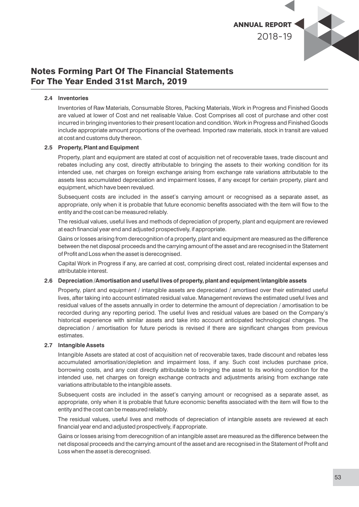

#### **2.4 Inventories**

Inventories of Raw Materials, Consumable Stores, Packing Materials, Work in Progress and Finished Goods are valued at lower of Cost and net realisable Value. Cost Comprises all cost of purchase and other cost incurred in bringing inventories to their present location and condition. Work in Progress and Finished Goods include appropriate amount proportions of the overhead. Imported raw materials, stock in transit are valued at cost and customs duty thereon.

#### **2.5 Property, Plant and Equipment**

Property, plant and equipment are stated at cost of acquisition net of recoverable taxes, trade discount and rebates including any cost, directly attributable to bringing the assets to their working condition for its intended use, net charges on foreign exchange arising from exchange rate variations attributable to the assets less accumulated depreciation and impairment losses, if any except for certain property, plant and equipment, which have been revalued.

Subsequent costs are included in the asset's carrying amount or recognised as a separate asset, as appropriate, only when it is probable that future economic benefits associated with the item will flow to the entity and the cost can be measured reliably.

The residual values, useful lives and methods of depreciation of property, plant and equipment are reviewed at each financial year end and adjusted prospectively, if appropriate.

Gains or losses arising from derecognition of a property, plant and equipment are measured as the difference between the net disposal proceeds and the carrying amount of the asset and are recognised in the Statement of Profit and Loss when the asset is derecognised.

Capital Work in Progress if any, are carried at cost, comprising direct cost, related incidental expenses and attributable interest.

#### **2.6 Depreciation /Amortisation and useful lives of property, plant and equipment/intangible assets**

Property, plant and equipment / intangible assets are depreciated / amortised over their estimated useful lives, after taking into account estimated residual value. Management reviews the estimated useful lives and residual values of the assets annually in order to determine the amount of depreciation / amortisation to be recorded during any reporting period. The useful lives and residual values are based on the Company's historical experience with similar assets and take into account anticipated technological changes. The depreciation / amortisation for future periods is revised if there are significant changes from previous estimates.

#### **2.7 Intangible Assets**

Intangible Assets are stated at cost of acquisition net of recoverable taxes, trade discount and rebates less accumulated amortisation/depletion and impairment loss, if any. Such cost includes purchase price, borrowing costs, and any cost directly attributable to bringing the asset to its working condition for the intended use, net charges on foreign exchange contracts and adjustments arising from exchange rate variations attributable to the intangible assets.

Subsequent costs are included in the asset's carrying amount or recognised as a separate asset, as appropriate, only when it is probable that future economic benefits associated with the item will flow to the entity and the cost can be measured reliably.

The residual values, useful lives and methods of depreciation of intangible assets are reviewed at each nancial year end and adjusted prospectively, if appropriate.

Gains or losses arising from derecognition of an intangible asset are measured as the difference between the net disposal proceeds and the carrying amount of the asset and are recognised in the Statement of Profit and Loss when the asset is derecognised.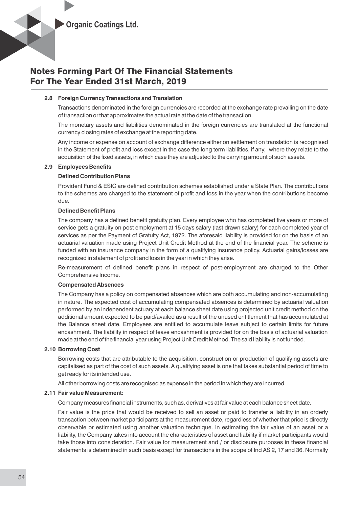

#### **2.8 Foreign Currency Transactions and Translation**

Transactions denominated in the foreign currencies are recorded at the exchange rate prevailing on the date of transaction or that approximates the actual rate at the date of the transaction.

The monetary assets and liabilities denominated in the foreign currencies are translated at the functional currency closing rates of exchange at the reporting date.

Any income or expense on account of exchange difference either on settlement on translation is recognised in the Statement of profit and loss except in the case the long term liabilities, if any, where they relate to the acquisition of the fixed assets, in which case they are adjusted to the carrying amount of such assets.

#### **2.9 Employees Benets**

#### **Defined Contribution Plans**

Provident Fund & ESIC are defined contribution schemes established under a State Plan. The contributions to the schemes are charged to the statement of profit and loss in the year when the contributions become due.

#### **Defined Benefit Plans**

The company has a defined benefit gratuity plan. Every employee who has completed five years or more of service gets a gratuity on post employment at 15 days salary (last drawn salary) for each completed year of services as per the Payment of Gratuity Act, 1972. The aforesaid liability is provided for on the basis of an actuarial valuation made using Project Unit Credit Method at the end of the financial year. The scheme is funded with an insurance company in the form of a qualifying insurance policy. Actuarial gains/losses are recognized in statement of profit and loss in the year in which they arise.

Re-measurement of defined benefit plans in respect of post-employment are charged to the Other Comprehensive Income.

#### **Compensated Absences**

The Company has a policy on compensated absences which are both accumulating and non-accumulating in nature. The expected cost of accumulating compensated absences is determined by actuarial valuation performed by an independent actuary at each balance sheet date using projected unit credit method on the additional amount expected to be paid/availed as a result of the unused entitlement that has accumulated at the Balance sheet date. Employees are entitled to accumulate leave subject to certain limits for future encashment. The liability in respect of leave encashment is provided for on the basis of actuarial valuation made at the end of the financial year using Project Unit Credit Method. The said liability is not funded.

#### **2.10 Borrowing Cost**

Borrowing costs that are attributable to the acquisition, construction or production of qualifying assets are capitalised as part of the cost of such assets. A qualifying asset is one that takes substantial period of time to get ready for its intended use.

All other borrowing costs are recognised as expense in the period in which they are incurred.

#### **2.11 Fair value Measurement:**

Company measures financial instruments, such as, derivatives at fair value at each balance sheet date.

Fair value is the price that would be received to sell an asset or paid to transfer a liability in an orderly transaction between market participants at the measurement date, regardless of whether that price is directly observable or estimated using another valuation technique. In estimating the fair value of an asset or a liability, the Company takes into account the characteristics of asset and liability if market participants would take those into consideration. Fair value for measurement and / or disclosure purposes in these financial statements is determined in such basis except for transactions in the scope of Ind AS 2, 17 and 36. Normally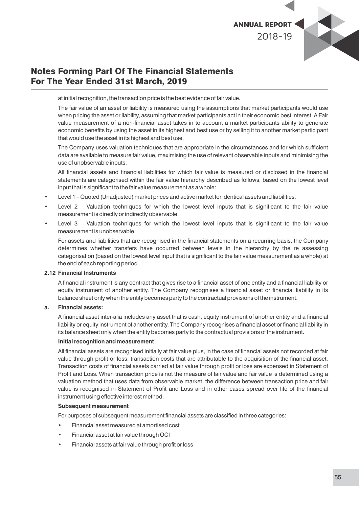

at initial recognition, the transaction price is the best evidence of fair value.

The fair value of an asset or liability is measured using the assumptions that market participants would use when pricing the asset or liability, assuming that market participants act in their economic best interest. A Fair value measurement of a non-financial asset takes in to account a market participants ability to generate economic benefits by using the asset in its highest and best use or by selling it to another market participant that would use the asset in its highest and best use.

The Company uses valuation techniques that are appropriate in the circumstances and for which sufficient data are available to measure fair value, maximising the use of relevant observable inputs and minimising the use of unobservable inputs.

All financial assets and financial liabilities for which fair value is measured or disclosed in the financial statements are categorised within the fair value hierarchy described as follows, based on the lowest level input that is significant to the fair value measurement as a whole:

- Level 1 Quoted (Unadjusted) market prices and active market for identical assets and liabilities.
- Level  $2$  Valuation techniques for which the lowest level inputs that is significant to the fair value measurement is directly or indirectly observable.
- Level  $3$  Valuation techniques for which the lowest level inputs that is significant to the fair value measurement is unobservable.

For assets and liabilities that are recognised in the financial statements on a recurring basis, the Company determines whether transfers have occurred between levels in the hierarchy by the re assessing categorisation (based on the lowest level input that is significant to the fair value measurement as a whole) at the end of each reporting period.

#### **2.12 Financial Instruments**

A financial instrument is any contract that gives rise to a financial asset of one entity and a financial liability or equity instrument of another entity. The Company recognises a financial asset or financial liability in its balance sheet only when the entity becomes party to the contractual provisions of the instrument.

#### **a. Financial assets:**

A financial asset inter-alia includes any asset that is cash, equity instrument of another entity and a financial liability or equity instrument of another entity. The Company recognises a financial asset or financial liability in its balance sheet only when the entity becomes party to the contractual provisions of the instrument.

#### **Initial recognition and measurement**

All financial assets are recognised initially at fair value plus, in the case of financial assets not recorded at fair value through profit or loss, transaction costs that are attributable to the acquisition of the financial asset. Transaction costs of financial assets carried at fair value through profit or loss are expensed in Statement of Profit and Loss. When transaction price is not the measure of fair value and fair value is determined using a valuation method that uses data from observable market, the difference between transaction price and fair value is recognised in Statement of Profit and Loss and in other cases spread over life of the financial instrument using effective interest method.

#### **Subsequent measurement**

For purposes of subsequent measurement financial assets are classified in three categories:

- Financial asset measured at amortised cost
- Financial asset at fair value through OCI
- Financial assets at fair value through profit or loss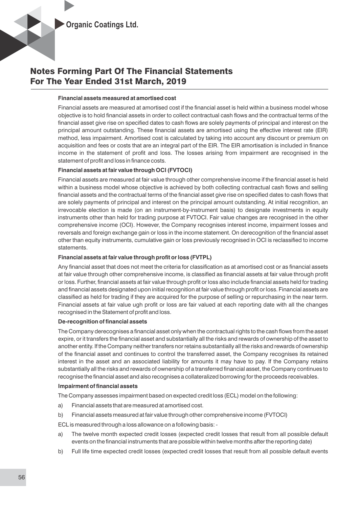

#### **Financial assets measured at amortised cost**

Financial assets are measured at amortised cost if the financial asset is held within a business model whose objective is to hold financial assets in order to collect contractual cash flows and the contractual terms of the financial asset give rise on specified dates to cash flows are solely payments of principal and interest on the principal amount outstanding. These financial assets are amortised using the effective interest rate (EIR) method, less impairment. Amortised cost is calculated by taking into account any discount or premium on acquisition and fees or costs that are an integral part of the EIR. The EIR amortisation is included in finance income in the statement of profit and loss. The losses arising from impairment are recognised in the statement of profit and loss in finance costs.

#### **Financial assets at fair value through OCI (FVTOCI)**

Financial assets are measured at fair value through other comprehensive income if the financial asset is held within a business model whose objective is achieved by both collecting contractual cash flows and selling financial assets and the contractual terms of the financial asset give rise on specified dates to cash flows that are solely payments of principal and interest on the principal amount outstanding. At initial recognition, an irrevocable election is made (on an instrument-by-instrument basis) to designate investments in equity instruments other than held for trading purpose at FVTOCI. Fair value changes are recognised in the other comprehensive income (OCI). However, the Company recognises interest income, impairment losses and reversals and foreign exchange gain or loss in the income statement. On derecognition of the financial asset other than equity instruments, cumulative gain or loss previously recognised in OCI is reclassified to income statements.

#### Financial assets at fair value through profit or loss (FVTPL)

Any financial asset that does not meet the criteria for classification as at amortised cost or as financial assets at fair value through other comprehensive income, is classified as financial assets at fair value through profit or loss. Further, financial assets at fair value through profit or loss also include financial assets held for trading and financial assets designated upon initial recognition at fair value through profit or loss. Financial assets are classified as held for trading if they are acquired for the purpose of selling or repurchasing in the near term. Financial assets at fair value ugh profit or loss are fair valued at each reporting date with all the changes recognised in the Statement of profit and loss.

#### **De-recognition of financial assets**

The Company derecognises a financial asset only when the contractual rights to the cash flows from the asset expire, or it transfers the financial asset and substantially all the risks and rewards of ownership of the asset to another entity. If the Company neither transfers nor retains substantially all the risks and rewards of ownership of the nancial asset and continues to control the transferred asset, the Company recognises its retained interest in the asset and an associated liability for amounts it may have to pay. If the Company retains substantially all the risks and rewards of ownership of a transferred financial asset, the Company continues to recognise the financial asset and also recognises a collateralized borrowing for the proceeds receivables.

#### **Impairment of financial assets**

The Company assesses impairment based on expected credit loss (ECL) model on the following:

- a) Financial assets that are measured at amortised cost.
- b) Financial assets measured at fair value through other comprehensive income (FVTOCI)

ECL is measured through a loss allowance on a following basis: -

- a) The twelve month expected credit losses (expected credit losses that result from all possible default events on the financial instruments that are possible within twelve months after the reporting date)
- b) Full life time expected credit losses (expected credit losses that result from all possible default events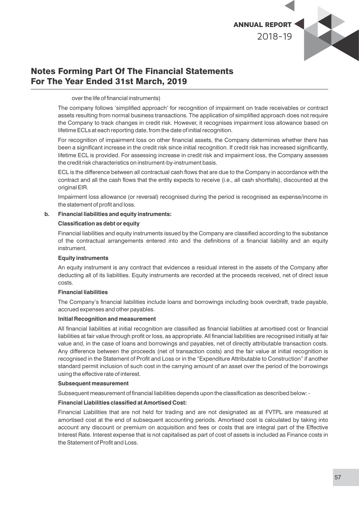

over the life of financial instruments)

The company follows 'simplified approach' for recognition of impairment on trade receivables or contract assets resulting from normal business transactions. The application of simplified approach does not require the Company to track changes in credit risk. However, it recognises impairment loss allowance based on lifetime ECLs at each reporting date, from the date of initial recognition.

For recognition of impairment loss on other financial assets, the Company determines whether there has been a significant increase in the credit risk since initial recognition. If credit risk has increased significantly, lifetime ECL is provided. For assessing increase in credit risk and impairment loss, the Company assesses the credit risk characteristics on instrument-by-instrument basis.

ECL is the difference between all contractual cash flows that are due to the Company in accordance with the contract and all the cash flows that the entity expects to receive (i.e., all cash shortfalls), discounted at the original EIR.

Impairment loss allowance (or reversal) recognised during the period is recognised as expense/income in the statement of profit and loss.

#### **b. Financial liabilities and equity instruments:**

#### **Classification as debt or equity**

Financial liabilities and equity instruments issued by the Company are classified according to the substance of the contractual arrangements entered into and the definitions of a financial liability and an equity instrument.

#### **Equity instruments**

An equity instrument is any contract that evidences a residual interest in the assets of the Company after deducting all of its liabilities. Equity instruments are recorded at the proceeds received, net of direct issue costs.

#### **Financial liabilities**

The Company's financial liabilities include loans and borrowings including book overdraft, trade payable, accrued expenses and other payables.

#### **Initial Recognition and measurement**

All financial liabilities at initial recognition are classified as financial liabilities at amortised cost or financial liabilities at fair value through profit or loss, as appropriate. All financial liabilities are recognised initially at fair value and, in the case of loans and borrowings and payables, net of directly attributable transaction costs. Any difference between the proceeds (net of transaction costs) and the fair value at initial recognition is recognised in the Statement of Profit and Loss or in the "Expenditure Attributable to Construction" if another standard permit inclusion of such cost in the carrying amount of an asset over the period of the borrowings using the effective rate of interest.

#### **Subsequent measurement**

Subsequent measurement of financial liabilities depends upon the classification as described below: -

#### **Financial Liabilities classied at Amortised Cost:**

Financial Liabilities that are not held for trading and are not designated as at FVTPL are measured at amortised cost at the end of subsequent accounting periods. Amortised cost is calculated by taking into account any discount or premium on acquisition and fees or costs that are integral part of the Effective Interest Rate. Interest expense that is not capitalised as part of cost of assets is included as Finance costs in the Statement of Profit and Loss.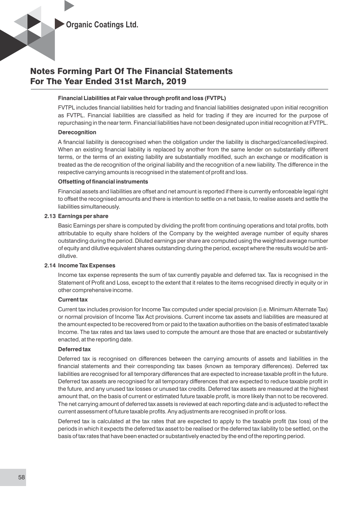

#### **Financial Liabilities at Fair value through profit and loss (FVTPL)**

FVTPL includes financial liabilities held for trading and financial liabilities designated upon initial recognition as FVTPL. Financial liabilities are classified as held for trading if they are incurred for the purpose of repurchasing in the near term. Financial liabilities have not been designated upon initial recognition at FVTPL.

#### **Derecognition**

A financial liability is derecognised when the obligation under the liability is discharged/cancelled/expired. When an existing financial liability is replaced by another from the same lender on substantially different terms, or the terms of an existing liability are substantially modified, such an exchange or modification is treated as the de recognition of the original liability and the recognition of a new liability. The difference in the respective carrying amounts is recognised in the statement of profit and loss.

#### **Offsetting of financial instruments**

Financial assets and liabilities are offset and net amount is reported if there is currently enforceable legal right to offset the recognised amounts and there is intention to settle on a net basis, to realise assets and settle the liabilities simultaneously.

#### **2.13 Earnings per share**

Basic Earnings per share is computed by dividing the profit from continuing operations and total profits, both attributable to equity share holders of the Company by the weighted average number of equity shares outstanding during the period. Diluted earnings per share are computed using the weighted average number of equity and dilutive equivalent shares outstanding during the period, except where the results would be antidilutive.

#### **2.14 Income Tax Expenses**

Income tax expense represents the sum of tax currently payable and deferred tax. Tax is recognised in the Statement of Profit and Loss, except to the extent that it relates to the items recognised directly in equity or in other comprehensive income.

#### **Current tax**

Current tax includes provision for Income Tax computed under special provision (i.e. Minimum Alternate Tax) or normal provision of Income Tax Act provisions. Current income tax assets and liabilities are measured at the amount expected to be recovered from or paid to the taxation authorities on the basis of estimated taxable Income. The tax rates and tax laws used to compute the amount are those that are enacted or substantively enacted, at the reporting date.

#### **Deferred tax**

Deferred tax is recognised on differences between the carrying amounts of assets and liabilities in the financial statements and their corresponding tax bases (known as temporary differences). Deferred tax liabilities are recognised for all temporary differences that are expected to increase taxable profit in the future. Deferred tax assets are recognised for all temporary differences that are expected to reduce taxable profit in the future, and any unused tax losses or unused tax credits. Deferred tax assets are measured at the highest amount that, on the basis of current or estimated future taxable profit, is more likely than not to be recovered. The net carrying amount of deferred tax assets is reviewed at each reporting date and is adjusted to reflect the current assessment of future taxable profits. Any adjustments are recognised in profit or loss.

Deferred tax is calculated at the tax rates that are expected to apply to the taxable profit (tax loss) of the periods in which it expects the deferred tax asset to be realised or the deferred tax liability to be settled, on the basis of tax rates that have been enacted or substantively enacted by the end of the reporting period.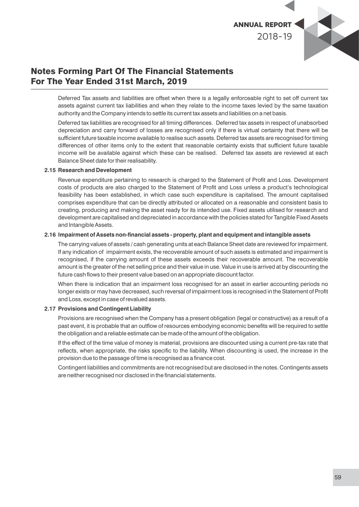

Deferred Tax assets and liabilities are offset when there is a legally enforceable right to set off current tax assets against current tax liabilities and when they relate to the income taxes levied by the same taxation authority and the Company intends to settle its current tax assets and liabilities on a net basis.

Deferred tax liabilities are recognised for all timing differences. Deferred tax assets in respect of unabsorbed depreciation and carry forward of losses are recognised only if there is virtual certainty that there will be sufficient future taxable income available to realise such assets. Deferred tax assets are recognised for timing differences of other items only to the extent that reasonable certainty exists that sufficient future taxable income will be available against which these can be realised. Deferred tax assets are reviewed at each Balance Sheet date for their realisability.

#### **2.15 Research and Development**

Revenue expenditure pertaining to research is charged to the Statement of Profit and Loss. Development costs of products are also charged to the Statement of Profit and Loss unless a product's technological feasibility has been established, in which case such expenditure is capitalised. The amount capitalised comprises expenditure that can be directly attributed or allocated on a reasonable and consistent basis to creating, producing and making the asset ready for its intended use. Fixed assets utilised for research and development are capitalised and depreciated in accordance with the policies stated for Tangible Fixed Assets and Intangible Assets.

#### 2.16 Impairment of Assets non-financial assets - property, plant and equipment and intangible assets

The carrying values of assets / cash generating units at each Balance Sheet date are reviewed for impairment. If any indication of impairment exists, the recoverable amount of such assets is estimated and impairment is recognised, if the carrying amount of these assets exceeds their recoverable amount. The recoverable amount is the greater of the net selling price and their value in use. Value in use is arrived at by discounting the future cash flows to their present value based on an appropriate discount factor.

When there is indication that an impairment loss recognised for an asset in earlier accounting periods no longer exists or may have decreased, such reversal of impairment loss is recognised in the Statement of Profit and Loss, except in case of revalued assets.

#### **2.17 Provisions and Contingent Liability**

Provisions are recognised when the Company has a present obligation (legal or constructive) as a result of a past event, it is probable that an outflow of resources embodying economic benefits will be required to settle the obligation and a reliable estimate can be made of the amount of the obligation.

If the effect of the time value of money is material, provisions are discounted using a current pre-tax rate that reflects, when appropriate, the risks specific to the liability. When discounting is used, the increase in the provision due to the passage of time is recognised as a finance cost.

Contingent liabilities and commitments are not recognised but are disclosed in the notes. Contingents assets are neither recognised nor disclosed in the financial statements.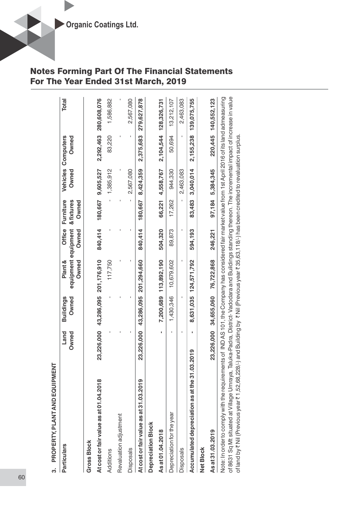| PROPERTY, PLANT AND EQUIPMENT<br>က                                                                                                                                                                                                                                                                                                                                                                                                                                |               |                           |                                         |                 |                                  |                   |                           |                       |
|-------------------------------------------------------------------------------------------------------------------------------------------------------------------------------------------------------------------------------------------------------------------------------------------------------------------------------------------------------------------------------------------------------------------------------------------------------------------|---------------|---------------------------|-----------------------------------------|-----------------|----------------------------------|-------------------|---------------------------|-----------------------|
| <b>Particulars</b>                                                                                                                                                                                                                                                                                                                                                                                                                                                | Land<br>Owned | <b>Buildings</b><br>Owned | equipment equipment<br>Plant &<br>Owned | Office<br>Owned | Furniture<br>& fixtures<br>Owned | Vehicles<br>Owned | <b>Owned</b><br>Computers | <b>Total</b>          |
| <b>Gross Block</b>                                                                                                                                                                                                                                                                                                                                                                                                                                                |               |                           |                                         |                 |                                  |                   |                           |                       |
| At cost or fair value as at 01.04.2018                                                                                                                                                                                                                                                                                                                                                                                                                            | 23,226,000    |                           | 43,286,095 201,176,910                  | 840,414         | 180,667                          | 9,605,527         |                           | 2,292,463 280,608,076 |
| Additions                                                                                                                                                                                                                                                                                                                                                                                                                                                         |               |                           | 117,750                                 |                 |                                  | 1,385,912         | 83,220                    | 1,586,882             |
| Revaluation adjustment                                                                                                                                                                                                                                                                                                                                                                                                                                            |               |                           |                                         |                 |                                  |                   |                           |                       |
| <b>Disposals</b>                                                                                                                                                                                                                                                                                                                                                                                                                                                  |               |                           |                                         |                 |                                  | 2,567,080         |                           | 2,567,080             |
| At cost or fair value as at 31.03.2019                                                                                                                                                                                                                                                                                                                                                                                                                            | 23,226,000    | 43,286,095                | 201,294,660                             | 840,414         | 180,667                          | 8,424,359         | 2,375,683                 | 279,627,878           |
| Depreciation Block                                                                                                                                                                                                                                                                                                                                                                                                                                                |               |                           |                                         |                 |                                  |                   |                           |                       |
| As at 01.04.2018                                                                                                                                                                                                                                                                                                                                                                                                                                                  | ٠             | 7,200,689                 | 113,892,190                             | 504,320         | 66,221                           | 4,558,767         | 2,104,544                 | 128,326,731           |
| Depreciation for the year                                                                                                                                                                                                                                                                                                                                                                                                                                         |               | 1,430,346                 | 10,679,602                              | 89,873          | 17,262                           | 944,330           | 50,694                    | 13,212,107            |
| <b>Disposals</b>                                                                                                                                                                                                                                                                                                                                                                                                                                                  |               |                           |                                         |                 |                                  | 2,463,083         |                           | 2,463,083             |
| Accumulated depreciation as at the 31.03.2019                                                                                                                                                                                                                                                                                                                                                                                                                     |               | 8,631,035                 | 124,571,792                             | 594,193         | 83,483                           | 3,040,014         | 2,155,238                 | 139,075,755           |
| <b>Net Block</b>                                                                                                                                                                                                                                                                                                                                                                                                                                                  |               |                           |                                         |                 |                                  |                   |                           |                       |
| As at 31.03.2019                                                                                                                                                                                                                                                                                                                                                                                                                                                  |               | 23,226,000 34,655,060     | 76,722,868                              | 246,221         |                                  | 97,184 5,384,345  |                           | 220,445 140,552,123   |
| of 8631 Sq Mt situated at Village Umraya, Taluka-Padra, District-Vadodara and Buildings standing thereon. The incremental impact of increase in value<br>Note: In order to comply with the requirements of IND AS 101, the Company has considered fair market value from 1st April 2016 of its land admeasuring<br>of land by ₹ Nil (Previous year ₹ 1,52,68,228/-) and Building by ₹ Nil (Previous year ₹ 35,63,118/-) has been credited to revaluation surplus. |               |                           |                                         |                 |                                  |                   |                           |                       |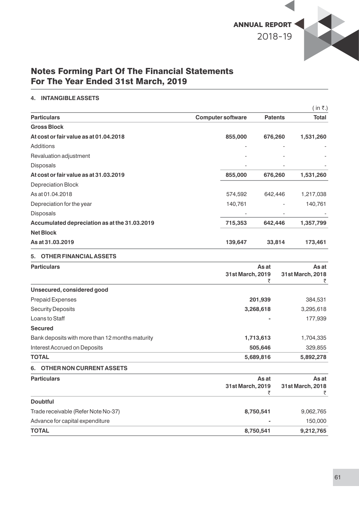

#### **4. INTANGIBLE ASSETS**

|                                               |                          |                | (in ₹.)      |
|-----------------------------------------------|--------------------------|----------------|--------------|
| <b>Particulars</b>                            | <b>Computer software</b> | <b>Patents</b> | <b>Total</b> |
| <b>Gross Block</b>                            |                          |                |              |
| At cost or fair value as at 01.04.2018        | 855,000                  | 676,260        | 1,531,260    |
| Additions                                     |                          | ٠              |              |
| Revaluation adjustment                        |                          |                |              |
| Disposals                                     |                          | ٠              |              |
| At cost or fair value as at 31.03.2019        | 855,000                  | 676,260        | 1,531,260    |
| Depreciation Block                            |                          |                |              |
| As at 01.04.2018                              | 574,592                  | 642,446        | 1,217,038    |
| Depreciation for the year                     | 140,761                  | ٠              | 140,761      |
| <b>Disposals</b>                              |                          | ۰              |              |
| Accumulated depreciation as at the 31.03.2019 | 715,353                  | 642,446        | 1,357,799    |
| <b>Net Block</b>                              |                          |                |              |
| As at 31,03,2019                              | 139,647                  | 33,814         | 173,461      |

### **5. OTHER FINANCIAL ASSETS**

| <b>Particulars</b>                              | As at            | As at            |
|-------------------------------------------------|------------------|------------------|
|                                                 | 31st March, 2019 | 31st March, 2018 |
|                                                 |                  |                  |
| Unsecured, considered good                      |                  |                  |
| <b>Prepaid Expenses</b>                         | 201,939          | 384,531          |
| <b>Security Deposits</b>                        | 3,268,618        | 3,295,618        |
| Loans to Staff                                  |                  | 177,939          |
| <b>Secured</b>                                  |                  |                  |
| Bank deposits with more than 12 months maturity | 1,713,613        | 1,704,335        |
| Interest Accrued on Deposits                    | 505,646          | 329,855          |
| <b>TOTAL</b>                                    | 5,689,816        | 5,892,278        |
| OTHER NON CURRENT ASSETS<br>6.                  |                  |                  |
| <b>Particulars</b>                              | As at            | As at            |
|                                                 | 31st March, 2019 | 31st March, 2018 |
|                                                 | ₹                |                  |
| <b>Doubtful</b>                                 |                  |                  |
| Trade receivable (Refer Note No-37)             | 8,750,541        | 9,062,765        |
| Advance for capital expenditure                 |                  | 150,000          |

**TOTAL 8,750,541 9,212,765**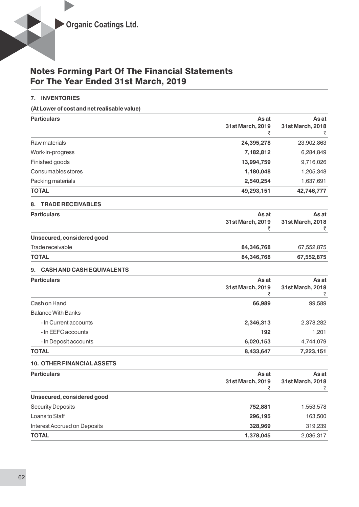#### **7. INVENTORIES**

**(At Lower of cost and net realisable value)**

| <b>Particulars</b> | As at            | As at            |
|--------------------|------------------|------------------|
|                    | 31st March, 2019 | 31st March, 2018 |
| Raw materials      | 24,395,278       | 23,902,863       |
| Work-in-progress   | 7,182,812        | 6,284,849        |
| Finished goods     | 13,994,759       | 9,716,026        |
| Consumables stores | 1,180,048        | 1,205,348        |
| Packing materials  | 2,540,254        | 1,637,691        |
| <b>TOTAL</b>       | 49,293,151       | 42,746,777       |

#### **8. TRADE RECEIVABLES**

| <b>Particulars</b>         | As at            | As at            |  |
|----------------------------|------------------|------------------|--|
|                            | 31st March, 2019 | 31st March, 2018 |  |
|                            |                  |                  |  |
| Unsecured, considered good |                  |                  |  |
| Trade receivable           | 84,346,768       | 67,552,875       |  |
| <b>TOTAL</b>               | 84,346,768       | 67,552,875       |  |

#### **9. CASH AND CASH EQUIVALENTS**

| <b>Particulars</b>        | As at            | As at            |
|---------------------------|------------------|------------------|
|                           | 31st March, 2019 | 31st March, 2018 |
|                           |                  |                  |
| Cash on Hand              | 66,989           | 99,589           |
| <b>Balance With Banks</b> |                  |                  |
| - In Current accounts     | 2,346,313        | 2,378,282        |
| - In EEFC accounts        | 192              | 1,201            |
| - In Deposit accounts     | 6,020,153        | 4,744,079        |
| <b>TOTAL</b>              | 8,433,647        | 7,223,151        |

#### **10. OTHER FINANCIAL ASSETS**

| <b>Particulars</b>           | As at            | As at            |  |
|------------------------------|------------------|------------------|--|
|                              | 31st March, 2019 | 31st March, 2018 |  |
|                              |                  |                  |  |
| Unsecured, considered good   |                  |                  |  |
| <b>Security Deposits</b>     | 752,881          | 1,553,578        |  |
| Loans to Staff               | 296,195          | 163,500          |  |
| Interest Accrued on Deposits | 328,969          | 319,239          |  |
| <b>TOTAL</b>                 | 1,378,045        | 2,036,317        |  |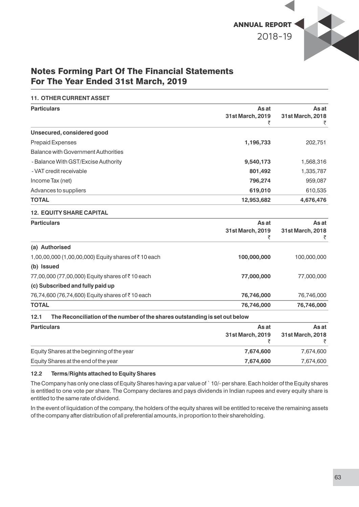

#### **11. OTHER CURRENT ASSET**

| <b>Particulars</b>                                                                  | As at<br>31st March, 2019<br>₹ | As at<br>31st March, 2018<br>₹ |
|-------------------------------------------------------------------------------------|--------------------------------|--------------------------------|
| Unsecured, considered good                                                          |                                |                                |
| <b>Prepaid Expenses</b>                                                             | 1,196,733                      | 202,751                        |
| <b>Balance with Government Authorities</b>                                          |                                |                                |
| - Balance With GST/Excise Authority                                                 | 9,540,173                      | 1,568,316                      |
| - VAT credit receivable                                                             | 801,492                        | 1,335,787                      |
| Income Tax (net)                                                                    | 796,274                        | 959,087                        |
| Advances to suppliers                                                               | 619,010                        | 610,535                        |
| <b>TOTAL</b>                                                                        | 12,953,682                     | 4,676,476                      |
| <b>12. EQUITY SHARE CAPITAL</b>                                                     |                                |                                |
| <b>Particulars</b>                                                                  | As at                          | As at                          |
|                                                                                     | 31st March, 2019<br>₹          | 31st March, 2018<br>₹          |
| (a) Authorised                                                                      |                                |                                |
| 1,00,00,000 (1,00,00,000) Equity shares of ₹10 each                                 | 100,000,000                    | 100,000,000                    |
| (b) Issued                                                                          |                                |                                |
| 77,00,000 (77,00,000) Equity shares of ₹10 each                                     | 77,000,000                     | 77,000,000                     |
| (c) Subscribed and fully paid up                                                    |                                |                                |
| 76,74,600 (76,74,600) Equity shares of ₹10 each                                     | 76,746,000                     | 76,746,000                     |
| <b>TOTAL</b>                                                                        | 76,746,000                     | 76,746,000                     |
| The Reconciliation of the number of the shares outstanding is set out below<br>12.1 |                                |                                |
| <b>Particulars</b>                                                                  | As at                          | As at                          |
|                                                                                     | 31st March, 2019               | 31st March, 2018               |
|                                                                                     | ₹                              | ₹                              |
| Equity Shares at the beginning of the year                                          | 7,674,600                      | 7,674,600                      |
| Equity Shares at the end of the year                                                | 7,674,600                      | 7,674,600                      |

#### **12.2 Terms/Rights attached to Equity Shares**

The Company has only one class of Equity Shares having a par value of ` 10/- per share. Each holder of the Equity shares is entitled to one vote per share. The Company declares and pays dividends in Indian rupees and every equity share is entitled to the same rate of dividend.

In the event of liquidation of the company, the holders of the equity shares will be entitled to receive the remaining assets of the company after distribution of all preferential amounts, in proportion to their shareholding.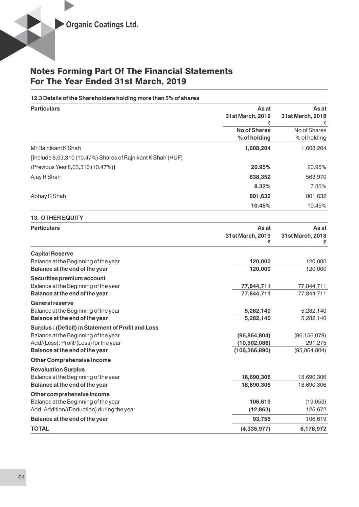#### **12.3 Details of the Shareholders holding more than 5% of shares**

| <b>Particulars</b>                                          | As at               | As at            |
|-------------------------------------------------------------|---------------------|------------------|
|                                                             | 31st March, 2019    | 31st March, 2018 |
|                                                             |                     |                  |
|                                                             | <b>No of Shares</b> | No of Shares     |
|                                                             | % of holding        | % of holding     |
| Mr Rajnikant K Shah                                         | 1,608,204           | 1,608,204        |
| [Include 8,03,310 (10.47%) Shares of Rajnikant K Shah (HUF) |                     |                  |
| (Previous Year 8,03,310 (10.47%)]                           | 20.95%              | 20.95%           |
| Ajay R Shah                                                 | 638,352             | 563,970          |
|                                                             | 8.32%               | 7.35%            |
| Abhay R Shah                                                | 801,632             | 801,632          |
|                                                             | 10.45%              | 10.45%           |

#### **13. OTHER EQUITY**

| <b>Particulars</b>                                  | As at            | As at            |
|-----------------------------------------------------|------------------|------------------|
|                                                     | 31st March, 2019 | 31st March, 2018 |
|                                                     | ₹                | ₹                |
| <b>Capital Reserve</b>                              |                  |                  |
| Balance at the Beginning of the year                | 120,000          | 120,000          |
| Balance at the end of the year                      | 120,000          | 120,000          |
| Securities premium account                          |                  |                  |
| Balance at the Beginning of the year                | 77,844,711       | 77,844,711       |
| Balance at the end of the year                      | 77,844,711       | 77,844,711       |
| <b>General reserve</b>                              |                  |                  |
| Balance at the Beginning of the year                | 5,282,140        | 5,282,140        |
| Balance at the end of the year                      | 5,282,140        | 5,282,140        |
| Surplus / (Deficit) in Statement of Profit and Loss |                  |                  |
| Balance at the Beginning of the year                | (95,864,804)     | (96, 156, 079)   |
| Add/(Less): Profit/(Loss) for the year              | (10,502,086)     | 291,275          |
| Balance at the end of the year                      | (106, 366, 890)  | (95,864,804)     |
| <b>Other Comprehensive Income</b>                   |                  |                  |
| <b>Revaluation Surplus</b>                          |                  |                  |
| Balance at the Beginning of the year                | 18,690,306       | 18,690,306       |
| Balance at the end of the year                      | 18,690,306       | 18,690,306       |
| Other comprehensive income                          |                  |                  |
| Balance at the Beginning of the year                | 106,619          | (19,053)         |
| Add: Addition/(Deduction) during the year           | (12, 863)        | 125,672          |
| Balance at the end of the year                      | 93,756           | 106,619          |
| <b>TOTAL</b>                                        | (4, 335, 977)    | 6,178,972        |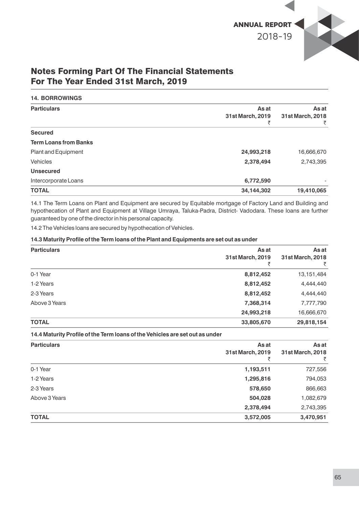

#### **14. BORROWINGS**

| <b>Particulars</b>           | As at            | As at<br>31st March, 2018 |
|------------------------------|------------------|---------------------------|
|                              | 31st March, 2019 |                           |
|                              |                  | ₹                         |
| <b>Secured</b>               |                  |                           |
| <b>Term Loans from Banks</b> |                  |                           |
| Plant and Equipment          | 24,993,218       | 16,666,670                |
| <b>Vehicles</b>              | 2,378,494        | 2,743,395                 |
| <b>Unsecured</b>             |                  |                           |
| Intercorporate Loans         | 6,772,590        |                           |
| <b>TOTAL</b>                 | 34,144,302       | 19,410,065                |

14.1 The Term Loans on Plant and Equipment are secured by Equitable mortgage of Factory Land and Building and hypothecation of Plant and Equipment at Village Umraya, Taluka-Padra, District- Vadodara. These loans are further guaranteed by one of the director in his personal capacity.

14.2 The Vehicles loans are secured by hypothecation of Vehicles.

#### 14.3 Maturity Profile of the Term loans of the Plant and Equipments are set out as under

| <b>Particulars</b> | As at            | As at            |
|--------------------|------------------|------------------|
|                    | 31st March, 2019 | 31st March, 2018 |
|                    |                  |                  |
| 0-1 Year           | 8,812,452        | 13, 151, 484     |
| 1-2 Years          | 8,812,452        | 4,444,440        |
| 2-3 Years          | 8,812,452        | 4,444,440        |
| Above 3 Years      | 7,368,314        | 7,777,790        |
|                    | 24,993,218       | 16,666,670       |
| <b>TOTAL</b>       | 33,805,670       | 29,818,154       |

14.4 Maturity Profile of the Term loans of the Vehicles are set out as under

| <b>Particulars</b> | As at<br>31st March, 2019 | As at<br>31st March, 2018<br>₹ |
|--------------------|---------------------------|--------------------------------|
| 0-1 Year           | 1,193,511                 | 727,556                        |
| 1-2 Years          | 1,295,816                 | 794,053                        |
| 2-3 Years          | 578,650                   | 866,663                        |
| Above 3 Years      | 504,028                   | 1,082,679                      |
|                    | 2,378,494                 | 2,743,395                      |
| <b>TOTAL</b>       | 3,572,005                 | 3,470,951                      |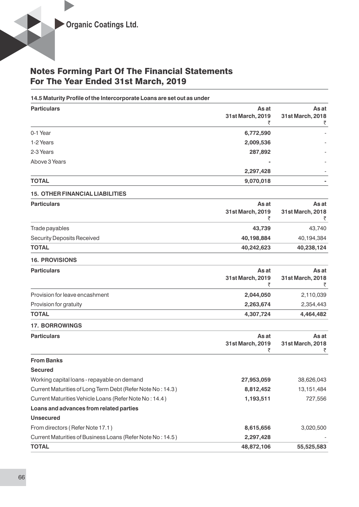#### 14.5 Maturity Profile of the Intercorporate Loans are set out as under

| <b>Particulars</b> | As at            | As at            |
|--------------------|------------------|------------------|
|                    | 31st March, 2019 | 31st March, 2018 |
|                    |                  | ₹                |
| 0-1 Year           | 6,772,590        |                  |
| 1-2 Years          | 2,009,536        |                  |
| 2-3 Years          | 287,892          | ۰                |
| Above 3 Years      |                  |                  |
|                    | 2,297,428        |                  |
| <b>TOTAL</b>       | 9,070,018        |                  |

#### **15. OTHER FINANCIAL LIABILITIES**

| <b>Particulars</b>         | As at            | As at            |
|----------------------------|------------------|------------------|
|                            | 31st March, 2019 | 31st March, 2018 |
|                            |                  |                  |
| Trade payables             | 43.739           | 43.740           |
| Security Deposits Received | 40,198,884       | 40,194,384       |
| <b>TOTAL</b>               | 40,242,623       | 40,238,124       |

#### **16. PROVISIONS**

| As at            | As at            |
|------------------|------------------|
| 31st March, 2019 | 31st March, 2018 |
|                  |                  |
| 2,044,050        | 2,110,039        |
| 2,263,674        | 2,354,443        |
| 4,307,724        | 4,464,482        |
|                  |                  |

#### **17. BORROWINGS**

| <b>Particulars</b>                                         | As at<br>31st March, 2019 | As at<br>31st March, 2018 |
|------------------------------------------------------------|---------------------------|---------------------------|
| <b>From Banks</b>                                          |                           |                           |
| <b>Secured</b>                                             |                           |                           |
| Working capital loans - repayable on demand                | 27,953,059                | 38,626,043                |
| Current Maturities of Long Term Debt (Refer Note No: 14.3) | 8,812,452                 | 13, 151, 484              |
| Current Maturities Vehicle Loans (Refer Note No: 14.4)     | 1,193,511                 | 727,556                   |
| Loans and advances from related parties                    |                           |                           |
| <b>Unsecured</b>                                           |                           |                           |
| From directors (Refer Note 17.1)                           | 8,615,656                 | 3,020,500                 |
| Current Maturities of Business Loans (Refer Note No: 14.5) | 2,297,428                 |                           |
| <b>TOTAL</b>                                               | 48,872,106                | 55,525,583                |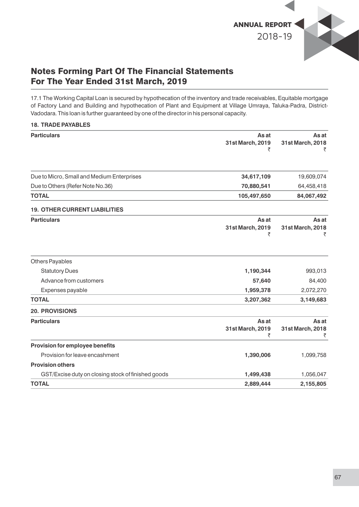

17.1 The Working Capital Loan is secured by hypothecation of the inventory and trade receivables, Equitable mortgage of Factory Land and Building and hypothecation of Plant and Equipment at Village Umraya, Taluka-Padra, District-Vadodara. This loan is further guaranteed by one of the director in his personal capacity.

| <b>18. TRADE PAYABLES</b>                          |                                |                                |
|----------------------------------------------------|--------------------------------|--------------------------------|
| <b>Particulars</b>                                 | As at<br>31st March, 2019<br>₹ | As at<br>31st March, 2018      |
| Due to Micro, Small and Medium Enterprises         | 34,617,109                     | 19,609,074                     |
| Due to Others (Refer Note No.36)                   | 70,880,541                     | 64,458,418                     |
| <b>TOTAL</b>                                       | 105,497,650                    | 84,067,492                     |
| <b>19. OTHER CURRENT LIABILITIES</b>               |                                |                                |
| <b>Particulars</b>                                 | As at<br>31st March, 2019<br>₹ | As at<br>31st March, 2018<br>₹ |
| <b>Others Payables</b>                             |                                |                                |
| <b>Statutory Dues</b>                              | 1,190,344                      | 993,013                        |
| Advance from customers                             | 57,640                         | 84,400                         |
| Expenses payable                                   | 1,959,378                      | 2,072,270                      |
| <b>TOTAL</b>                                       | 3,207,362                      | 3,149,683                      |
| <b>20. PROVISIONS</b>                              |                                |                                |
| <b>Particulars</b>                                 | As at<br>31st March, 2019<br>₹ | As at<br>31st March, 2018      |
| Provision for employee benefits                    |                                |                                |
| Provision for leave encashment                     | 1,390,006                      | 1,099,758                      |
| <b>Provision others</b>                            |                                |                                |
| GST/Excise duty on closing stock of finished goods | 1,499,438                      | 1,056,047                      |
| <b>TOTAL</b>                                       | 2,889,444                      | 2,155,805                      |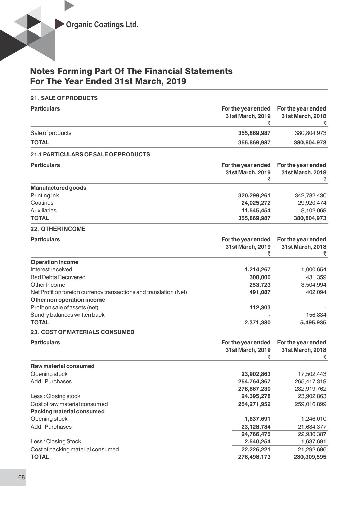| <b>21. SALE OF PRODUCTS</b>                                       |                                             |                                             |
|-------------------------------------------------------------------|---------------------------------------------|---------------------------------------------|
| <b>Particulars</b>                                                | For the year ended<br>31st March, 2019<br>₹ | For the year ended<br>31st March, 2018<br>₹ |
| Sale of products                                                  | 355,869,987                                 | 380,804,973                                 |
| <b>TOTAL</b>                                                      | 355,869,987                                 | 380,804,973                                 |
| 21.1 PARTICULARS OF SALE OF PRODUCTS                              |                                             |                                             |
| <b>Particulars</b>                                                | For the year ended                          | For the year ended                          |
|                                                                   | 31st March, 2019<br>₹                       | 31st March, 2018<br>₹                       |
| <b>Manufactured goods</b>                                         |                                             |                                             |
| Printing Ink                                                      | 320,299,261                                 | 342,782,430                                 |
| Coatings                                                          | 24,025,272                                  | 29,920,474                                  |
| <b>Auxiliaries</b>                                                | 11,545,454                                  | 8,102,069                                   |
| <b>TOTAL</b>                                                      | 355,869,987                                 | 380,804,973                                 |
| <b>22. OTHER INCOME</b>                                           |                                             |                                             |
| <b>Particulars</b>                                                | For the year ended                          | For the year ended                          |
|                                                                   | 31st March, 2019                            | 31st March, 2018                            |
|                                                                   | ₹                                           | ₹                                           |
| <b>Operation income</b>                                           |                                             |                                             |
| Interest received                                                 | 1,214,267                                   | 1,000,654                                   |
| <b>Bad Debts Recovered</b>                                        | 300,000                                     | 431,359                                     |
| Other Income                                                      | 253,723                                     | 3,504,994                                   |
| Net Profit on foreign currency transactions and translation (Net) | 491,087                                     | 402,094                                     |
| Other non operation income                                        |                                             |                                             |
| Profit on sale of assets (net)                                    | 112,303                                     |                                             |
| Sundry balances written back                                      |                                             | 156,834                                     |
| <b>TOTAL</b>                                                      | 2,371,380                                   | 5,495,935                                   |
| <b>23. COST OF MATERIALS CONSUMED</b>                             |                                             |                                             |
| <b>Particulars</b>                                                | For the year ended                          | For the year ended                          |
|                                                                   | 31st March, 2019                            | 31st March, 2018                            |
| <b>Raw material consumed</b>                                      | ₹                                           | ₹                                           |
|                                                                   |                                             |                                             |
| Opening stock<br>Add: Purchases                                   | 23,902,863                                  | 17,502,443                                  |
|                                                                   | 254,764,367                                 | 265,417,319                                 |
|                                                                   | 278,667,230                                 | 282,919,762                                 |
| Less: Closing stock                                               | 24,395,278                                  | 23,902,863                                  |
| Cost of raw material consumed<br><b>Packing material consumed</b> | 254,271,952                                 | 259,016,899                                 |
|                                                                   |                                             |                                             |
| Opening stock<br>Add: Purchases                                   | 1,637,691                                   | 1,246,010                                   |
|                                                                   | 23,128,784                                  | 21,684,377                                  |
|                                                                   | 24,766,475                                  | 22,930,387                                  |
| Less: Closing Stock                                               | 2,540,254                                   | 1,637,691<br>21,292,696                     |
| Cost of packing material consumed<br><b>TOTAL</b>                 | 22,226,221                                  |                                             |
|                                                                   | 276,498,173                                 | 280,309,595                                 |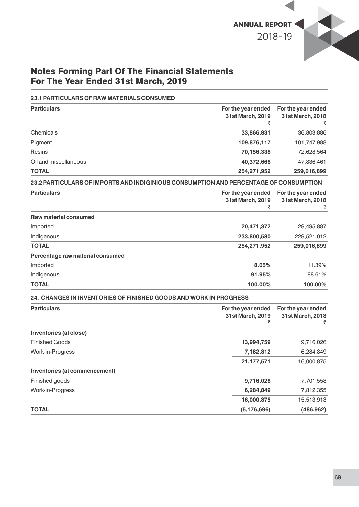

#### **23.1 PARTICULARS OF RAW MATERIALS CONSUMED**

| <b>Particulars</b>                                                                    | For the year ended<br>31st March, 2019      | For the year ended<br>31st March, 2018      |
|---------------------------------------------------------------------------------------|---------------------------------------------|---------------------------------------------|
| Chemicals                                                                             | 33,866,831                                  | 36,803,886                                  |
| Pigment                                                                               | 109,876,117                                 | 101,747,988                                 |
| <b>Resins</b>                                                                         | 70,156,338                                  | 72,628,564                                  |
| Oil and miscellaneous                                                                 | 40,372,666                                  | 47,836,461                                  |
| <b>TOTAL</b>                                                                          | 254,271,952                                 | 259,016,899                                 |
| 23.2 PARTICULARS OF IMPORTS AND INDIGINIOUS CONSUMPTION AND PERCENTAGE OF CONSUMPTION |                                             |                                             |
| <b>Particulars</b>                                                                    | For the year ended<br>31st March, 2019<br>₹ | For the year ended<br>31st March, 2018<br>₹ |
| <b>Raw material consumed</b>                                                          |                                             |                                             |
| Imported                                                                              | 20,471,372                                  | 29,495,887                                  |
| Indigenous                                                                            | 233,800,580                                 | 229,521,012                                 |
| <b>TOTAL</b>                                                                          | 254,271,952                                 | 259,016,899                                 |
| Percentage raw material consumed                                                      |                                             |                                             |
| Imported                                                                              | 8.05%                                       | 11.39%                                      |
| Indigenous                                                                            | 91.95%                                      | 88.61%                                      |
| <b>TOTAL</b>                                                                          | 100.00%                                     | 100.00%                                     |
| <b>24. CHANGES IN INVENTORIES OF FINISHED GOODS AND WORK IN PROGRESS</b>              |                                             |                                             |
| <b>Particulars</b>                                                                    | For the year ended<br>31st March, 2019<br>₹ | For the year ended<br>31st March, 2018<br>₹ |
| Inventories (at close)                                                                |                                             |                                             |
| <b>Finished Goods</b>                                                                 | 13,994,759                                  | 9,716,026                                   |
| Work-in-Progress                                                                      | 7,182,812                                   | 6,284,849                                   |
|                                                                                       | 21,177,571                                  | 16,000,875                                  |
| Inventories (at commencement)                                                         |                                             |                                             |
| Finished goods                                                                        | 9,716,026                                   | 7,701,558                                   |
| Work-in-Progress                                                                      | 6,284,849                                   | 7,812,355                                   |
|                                                                                       | 16,000,875                                  | 15,513,913                                  |
| TOTAL                                                                                 | (5, 176, 696)                               | (486, 962)                                  |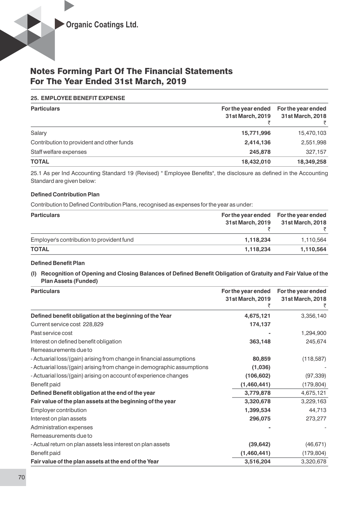#### **25. EMPLOYEE BENEFIT EXPENSE**

| <b>Particulars</b>                        | For the year ended | For the year ended |
|-------------------------------------------|--------------------|--------------------|
|                                           | 31st March, 2019   | 31st March, 2018   |
|                                           |                    |                    |
| Salary                                    | 15,771,996         | 15,470,103         |
| Contribution to provident and other funds | 2,414,136          | 2,551,998          |
| Staff welfare expenses                    | 245.878            | 327.157            |
| <b>TOTAL</b>                              | 18,432,010         | 18,349,258         |

25.1 As per Ind Accounting Standard 19 (Revised) " Employee Benefits", the disclosure as defined in the Accounting Standard are given below:

#### **Defined Contribution Plan**

Contribution to Defined Contribution Plans, recognised as expenses for the year as under:

| <b>Particulars</b>                        | 31st March, 2019 | For the year ended For the year ended<br>31st March, 2018 |
|-------------------------------------------|------------------|-----------------------------------------------------------|
| Employer's contribution to provident fund | 1,118,234        | 1,110,564                                                 |
| <b>TOTAL</b>                              | 1.118.234        | 1,110,564                                                 |

#### **Defined Benefit Plan**

(I) Recognition of Opening and Closing Balances of Defined Benefit Obligation of Gratuity and Fair Value of the **Plan Assets (Funded)**

| <b>Particulars</b>                                                     | For the year ended<br>31st March, 2019 | For the year ended<br>31st March, 2018 |
|------------------------------------------------------------------------|----------------------------------------|----------------------------------------|
| Defined benefit obligation at the beginning of the Year                | 4,675,121                              | 3,356,140                              |
| Current service cost 228,829                                           | 174,137                                |                                        |
| Past service cost                                                      |                                        | 1,294,900                              |
| Interest on defined benefit obligation                                 | 363,148                                | 245,674                                |
| Remeasurements due to                                                  |                                        |                                        |
| - Actuarial loss/(gain) arising from change in financial assumptions   | 80,859                                 | (118, 587)                             |
| - Actuarial loss/(gain) arising from change in demographic assumptions | (1,036)                                |                                        |
| - Actuarial loss/(gain) arising on account of experience changes       | (106, 602)                             | (97, 339)                              |
| Benefit paid                                                           | (1,460,441)                            | (179, 804)                             |
| Defined Benefit obligation at the end of the year                      | 3,779,878                              | 4,675,121                              |
| Fair value of the plan assets at the beginning of the year             | 3,320,678                              | 3,229,163                              |
| Employer contribution                                                  | 1,399,534                              | 44,713                                 |
| Interest on plan assets                                                | 296,075                                | 273,277                                |
| Administration expenses                                                |                                        |                                        |
| Remeasurements due to                                                  |                                        |                                        |
| - Actual return on plan assets less interest on plan assets            | (39, 642)                              | (46, 671)                              |
| Benefit paid                                                           | (1,460,441)                            | (179, 804)                             |
| Fair value of the plan assets at the end of the Year                   | 3,516,204                              | 3,320,678                              |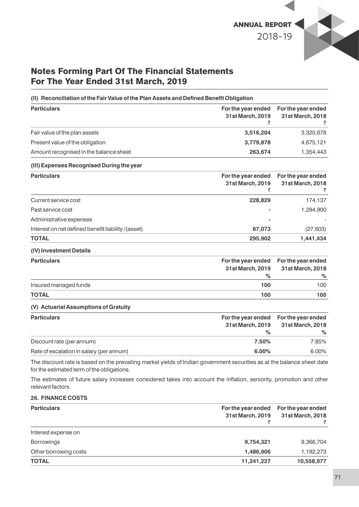

### (II) Reconciliation of the Fair Value of the Plan Assets and Defined Benefit Obligation

| <b>Particulars</b>                     | For the year ended<br>31st March, 2019 | For the year ended<br>31st March, 2018 |
|----------------------------------------|----------------------------------------|----------------------------------------|
| Fair value of the plan assets          | 3,516,204                              | 3,320,678                              |
| Present value of the obligation        | 3,779,878                              | 4,675,121                              |
| Amount recognised in the balance sheet | 263,674                                | 1,354,443                              |

#### **(III) Expenses Recognised During the year**

| <b>Particulars</b>                                 | For the year ended<br>31st March, 2019 | For the year ended<br>31st March, 2018 |
|----------------------------------------------------|----------------------------------------|----------------------------------------|
| Current service cost                               | 228,829                                | 174,137                                |
| Past service cost                                  |                                        | 1,294,900                              |
| Administrative expenses                            | ۰                                      |                                        |
| Interest on net defined benefit liability /(asset) | 67,073                                 | (27, 603)                              |
| <b>TOTAL</b>                                       | 295,902                                | 1,441,434                              |

#### **(IV) Investment Details**

| <b>Particulars</b>    |      | For the year ended For the year ended<br>31st March, 2019 31st March, 2018 |
|-----------------------|------|----------------------------------------------------------------------------|
|                       | $\%$ | $\%$                                                                       |
| Insured managed funds | 100  | 100                                                                        |
| <b>TOTAL</b>          | 100  | 100                                                                        |

### **(V) Actuarial Assumptions of Gratuity**

| <b>Particulars</b>                       | 31st March, 2019 | For the year ended For the year ended<br>31st March, 2018 |
|------------------------------------------|------------------|-----------------------------------------------------------|
|                                          | $\%$             | ℅                                                         |
| Discount rate (per annum)                | 7.50%            | 7.85%                                                     |
| Rate of escalation in salary (per annum) | 6.00%            | $6.00\%$                                                  |

The discount rate is based on the prevailing market yields of Indian government securities as at the balance sheet date for the estimated term of the obligations.

The estimates of future salary increases considered takes into account the inflation, seniority, promotion and other relevant factors.

#### **26. FINANCE COSTS**

| <b>Particulars</b>    | For the year ended<br>31st March, 2019 | For the year ended<br>31st March, 2018 |
|-----------------------|----------------------------------------|----------------------------------------|
| Interest expense on   |                                        |                                        |
| <b>Borrowings</b>     | 9,754,321                              | 9,366,704                              |
| Other borrowing costs | 1,486,906                              | 1,192,273                              |
| <b>TOTAL</b>          | 11,241,227                             | 10,558,977                             |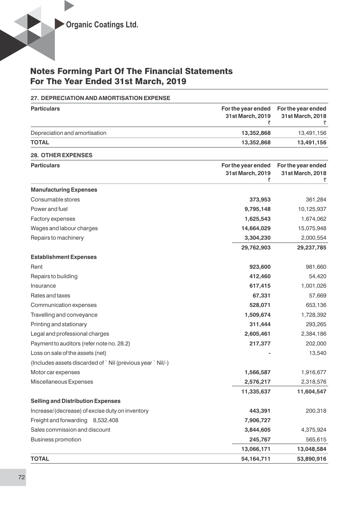### **27. DEPRECIATION AND AMORTISATION EXPENSE**

| <b>Particulars</b>                                        | For the year ended<br>31st March, 2019<br>₹ | For the year ended<br>31st March, 2018      |
|-----------------------------------------------------------|---------------------------------------------|---------------------------------------------|
| Depreciation and amortisation                             | 13,352,868                                  | 13,491,156                                  |
| <b>TOTAL</b>                                              | 13,352,868                                  | 13,491,156                                  |
| <b>28. OTHER EXPENSES</b>                                 |                                             |                                             |
| <b>Particulars</b>                                        | For the year ended<br>31st March, 2019<br>₹ | For the year ended<br>31st March, 2018<br>₹ |
| <b>Manufacturing Expenses</b>                             |                                             |                                             |
| Consumable stores                                         | 373,953                                     | 361,284                                     |
| Power and fuel                                            | 9,795,148                                   | 10,125,937                                  |
| Factory expenses                                          | 1,625,543                                   | 1,674,062                                   |
| Wages and labour charges                                  | 14,664,029                                  | 15,075,948                                  |
| Repairs to machinery                                      | 3,304,230                                   | 2,000,554                                   |
|                                                           | 29,762,903                                  | 29,237,785                                  |
| <b>Establishment Expenses</b>                             |                                             |                                             |
| Rent                                                      | 923,600                                     | 981,660                                     |
| Repairs to building                                       | 412,460                                     | 54,420                                      |
| Insurance                                                 | 617,415                                     | 1,001,026                                   |
| Rates and taxes                                           | 67,331                                      | 57,669                                      |
| Communication expenses                                    | 528,071                                     | 653,136                                     |
| Travelling and conveyance                                 | 1,509,674                                   | 1,728,392                                   |
| Printing and stationary                                   | 311,444                                     | 293,265                                     |
| Legal and professional charges                            | 2,605,461                                   | 2,384,186                                   |
| Payment to auditors (refer note no. 28.2)                 | 217,377                                     | 202,000                                     |
| Loss on sale of the assets (net)                          |                                             | 13,540                                      |
| (Includes assets discarded of `Nil (previous year `Nil/-) |                                             |                                             |
| Motor car expenses                                        | 1,566,587                                   | 1,916,677                                   |
| Miscellaneous Expenses                                    | 2,576,217                                   | 2,318,576                                   |
|                                                           | 11,335,637                                  | 11,604,547                                  |
| <b>Selling and Distribution Expenses</b>                  |                                             |                                             |
| Increase/(decrease) of excise duty on inventory           | 443,391                                     | 200,318                                     |
| Freight and forwarding 8,532,408                          | 7,906,727                                   |                                             |
| Sales commission and discount                             | 3,844,605                                   | 4,375,924                                   |
| <b>Business promotion</b>                                 | 245,767                                     | 565,615                                     |
|                                                           | 13,066,171                                  | 13,048,584                                  |
| <b>TOTAL</b>                                              | 54, 164, 711                                | 53,890,916                                  |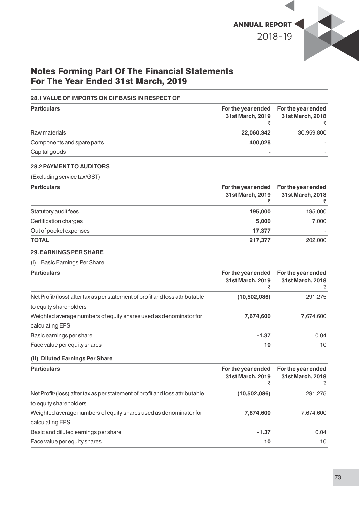

### **28.1 VALUE OF IMPORTS ON CIF BASIS IN RESPECT OF**

| <b>Particulars</b>         | 31st March, 2019 | For the year ended For the year ended<br>31st March, 2018 |
|----------------------------|------------------|-----------------------------------------------------------|
| Raw materials              | 22,060,342       | 30,959,800                                                |
| Components and spare parts | 400.028          |                                                           |
| Capital goods              | $\blacksquare$   |                                                           |

### **28.2 PAYMENT TO AUDITORS**

(Excluding service tax/GST)

| <b>Particulars</b>     | 31st March, 2019 | For the year ended For the year ended<br>31st March, 2018 |
|------------------------|------------------|-----------------------------------------------------------|
| Statutory audit fees   | 195,000          | 195,000                                                   |
| Certification charges  | 5,000            | 7,000                                                     |
| Out of pocket expenses | 17.377           |                                                           |
| <b>TOTAL</b>           | 217,377          | 202,000                                                   |

### **29. EARNINGS PER SHARE**

### (I) Basic Earnings Per Share

| <b>Particulars</b>                                                           | For the year ended<br>31st March, 2019 | For the year ended<br>31st March, 2018 |
|------------------------------------------------------------------------------|----------------------------------------|----------------------------------------|
| Net Profit/(loss) after tax as per statement of profit and loss attributable | (10,502,086)                           | 291,275                                |
| to equity shareholders                                                       |                                        |                                        |
| Weighted average numbers of equity shares used as denominator for            | 7,674,600                              | 7,674,600                              |
| calculating EPS                                                              |                                        |                                        |
| Basic earnings per share                                                     | $-1.37$                                | 0.04                                   |
| Face value per equity shares                                                 | 10                                     | 10                                     |

### **(II) Diluted Earnings Per Share**

| <b>Particulars</b>                                                           | For the year ended<br>31st March, 2019 | For the year ended<br>31st March, 2018 |
|------------------------------------------------------------------------------|----------------------------------------|----------------------------------------|
| Net Profit/(loss) after tax as per statement of profit and loss attributable | (10,502,086)                           | 291,275                                |
| to equity shareholders                                                       |                                        |                                        |
| Weighted average numbers of equity shares used as denominator for            | 7,674,600                              | 7,674,600                              |
| calculating EPS                                                              |                                        |                                        |
| Basic and diluted earnings per share                                         | $-1.37$                                | 0.04                                   |
| Face value per equity shares                                                 | 10                                     | 10                                     |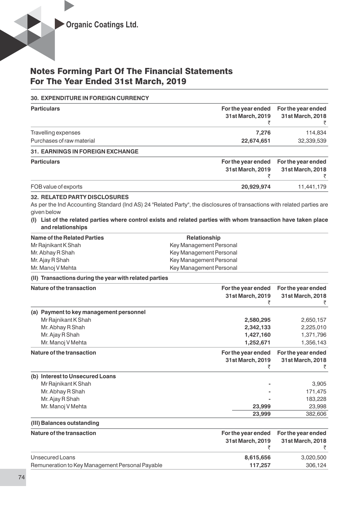### **30. EXPENDITURE IN FOREIGN CURRENCY**

| <b>Particulars</b>                                                       | For the year ended<br>31st March, 2019                                                                                                                                                                                                      | For the year ended<br>31st March, 2018      |
|--------------------------------------------------------------------------|---------------------------------------------------------------------------------------------------------------------------------------------------------------------------------------------------------------------------------------------|---------------------------------------------|
| Travelling expenses                                                      | 7,276                                                                                                                                                                                                                                       | 114,834                                     |
| Purchases of raw material                                                | 22,674,651                                                                                                                                                                                                                                  | 32,339,539                                  |
| 31. EARNINGS IN FOREIGN EXCHANGE                                         |                                                                                                                                                                                                                                             |                                             |
| <b>Particulars</b>                                                       | For the year ended<br>31st March, 2019                                                                                                                                                                                                      | For the year ended<br>31st March, 2018<br>₹ |
| FOB value of exports                                                     | 20,929,974                                                                                                                                                                                                                                  | 11,441,179                                  |
| <b>32. RELATED PARTY DISCLOSURES</b><br>given below<br>and relationships | As per the Ind Accounting Standard (Ind AS) 24 "Related Party", the disclosures of transactions with related parties are<br>(I) List of the related parties where control exists and related parties with whom transaction have taken place |                                             |
| <b>Name of the Related Parties</b>                                       | Relationship                                                                                                                                                                                                                                |                                             |
| Mr Rajnikant K Shah                                                      | Key Management Personal                                                                                                                                                                                                                     |                                             |
| Mr. Abhay R Shah                                                         | Key Management Personal                                                                                                                                                                                                                     |                                             |
| Mr. Ajay R Shah                                                          | Key Management Personal                                                                                                                                                                                                                     |                                             |
| Mr. Manoj V Mehta                                                        | Key Management Personal                                                                                                                                                                                                                     |                                             |
| (II) Transactions during the year with related parties                   |                                                                                                                                                                                                                                             |                                             |
| Nature of the transaction                                                | For the year ended<br>31st March, 2019<br>₹                                                                                                                                                                                                 | For the year ended<br>31st March, 2018<br>₹ |
| (a) Payment to key management personnel                                  |                                                                                                                                                                                                                                             |                                             |
| Mr Rajnikant K Shah                                                      | 2,580,295                                                                                                                                                                                                                                   | 2,650,157                                   |
| Mr. Abhay R Shah                                                         | 2,342,133                                                                                                                                                                                                                                   | 2,225,010                                   |
| Mr. Ajay R Shah                                                          | 1,427,160                                                                                                                                                                                                                                   | 1,371,796                                   |
| Mr. Manoj V Mehta                                                        | 1,252,671                                                                                                                                                                                                                                   | 1,356,143                                   |
| Nature of the transaction                                                | For the year ended<br>31st March, 2019<br>₹                                                                                                                                                                                                 | For the year ended<br>31st March, 2018<br>₹ |
| (b) Interest to Unsecured Loans                                          |                                                                                                                                                                                                                                             |                                             |
| Mr Rajnikant K Shah                                                      |                                                                                                                                                                                                                                             | 3,905                                       |
| Mr. Abhay R Shah                                                         |                                                                                                                                                                                                                                             | 171,475                                     |
| Mr. Ajay R Shah                                                          |                                                                                                                                                                                                                                             | 183,228                                     |
| Mr. Manoj V Mehta                                                        | 23,999                                                                                                                                                                                                                                      | 23,998                                      |
|                                                                          | 23,999                                                                                                                                                                                                                                      | 382,606                                     |
| (III) Balances outstanding                                               |                                                                                                                                                                                                                                             |                                             |
| Nature of the transaction                                                | For the year ended<br>31st March, 2019<br>₹                                                                                                                                                                                                 | For the year ended<br>31st March, 2018<br>₹ |
| <b>Unsecured Loans</b>                                                   | 8,615,656                                                                                                                                                                                                                                   | 3,020,500                                   |

Remuneration to Key Management Personal Payable **117,257** 306,124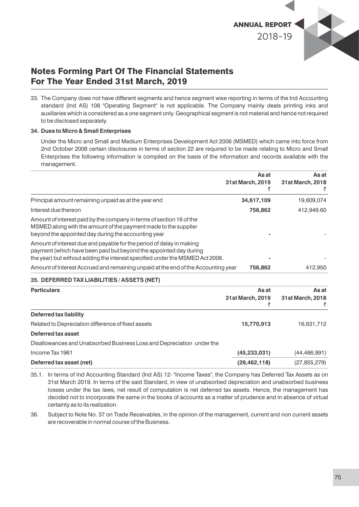

33. The Company does not have different segments and hence segment wise reporting in terms of the Ind Accounting standard (Ind AS) 108 "Operating Segment" is not applicable. The Company mainly deals printing inks and auxiliaries which is considered as a one segment only. Geographical segment is not material and hence not required to be disclosed separately.

### **34. Dues to Micro & Small Enterprises**

Under the Micro and Small and Medium Enterprises Development Act 2006 (MSMED) which came into force from 2nd October 2006 certain disclosures in terms of section 22 are required to be made relating to Micro and Small Enterprises the following information is compiled on the basis of the information and records available with the management.

|                                                                                                                                                                                                                            | As at<br>31st March, 2019 | As at<br>31st March, 2018 |
|----------------------------------------------------------------------------------------------------------------------------------------------------------------------------------------------------------------------------|---------------------------|---------------------------|
|                                                                                                                                                                                                                            |                           | ₹                         |
| Principal amount remaining unpaid as at the year end                                                                                                                                                                       | 34,617,109                | 19,609,074                |
| Interest due thereon                                                                                                                                                                                                       | 756,862                   | 412,949.60                |
| Amount of interest paid by the company in terms of section 16 of the<br>MSMED along with the amount of the payment made to the supplier<br>beyond the appointed day during the accounting year                             |                           |                           |
| Amount of interest due and payable for the period of delay in making<br>payment (which have been paid but beyond the appointed day during<br>the year) but without adding the interest specified under the MSMED Act 2006. |                           |                           |
| Amount of Interest Accrued and remaining unpaid at the end of the Accounting year                                                                                                                                          | 756,862                   | 412,950                   |
| 35. DEFERRED TAX LIABILITIES / ASSETS (NET)                                                                                                                                                                                |                           |                           |
| <b>Particulars</b>                                                                                                                                                                                                         | As at                     | As at                     |
|                                                                                                                                                                                                                            | 31st March, 2019<br>₹     | 31st March, 2018          |
| <b>Deferred tax liability</b>                                                                                                                                                                                              |                           |                           |
| Related to Depreciation difference of fixed assets                                                                                                                                                                         | 15,770,913                | 16,631,712                |
| Deferred tax asset                                                                                                                                                                                                         |                           |                           |
|                                                                                                                                                                                                                            |                           |                           |

Disallowances and Unabsorbed Business Loss and Depreciation under the

| Income Tax 1961          | (45, 233, 031) | (44, 486, 991) |
|--------------------------|----------------|----------------|
| Deferred tax asset (net) | (29, 462, 118) | (27, 855, 279) |

35.1. In terms of Ind Accounting Standard (Ind AS) 12- "Income Taxes", the Company has Deferred Tax Assets as on 31st March 2019. In terms of the said Standard, in view of unabsorbed depreciation and unabsorbed business losses under the tax laws, net result of computation is net deferred tax assets. Hence, the management has decided not to incorporate the same in the books of accounts as a matter of prudence and in absence of virtual certainty as to its realization.

36. Subject to Note No. 37 on Trade Receivables, in the opinion of the management, current and non current assets are recoverable in normal course of the Business.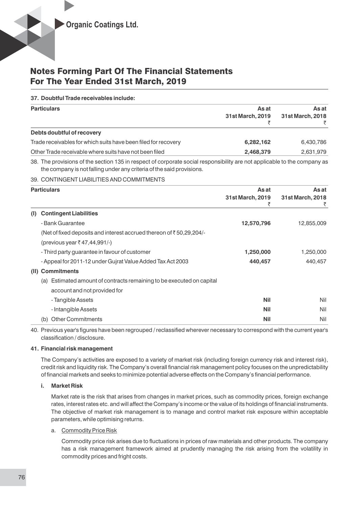### **37. Doubtful Trade receivables include:**

| <b>Particulars</b>                                             | As at<br>31st March, 2019 | As at<br>31st March, 2018 |  |
|----------------------------------------------------------------|---------------------------|---------------------------|--|
| Debts doubtful of recovery                                     |                           |                           |  |
| Trade receivables for which suits have been filed for recovery | 6,282,162                 | 6,430,786                 |  |
| Other Trade receivable where suits have not been filed         | 2,468,379                 | 2,631,979                 |  |

38. The provisions of the section 135 in respect of corporate social responsibility are not applicable to the company as the company is not falling under any criteria of the said provisions.

### 39. CONTINGENT LIABILITIES AND COMMITMENTS

|      | <b>Particulars</b>                                                           | As at<br>31st March, 2019 | As at<br>31st March, 2018 |
|------|------------------------------------------------------------------------------|---------------------------|---------------------------|
| (I)  | <b>Contingent Liabilities</b>                                                |                           |                           |
|      | - Bank Guarantee                                                             | 12,570,796                | 12,855,009                |
|      | (Net of fixed deposits and interest accrued thereon of $\bar{z}$ 50,29,204/- |                           |                           |
|      | (previous year ₹47,44,991/-)                                                 |                           |                           |
|      | - Third party guarantee in favour of customer                                | 1,250,000                 | 1,250,000                 |
|      | - Appeal for 2011-12 under Gujrat Value Added Tax Act 2003                   | 440,457                   | 440,457                   |
| (II) | <b>Commitments</b>                                                           |                           |                           |
|      | Estimated amount of contracts remaining to be executed on capital<br>(a)     |                           |                           |
|      | account and not provided for                                                 |                           |                           |
|      | - Tangible Assets                                                            | <b>Nil</b>                | Nil                       |
|      | - Intangible Assets                                                          | <b>Nil</b>                | Nil                       |
|      | <b>Other Commitments</b><br>(b)                                              | <b>Nil</b>                | Nil                       |

40. Previous year's figures have been regrouped / reclassified wherever necessary to correspond with the current year's classification / disclosure.

### **41. Financial risk management**

The Company's activities are exposed to a variety of market risk (including foreign currency risk and interest risk), credit risk and liquidity risk. The Company's overall financial risk management policy focuses on the unpredictability of financial markets and seeks to minimize potential adverse effects on the Company's financial performance.

### **i. Market Risk**

Market rate is the risk that arises from changes in market prices, such as commodity prices, foreign exchange rates, interest rates etc. and will affect the Company's income or the value of its holdings of financial instruments. The objective of market risk management is to manage and control market risk exposure within acceptable parameters, while optimising returns.

#### a. Commodity Price Risk

Commodity price risk arises due to fluctuations in prices of raw materials and other products. The company has a risk management framework aimed at prudently managing the risk arising from the volatility in commodity prices and fright costs.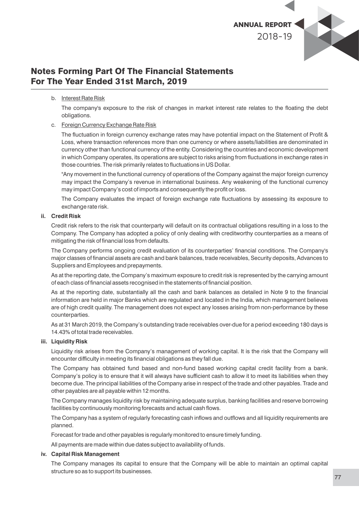

### b. Interest Rate Risk

The company's exposure to the risk of changes in market interest rate relates to the floating the debt obligations.

### c. Foreign Currency Exchange Rate Risk

The fluctuation in foreign currency exchange rates may have potential impact on the Statement of Profit & Loss, where transaction references more than one currency or where assets/liabilities are denominated in currency other than functional currency of the entity. Considering the countries and economic development in which Company operates, its operations are subject to risks arising from fluctuations in exchange rates in those countries. The risk primarily relates to fluctuations in US Dollar.

"Any movement in the functional currency of operations of the Company against the major foreign currency may impact the Company's revenue in international business. Any weakening of the functional currency may impact Company's cost of imports and consequently the profit or loss.

The Company evaluates the impact of foreign exchange rate fluctuations by assessing its exposure to exchange rate risk.

### **ii. Credit Risk**

Credit risk refers to the risk that counterparty will default on its contractual obligations resulting in a loss to the Company. The Company has adopted a policy of only dealing with creditworthy counterparties as a means of mitigating the risk of financial loss from defaults.

The Company performs ongoing credit evaluation of its counterparties' financial conditions. The Company's major classes of nancial assets are cash and bank balances, trade receivables, Security deposits, Advances to Suppliers and Employees and prepayments.

As at the reporting date, the Company's maximum exposure to credit risk is represented by the carrying amount of each class of financial assets recognised in the statements of financial position.

As at the reporting date, substantially all the cash and bank balances as detailed in Note 9 to the financial information are held in major Banks which are regulated and located in the India, which management believes are of high credit quality. The management does not expect any losses arising from non-performance by these counterparties.

As at 31 March 2019, the Company's outstanding trade receivables over-due for a period exceeding 180 days is 14.43% of total trade receivables.

#### **iii. Liquidity Risk**

Liquidity risk arises from the Company's management of working capital. It is the risk that the Company will encounter difficulty in meeting its financial obligations as they fall due.

The Company has obtained fund based and non-fund based working capital credit facility from a bank. Company's policy is to ensure that it will always have sufficient cash to allow it to meet its liabilities when they become due. The principal liabilities of the Company arise in respect of the trade and other payables. Trade and other payables are all payable within 12 months.

The Company manages liquidity risk by maintaining adequate surplus, banking facilities and reserve borrowing facilities by continuously monitoring forecasts and actual cash flows.

The Company has a system of regularly forecasting cash inflows and outflows and all liquidity requirements are planned.

Forecast for trade and other payables is regularly monitored to ensure timely funding.

All payments are made within due dates subject to availability of funds.

#### **iv. Capital Risk Management**

The Company manages its capital to ensure that the Company will be able to maintain an optimal capital structure so as to support its businesses.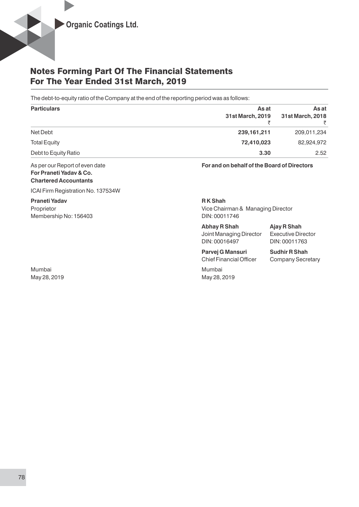The debt-to-equity ratio of the Company at the end of the reporting period was as follows:

| <b>Particulars</b>   | As at            | As at            |
|----------------------|------------------|------------------|
|                      | 31st March, 2019 | 31st March, 2018 |
|                      |                  |                  |
| Net Debt             | 239, 161, 211    | 209,011,234      |
| <b>Total Equity</b>  | 72,410,023       | 82,924,972       |
| Debt to Equity Ratio | 3.30             | 2.52             |

**For Praneti Yadav & Co. Chartered Accountants**

ICAI Firm Registration No. 137534W

**Praneti Yadav** R K Shah Membership No: 156403 DIN: 00011746

Mumbai Mumbai May 28, 2019 May 28, 2019

As per our Report of even date **For and on behalf of the Board of Directors**

Proprietor **Proprietor** Vice Chairman & Managing Director

| <b>Abhay R Shah</b>     |
|-------------------------|
| Joint Managing Director |
| DIN: 00016497           |

**Executive Director** DIN: 00011763

**Abhay R Shah Ajay R Shah**

**Parvej G Mansuri Sudhir R Shah** Chief Financial Officer Company Secretary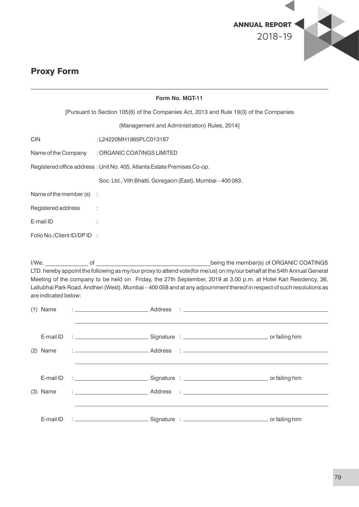

# Proxy Form

|            | Form No. MGT-11             |  |  |                                                                         |  |  |                                              |                                                                                                                                                                                                                                                                                                                                                                                                                 |
|------------|-----------------------------|--|--|-------------------------------------------------------------------------|--|--|----------------------------------------------|-----------------------------------------------------------------------------------------------------------------------------------------------------------------------------------------------------------------------------------------------------------------------------------------------------------------------------------------------------------------------------------------------------------------|
|            |                             |  |  |                                                                         |  |  |                                              | [Pursuant to Section 105(6) of the Companies Act, 2013 and Rule 19(3) of the Companies                                                                                                                                                                                                                                                                                                                          |
|            |                             |  |  |                                                                         |  |  | (Management and Administration) Rules, 2014] |                                                                                                                                                                                                                                                                                                                                                                                                                 |
| <b>CIN</b> |                             |  |  | :L24220MH1965PLC013187                                                  |  |  |                                              |                                                                                                                                                                                                                                                                                                                                                                                                                 |
|            | Name of the Company         |  |  | : ORGANIC COATINGS LIMITED                                              |  |  |                                              |                                                                                                                                                                                                                                                                                                                                                                                                                 |
|            |                             |  |  | Registered office address: Unit No. 405, Atlanta Estate Premises Co-op. |  |  |                                              |                                                                                                                                                                                                                                                                                                                                                                                                                 |
|            |                             |  |  | Soc. Ltd., Vith Bhatti, Goregaon (East), Mumbai-400063.                 |  |  |                                              |                                                                                                                                                                                                                                                                                                                                                                                                                 |
|            | Name of the member $(s)$ :  |  |  |                                                                         |  |  |                                              |                                                                                                                                                                                                                                                                                                                                                                                                                 |
|            | Registered address :        |  |  |                                                                         |  |  |                                              |                                                                                                                                                                                                                                                                                                                                                                                                                 |
|            | E-mail ID                   |  |  |                                                                         |  |  |                                              |                                                                                                                                                                                                                                                                                                                                                                                                                 |
|            | Folio No./Client ID/DP ID : |  |  |                                                                         |  |  |                                              |                                                                                                                                                                                                                                                                                                                                                                                                                 |
|            |                             |  |  |                                                                         |  |  |                                              |                                                                                                                                                                                                                                                                                                                                                                                                                 |
|            | are indicated below:        |  |  |                                                                         |  |  |                                              | being the member(s) of ORGANIC COATINGS<br>LTD. hereby appoint the following as my/our proxy to attend vote(for me/us) on my/our behalf at the 54th Annual General<br>Meeting of the company to be held on Friday, the 27th September, 2019 at 3.00 p.m. at Hotel Karl Residency, 36,<br>Lallubhai Park Road, Andheri (West), Mumbai - 400 058 and at any adjournment thereof in respect of such resolutions as |
|            | $(1)$ Name                  |  |  |                                                                         |  |  |                                              |                                                                                                                                                                                                                                                                                                                                                                                                                 |
|            | E-mail ID<br>$(2)$ Name     |  |  |                                                                         |  |  |                                              | the control of the control of the control of the control of the control of the control of                                                                                                                                                                                                                                                                                                                       |
|            | E-mail ID<br>(3) Name       |  |  |                                                                         |  |  |                                              |                                                                                                                                                                                                                                                                                                                                                                                                                 |
|            | E-mail ID                   |  |  |                                                                         |  |  |                                              |                                                                                                                                                                                                                                                                                                                                                                                                                 |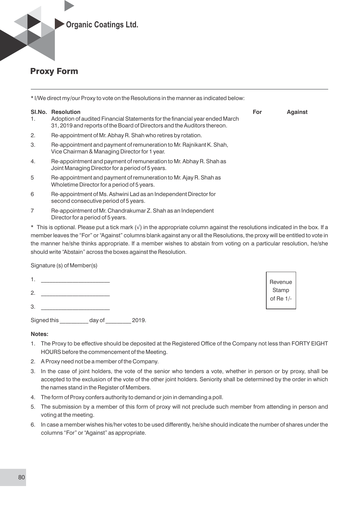

# Proxy Form

| * I/We direct my/our Proxy to vote on the Resolutions in the manner as indicated below: |                                                                                                                                                                              |     |                |  |
|-----------------------------------------------------------------------------------------|------------------------------------------------------------------------------------------------------------------------------------------------------------------------------|-----|----------------|--|
| SI.No.<br>1.                                                                            | <b>Resolution</b><br>Adoption of audited Financial Statements for the financial year ended March<br>31, 2019 and reports of the Board of Directors and the Auditors thereon. | For | <b>Against</b> |  |
| 2.                                                                                      | Re-appointment of Mr. Abhay R. Shah who retires by rotation.                                                                                                                 |     |                |  |
| 3.                                                                                      | Re-appointment and payment of remuneration to Mr. Rajnikant K. Shah,<br>Vice Chairman & Managing Director for 1 year.                                                        |     |                |  |
| 4.                                                                                      | Re-appointment and payment of remuneration to Mr. Abhay R. Shah as<br>Joint Managing Director for a period of 5 years.                                                       |     |                |  |
| 5                                                                                       | Re-appointment and payment of remuneration to Mr. Ajay R. Shah as<br>Wholetime Director for a period of 5 years.                                                             |     |                |  |
| 6                                                                                       | Re-appointment of Ms. Ashwini Lad as an Independent Director for<br>second consecutive period of 5 years.                                                                    |     |                |  |

7 Re-appointment of Mr. Chandrakumar Z. Shah as an Independent Director for a period of 5 years.

\* This is optional. Please put a tick mark (√) in the appropriate column against the resolutions indicated in the box. If a member leaves the "For" or "Against" columns blank against any or all the Resolutions, the proxy will be entitled to vote in the manner he/she thinks appropriate. If a member wishes to abstain from voting on a particular resolution, he/she should write "Abstain" across the boxes against the Resolution.

> Revenue **Stamp** of Re 1/-

Signature (s) of Member(s)

- 1. \_\_\_\_\_\_\_\_\_\_\_\_\_\_\_\_\_\_\_\_\_\_\_\_
- 2. \_\_\_\_\_\_\_\_\_\_\_\_\_\_\_\_\_\_\_\_\_\_\_\_
- 3. <u>\_\_\_\_\_\_\_\_\_\_\_\_\_\_\_\_\_\_\_\_\_\_\_\_\_</u>

Signed this day of 2019.

### **Notes:**

- 1. The Proxy to be effective should be deposited at the Registered Office of the Company not less than FORTY EIGHT HOURS before the commencement of the Meeting.
- 2. A Proxy need not be a member of the Company.
- 3. In the case of joint holders, the vote of the senior who tenders a vote, whether in person or by proxy, shall be accepted to the exclusion of the vote of the other joint holders. Seniority shall be determined by the order in which the names stand in the Register of Members.
- 4. The form of Proxy confers authority to demand or join in demanding a poll.
- 5. The submission by a member of this form of proxy will not preclude such member from attending in person and voting at the meeting.
- 6. In case a member wishes his/her votes to be used differently, he/she should indicate the number of shares under the columns "For" or "Against" as appropriate.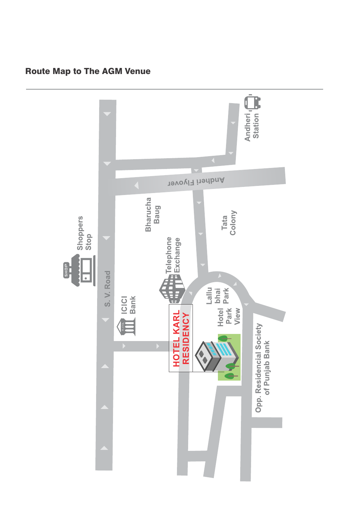